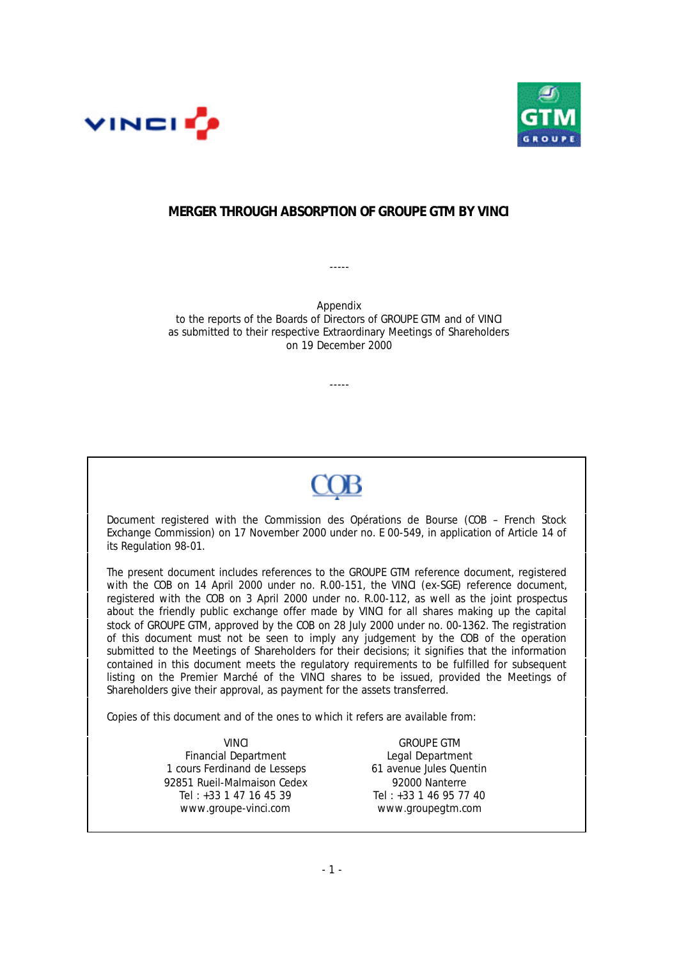



# **MERGER THROUGH ABSORPTION OF GROUPE GTM BY VINCI**

-----

Appendix to the reports of the Boards of Directors of GROUPE GTM and of VINCI as submitted to their respective Extraordinary Meetings of Shareholders on 19 December 2000

-----



Document registered with the Commission des Opérations de Bourse (COB – French Stock Exchange Commission) on 17 November 2000 under no. E 00-549, in application of Article 14 of its Regulation 98-01.

The present document includes references to the GROUPE GTM reference document, registered with the COB on 14 April 2000 under no. R.00-151, the VINCI (ex-SGE) reference document, registered with the COB on 3 April 2000 under no. R.00-112, as well as the joint prospectus about the friendly public exchange offer made by VINCI for all shares making up the capital stock of GROUPE GTM, approved by the COB on 28 July 2000 under no. 00-1362. The registration of this document must not be seen to imply any judgement by the COB of the operation submitted to the Meetings of Shareholders for their decisions; it signifies that the information contained in this document meets the regulatory requirements to be fulfilled for subsequent listing on the Premier Marché of the VINCI shares to be issued, provided the Meetings of Shareholders give their approval, as payment for the assets transferred.

Copies of this document and of the ones to which it refers are available from:

VINCI GROUPE GTM Financial Department<br>
ours Ferdinand de Lesseps<br>
61 avenue Jules Quentin 1 cours Ferdinand de Lesseps 92851 Rueil-Malmaison Cedex 92000 Nanterre Tel :  $+33$  1 47 16 45 39 Tel :  $+33$  1 46 95 77 40 www.groupe-vinci.com www.groupegtm.com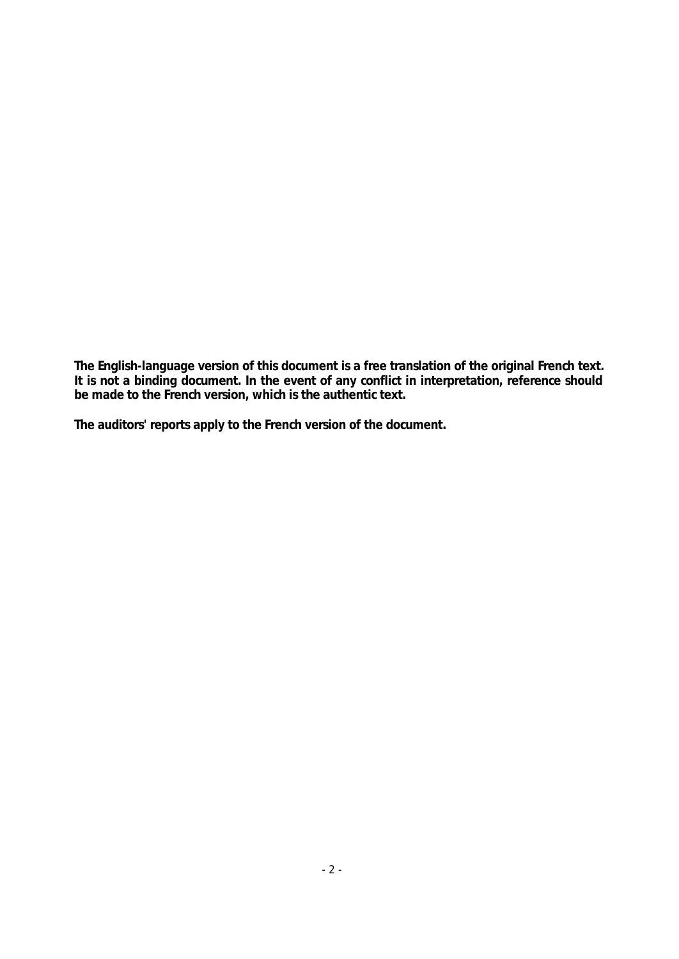**The English-language version of this document is a free translation of the original French text. It is not a binding document. In the event of any conflict in interpretation, reference should be made to the French version, which is the authentic text.**

**The auditors' reports apply to the French version of the document.**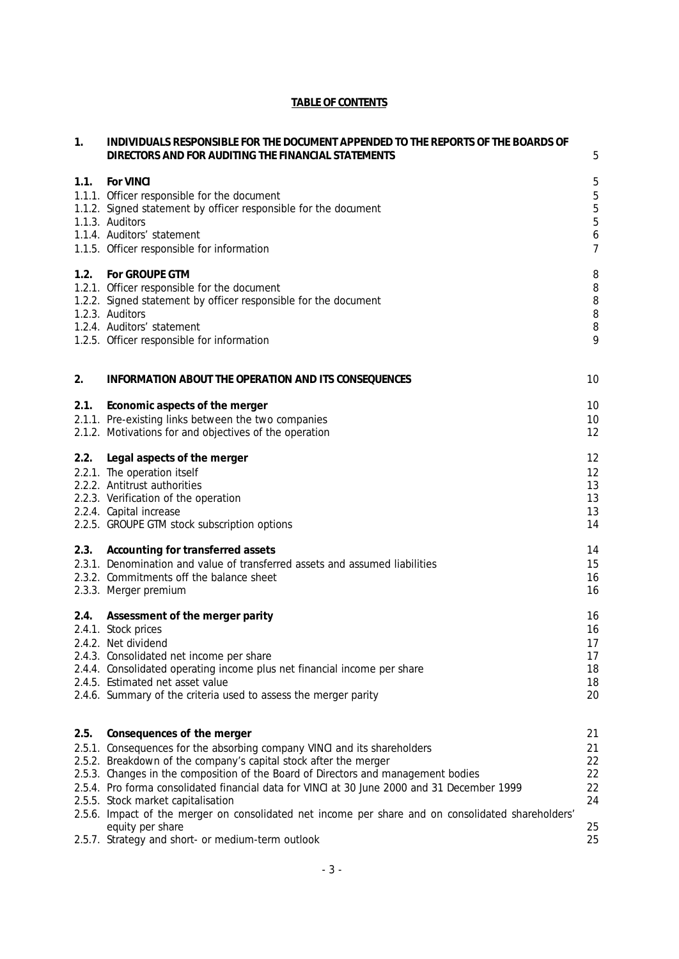# **TABLE OF CONTENTS**

| 1.   | INDIVIDUALS RESPONSIBLE FOR THE DOCUMENT APPENDED TO THE REPORTS OF THE BOARDS OF<br>DIRECTORS AND FOR AUDITING THE FINANCIAL STATEMENTS                                                                                                                                                                                                                                                             | 5                                                                                             |
|------|------------------------------------------------------------------------------------------------------------------------------------------------------------------------------------------------------------------------------------------------------------------------------------------------------------------------------------------------------------------------------------------------------|-----------------------------------------------------------------------------------------------|
| 1.1. | For VINCI<br>1.1.1. Officer responsible for the document<br>1.1.2. Signed statement by officer responsible for the document<br>1.1.3. Auditors<br>1.1.4. Auditors' statement<br>1.1.5. Officer responsible for information                                                                                                                                                                           | 5<br>$\overline{5}$<br>$\overline{5}$<br>$\overline{5}$<br>$\boldsymbol{6}$<br>$\overline{7}$ |
| 1.2. | For GROUPE GTM<br>1.2.1. Officer responsible for the document<br>1.2.2. Signed statement by officer responsible for the document<br>1.2.3. Auditors<br>1.2.4. Auditors' statement<br>1.2.5. Officer responsible for information                                                                                                                                                                      | 8<br>8<br>$\, 8$<br>$\, 8$<br>$\, 8$<br>9                                                     |
| 2.   | INFORMATION ABOUT THE OPERATION AND ITS CONSEQUENCES                                                                                                                                                                                                                                                                                                                                                 | 10                                                                                            |
| 2.1. | Economic aspects of the merger<br>2.1.1. Pre-existing links between the two companies<br>2.1.2. Motivations for and objectives of the operation                                                                                                                                                                                                                                                      | 10<br>10<br>12                                                                                |
| 2.2. | Legal aspects of the merger<br>2.2.1. The operation itself<br>2.2.2. Antitrust authorities<br>2.2.3. Verification of the operation<br>2.2.4. Capital increase<br>2.2.5. GROUPE GTM stock subscription options                                                                                                                                                                                        | 12<br>12<br>13<br>13<br>13<br>14                                                              |
| 2.3. | Accounting for transferred assets<br>2.3.1. Denomination and value of transferred assets and assumed liabilities<br>2.3.2. Commitments off the balance sheet<br>2.3.3. Merger premium                                                                                                                                                                                                                | 14<br>15<br>16<br>16                                                                          |
| 2.4. | Assessment of the merger parity<br>2.4.1. Stock prices<br>2.4.2. Net dividend<br>2.4.3. Consolidated net income per share<br>2.4.4. Consolidated operating income plus net financial income per share<br>2.4.5. Estimated net asset value<br>2.4.6. Summary of the criteria used to assess the merger parity                                                                                         | 16<br>16<br>17<br>17<br>18<br>18<br>20                                                        |
| 2.5. | Consequences of the merger<br>2.5.1. Consequences for the absorbing company VINCI and its shareholders<br>2.5.2. Breakdown of the company's capital stock after the merger<br>2.5.3. Changes in the composition of the Board of Directors and management bodies<br>2.5.4. Pro forma consolidated financial data for VINCI at 30 June 2000 and 31 December 1999<br>2.5.5. Stock market capitalisation | 21<br>21<br>22<br>22<br>22<br>24                                                              |
|      | 2.5.6. Impact of the merger on consolidated net income per share and on consolidated shareholders'<br>equity per share<br>2.5.7. Strategy and short- or medium-term outlook                                                                                                                                                                                                                          | 25<br>25                                                                                      |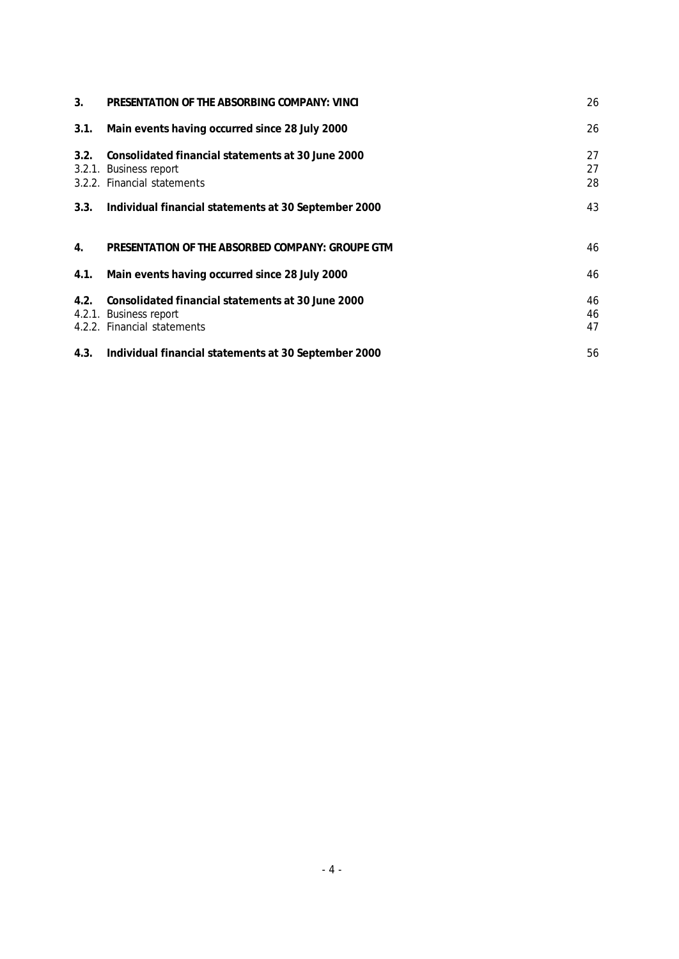| 3 <sub>1</sub> | PRESENTATION OF THE ABSORBING COMPANY: VINCL                                                               | 26             |
|----------------|------------------------------------------------------------------------------------------------------------|----------------|
| 3.1.           | Main events having occurred since 28 July 2000                                                             | 26             |
| 3.2.           | Consolidated financial statements at 30 June 2000<br>3.2.1. Business report<br>3.2.2. Financial statements | 27<br>27<br>28 |
| 3.3.           | Individual financial statements at 30 September 2000                                                       | 43             |
| 4.             | PRESENTATION OF THE ABSORBED COMPANY: GROUPE GTM                                                           | 46             |
| 4.1.           | Main events having occurred since 28 July 2000                                                             | 46             |
| 4.2.           | Consolidated financial statements at 30 June 2000<br>4.2.1. Business report<br>4.2.2. Financial statements | 46<br>46<br>47 |
| 4.3.           | Individual financial statements at 30 September 2000                                                       | 56             |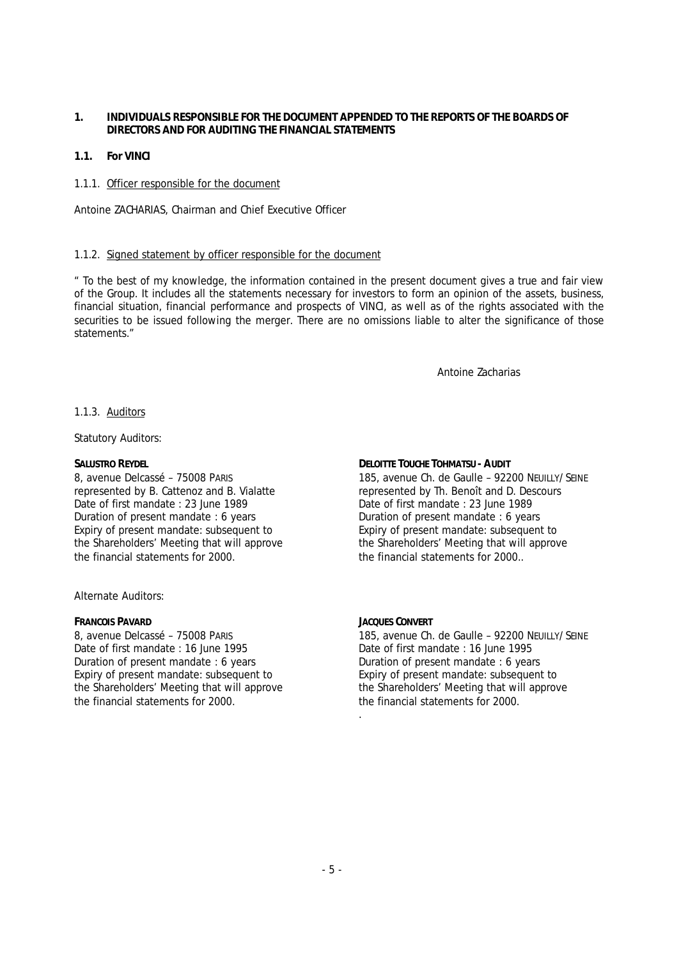- **1. INDIVIDUALS RESPONSIBLE FOR THE DOCUMENT APPENDED TO THE REPORTS OF THE BOARDS OF DIRECTORS AND FOR AUDITING THE FINANCIAL STATEMENTS**
- **1.1. For VINCI**
- 1.1.1. Officer responsible for the document

Antoine ZACHARIAS, Chairman and Chief Executive Officer

#### 1.1.2. Signed statement by officer responsible for the document

*" To the best of my knowledge, the information contained in the present document gives a true and fair view of the Group. It includes all the statements necessary for investors to form an opinion of the assets, business, financial situation, financial performance and prospects of VINCI, as well as of the rights associated with the securities to be issued following the merger. There are no omissions liable to alter the significance of those statements."*

Antoine Zacharias

#### 1.1.3. Auditors

Statutory Auditors:

#### **SALUSTRO REYDEL**

8, avenue Delcassé – 75008 PARIS represented by B. Cattenoz and B. Vialatte Date of first mandate : 23 June 1989 Duration of present mandate : 6 years Expiry of present mandate: subsequent to the Shareholders' Meeting that will approve the financial statements for 2000.

Alternate Auditors:

**FRANCOIS PAVARD** 8, avenue Delcassé – 75008 PARIS Date of first mandate : 16 June 1995 Duration of present mandate : 6 years Expiry of present mandate: subsequent to the Shareholders' Meeting that will approve the financial statements for 2000.

**DELOITTE TOUCHE TOHMATSU - AUDIT** 185, avenue Ch. de Gaulle – 92200 NEUILLY/SEINE represented by Th. Benoît and D. Descours Date of first mandate : 23 June 1989 Duration of present mandate : 6 years Expiry of present mandate: subsequent to the Shareholders' Meeting that will approve the financial statements for 2000..

**JACQUES CONVERT** 185, avenue Ch. de Gaulle – 92200 NEUILLY/SEINE Date of first mandate : 16 June 1995 Duration of present mandate : 6 years Expiry of present mandate: subsequent to the Shareholders' Meeting that will approve the financial statements for 2000. .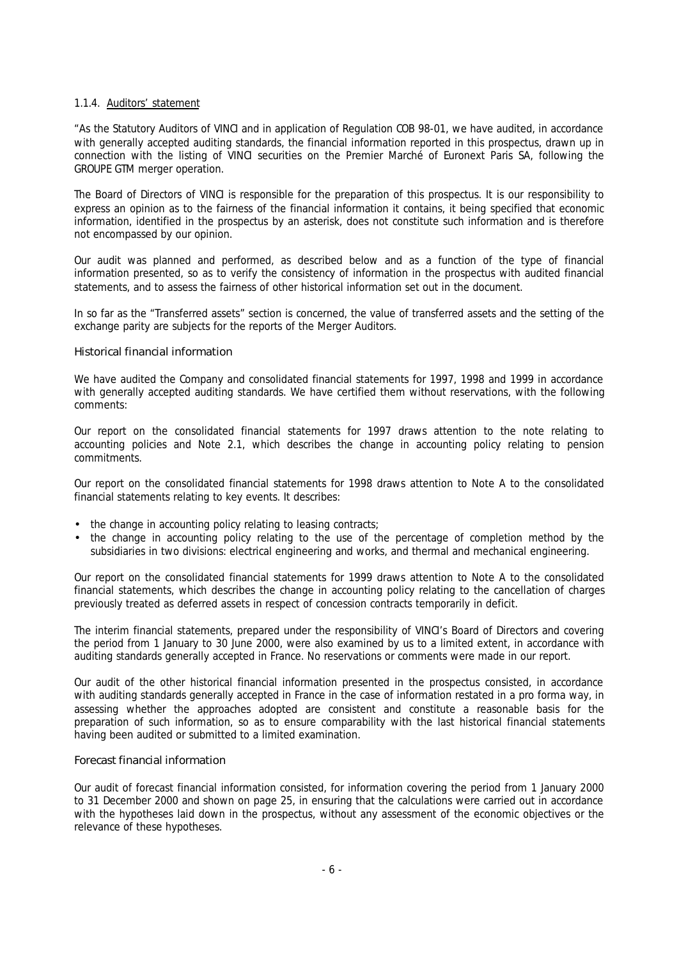#### 1.1.4. Auditors' statement

*"As the Statutory Auditors of VINCI and in application of Regulation COB 98-01, we have audited, in accordance with generally accepted auditing standards, the financial information reported in this prospectus, drawn up in connection with the listing of VINCI securities on the Premier Marché of Euronext Paris SA, following the GROUPE GTM merger operation.*

*The Board of Directors of VINCI is responsible for the preparation of this prospectus. It is our responsibility to express an opinion as to the fairness of the financial information it contains, it being specified that economic information, identified in the prospectus by an asterisk, does not constitute such information and is therefore not encompassed by our opinion.*

*Our audit was planned and performed, as described below and as a function of the type of financial information presented, so as to verify the consistency of information in the prospectus with audited financial statements, and to assess the fairness of other historical information set out in the document.*

*In so far as the "Transferred assets" section is concerned, the value of transferred assets and the setting of the exchange parity are subjects for the reports of the Merger Auditors.*

#### *Historical financial information*

*We have audited the Company and consolidated financial statements for 1997, 1998 and 1999 in accordance with generally accepted auditing standards. We have certified them without reservations, with the following comments:*

*Our report on the consolidated financial statements for 1997 draws attention to the note relating to accounting policies and Note 2.1, which describes the change in accounting policy relating to pension commitments.*

*Our report on the consolidated financial statements for 1998 draws attention to Note A to the consolidated financial statements relating to key events. It describes:*

- *the change in accounting policy relating to leasing contracts;*
- *the change in accounting policy relating to the use of the percentage of completion method by the subsidiaries in two divisions: electrical engineering and works, and thermal and mechanical engineering.*

*Our report on the consolidated financial statements for 1999 draws attention to Note A to the consolidated financial statements, which describes the change in accounting policy relating to the cancellation of charges previously treated as deferred assets in respect of concession contracts temporarily in deficit.*

*The interim financial statements, prepared under the responsibility of VINCI's Board of Directors and covering the period from 1 January to 30 June 2000, were also examined by us to a limited extent, in accordance with auditing standards generally accepted in France. No reservations or comments were made in our report.*

*Our audit of the other historical financial information presented in the prospectus consisted, in accordance with auditing standards generally accepted in France in the case of information restated in a pro forma way, in assessing whether the approaches adopted are consistent and constitute a reasonable basis for the preparation of such information, so as to ensure comparability with the last historical financial statements having been audited or submitted to a limited examination.*

#### *Forecast financial information*

*Our audit of forecast financial information consisted, for information covering the period from 1 January 2000 to 31 December 2000 and shown on page 25, in ensuring that the calculations were carried out in accordance with the hypotheses laid down in the prospectus, without any assessment of the economic objectives or the relevance of these hypotheses.*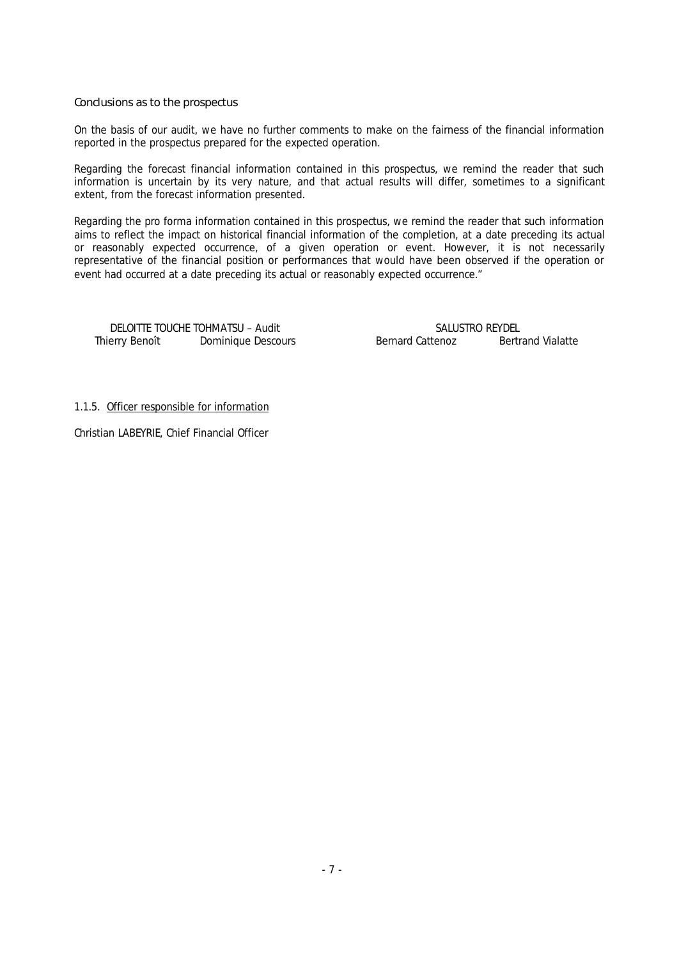*Conclusions as to the prospectus*

*On the basis of our audit, we have no further comments to make on the fairness of the financial information reported in the prospectus prepared for the expected operation.*

*Regarding the forecast financial information contained in this prospectus, we remind the reader that such information is uncertain by its very nature, and that actual results will differ, sometimes to a significant extent, from the forecast information presented.*

*Regarding the pro forma information contained in this prospectus, we remind the reader that such information aims to reflect the impact on historical financial information of the completion, at a date preceding its actual or reasonably expected occurrence, of a given operation or event. However, it is not necessarily representative of the financial position or performances that would have been observed if the operation or event had occurred at a date preceding its actual or reasonably expected occurrence."*

DELOITTE TOUCHE TOHMATSU – Audit Thierry Benoît Dominique Descours Bernard Cattenoz Bertrand Vialatte

SALUSTRO REYDEL

1.1.5. Officer responsible for information

Christian LABEYRIE, Chief Financial Officer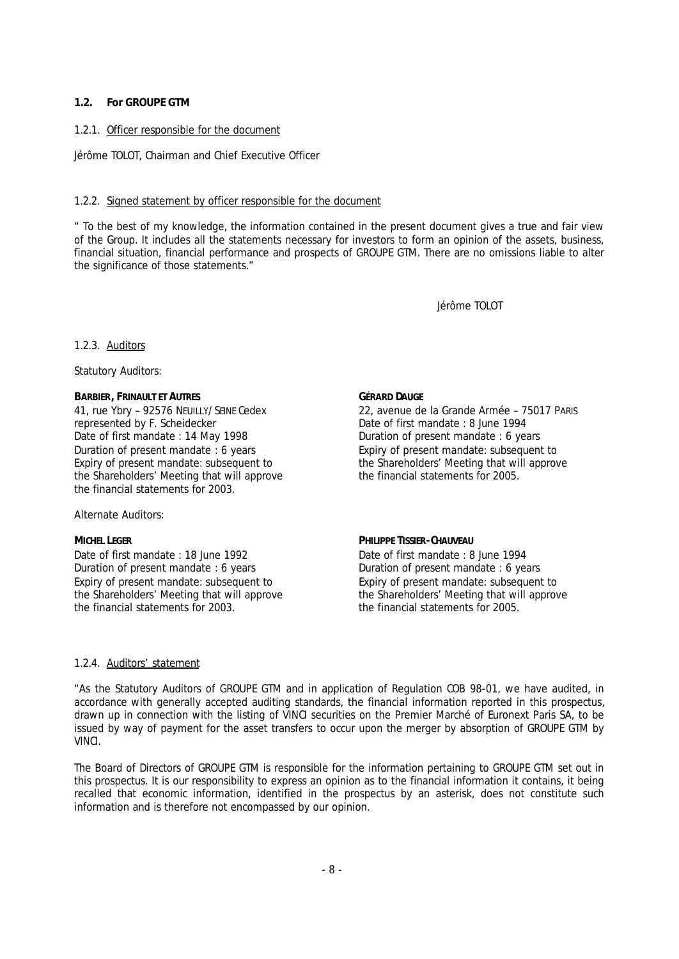## **1.2. For GROUPE GTM**

## 1.2.1. Officer responsible for the document

Jérôme TOLOT, Chairman and Chief Executive Officer

#### 1.2.2. Signed statement by officer responsible for the document

*" To the best of my knowledge, the information contained in the present document gives a true and fair view of the Group. It includes all the statements necessary for investors to form an opinion of the assets, business, financial situation, financial performance and prospects of GROUPE GTM. There are no omissions liable to alter the significance of those statements."*

Jérôme TOLOT

#### 1.2.3. Auditors

Statutory Auditors:

**BARBIER, FRINAULT ET AUTRES** 41, rue Ybry – 92576 NEUILLY/SEINE Cedex represented by F. Scheidecker Date of first mandate : 14 May 1998 Duration of present mandate : 6 years Expiry of present mandate: subsequent to the Shareholders' Meeting that will approve the financial statements for 2003.

#### Alternate Auditors:

**MICHEL LEGER**

Date of first mandate : 18 June 1992 Duration of present mandate : 6 years Expiry of present mandate: subsequent to the Shareholders' Meeting that will approve the financial statements for 2003.

**GÉRARD DAUGE** 22, avenue de la Grande Armée – 75017 PARIS Date of first mandate : 8 June 1994 Duration of present mandate : 6 years Expiry of present mandate: subsequent to the Shareholders' Meeting that will approve the financial statements for 2005.

**PHILIPPE TISSIER-CHAUVEAU** Date of first mandate : 8 June 1994 Duration of present mandate : 6 years Expiry of present mandate: subsequent to the Shareholders' Meeting that will approve the financial statements for 2005.

#### 1.2.4. Auditors' statement

*"As the Statutory Auditors of GROUPE GTM and in application of Regulation COB 98-01, we have audited, in accordance with generally accepted auditing standards, the financial information reported in this prospectus, drawn up in connection with the listing of VINCI securities on the Premier Marché of Euronext Paris SA, to be issued by way of payment for the asset transfers to occur upon the merger by absorption of GROUPE GTM by VINCI.*

*The Board of Directors of GROUPE GTM is responsible for the information pertaining to GROUPE GTM set out in this prospectus. It is our responsibility to express an opinion as to the financial information it contains, it being recalled that economic information, identified in the prospectus by an asterisk, does not constitute such information and is therefore not encompassed by our opinion.*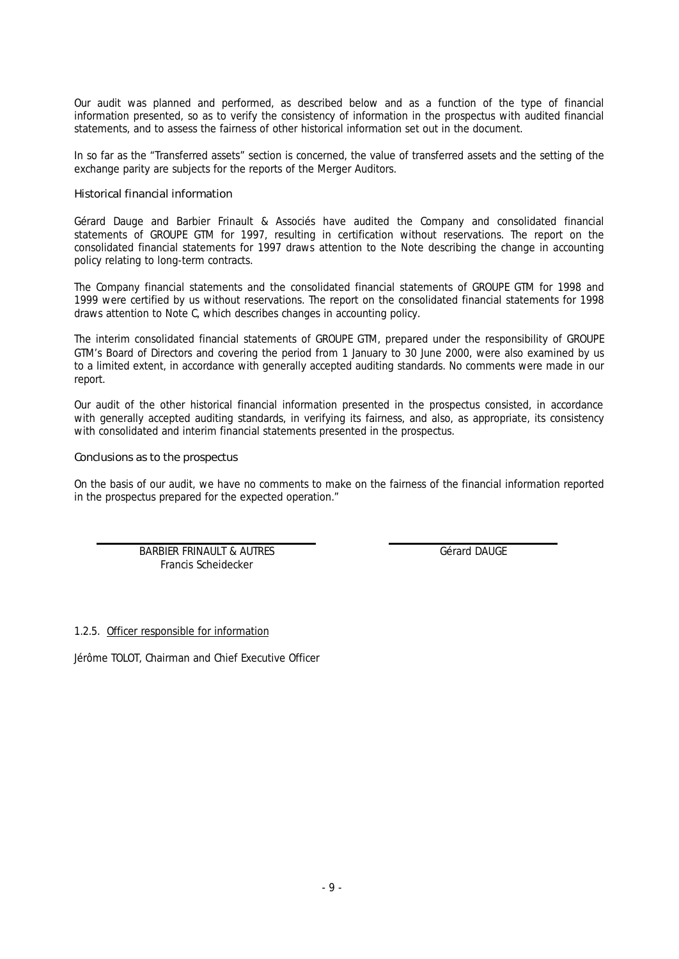*Our audit was planned and performed, as described below and as a function of the type of financial information presented, so as to verify the consistency of information in the prospectus with audited financial statements, and to assess the fairness of other historical information set out in the document.*

*In so far as the "Transferred assets" section is concerned, the value of transferred assets and the setting of the exchange parity are subjects for the reports of the Merger Auditors.*

#### *Historical financial information*

*Gérard Dauge and Barbier Frinault & Associés have audited the Company and consolidated financial statements of GROUPE GTM for 1997, resulting in certification without reservations. The report on the consolidated financial statements for 1997 draws attention to the Note describing the change in accounting policy relating to long-term contracts.*

*The Company financial statements and the consolidated financial statements of GROUPE GTM for 1998 and 1999 were certified by us without reservations. The report on the consolidated financial statements for 1998 draws attention to Note C, which describes changes in accounting policy.*

*The interim consolidated financial statements of GROUPE GTM, prepared under the responsibility of GROUPE GTM's Board of Directors and covering the period from 1 January to 30 June 2000, were also examined by us to a limited extent, in accordance with generally accepted auditing standards. No comments were made in our report.*

*Our audit of the other historical financial information presented in the prospectus consisted, in accordance with generally accepted auditing standards, in verifying its fairness, and also, as appropriate, its consistency with consolidated and interim financial statements presented in the prospectus.*

*Conclusions as to the prospectus*

*On the basis of our audit, we have no comments to make on the fairness of the financial information reported in the prospectus prepared for the expected operation."*

> BARBIER FRINAULT & AUTRES Francis Scheidecker

Gérard DAUGE

1.2.5. Officer responsible for information

Jérôme TOLOT, Chairman and Chief Executive Officer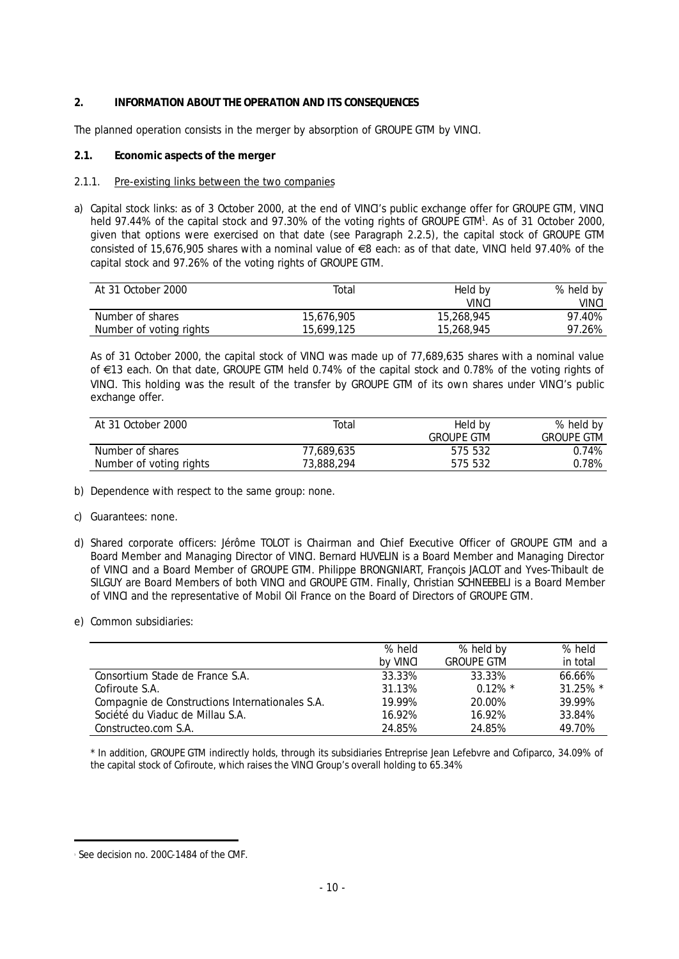## **2. INFORMATION ABOUT THE OPERATION AND ITS CONSEQUENCES**

The planned operation consists in the merger by absorption of GROUPE GTM by VINCI.

**2.1. Economic aspects of the merger**

## 2.1.1. Pre-existing links between the two companies

a) Capital stock links: as of 3 October 2000, at the end of VINCI's public exchange offer for GROUPE GTM, VINCI held 97.44% of the capital stock and 97.30% of the voting rights of GROUPE GTM<sup>1</sup>. As of 31 October 2000, given that options were exercised on that date (see Paragraph 2.2.5), the capital stock of GROUPE GTM consisted of 15,676,905 shares with a nominal value of  $\epsilon$ 8 each: as of that date, VINCI held 97.40% of the capital stock and 97.26% of the voting rights of GROUPE GTM.

| At 31 October 2000      | Total      | Held by    | % held by |
|-------------------------|------------|------------|-----------|
|                         |            | VINCI      | VINCI     |
| Number of shares        | 15.676.905 | 15,268,945 | 97.40%    |
| Number of voting rights | 15,699,125 | 15,268,945 | 97.26%    |

As of 31 October 2000, the capital stock of VINCI was made up of 77,689,635 shares with a nominal value of e13 each. On that date, GROUPE GTM held 0.74% of the capital stock and 0.78% of the voting rights of VINCI. This holding was the result of the transfer by GROUPE GTM of its own shares under VINCI's public exchange offer.

| At 31 October 2000      | Total      | Held by           | % held by         |
|-------------------------|------------|-------------------|-------------------|
|                         |            | <b>GROUPE GTM</b> | <b>GROUPE GTM</b> |
| Number of shares        | 77.689.635 | 575 532           | 0.74%             |
| Number of voting rights | 73.888.294 | 575 532           | 0.78%             |

- b) Dependence with respect to the same group: none.
- c) Guarantees: none.
- d) Shared corporate officers: Jérôme TOLOT is Chairman and Chief Executive Officer of GROUPE GTM and a Board Member and Managing Director of VINCI. Bernard HUVELIN is a Board Member and Managing Director of VINCI and a Board Member of GROUPE GTM. Philippe BRONGNIART, François JACLOT and Yves-Thibault de SILGUY are Board Members of both VINCI and GROUPE GTM. Finally, Christian SCHNEEBELI is a Board Member of VINCI and the representative of Mobil Oil France on the Board of Directors of GROUPE GTM.
- e) Common subsidiaries:

|                                                 | % held   | % held by         | % held      |
|-------------------------------------------------|----------|-------------------|-------------|
|                                                 | by VINCI | <b>GROUPE GTM</b> | in total    |
| Consortium Stade de France S.A.                 | 33.33%   | 33.33%            | 66.66%      |
| Cofiroute S.A.                                  | 31.13%   | $0.12\%$ *        | $31.25\%$ * |
| Compagnie de Constructions Internationales S.A. | 19.99%   | 20.00%            | 39.99%      |
| Société du Viaduc de Millau S.A.                | 16.92%   | 16.92%            | 33.84%      |
| Constructeo.com S.A.                            | 24.85%   | 24.85%            | 49.70%      |

*\* In addition, GROUPE GTM indirectly holds, through its subsidiaries Entreprise Jean Lefebvre and Cofiparco, 34.09% of the capital stock of Cofiroute, which raises the VINCI Group's overall holding to 65.34%*

j 1 See decision no. 200C-1484 of the CMF.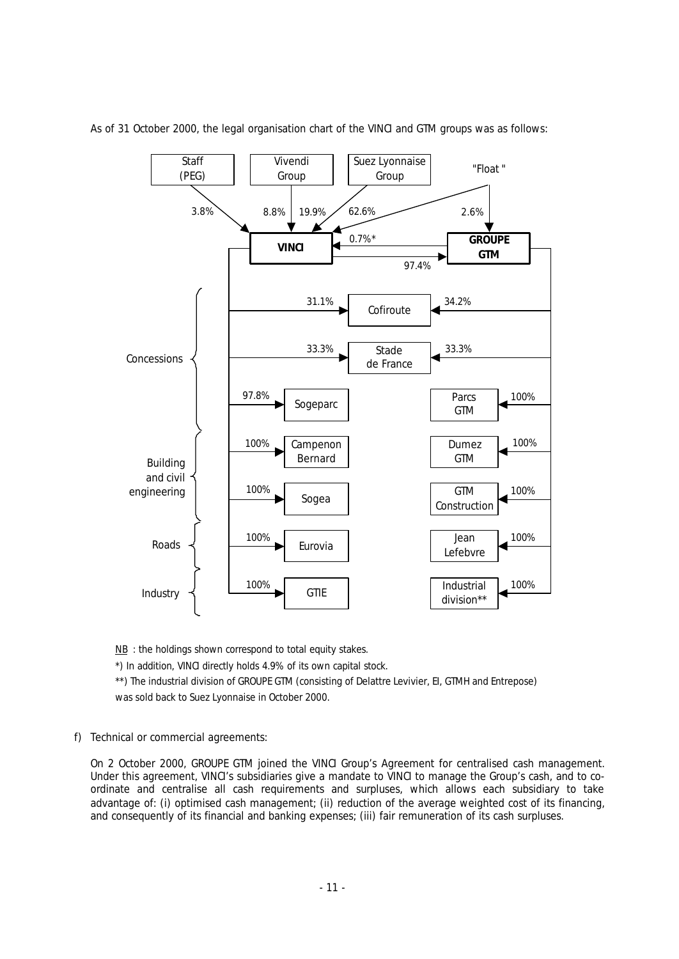

As of 31 October 2000, the legal organisation chart of the VINCI and GTM groups was as follows:

*NB : the holdings shown correspond to total equity stakes. \*) In addition, VINCI directly holds 4.9% of its own capital stock. \*\*) The industrial division of GROUPE GTM (consisting of Delattre Levivier, EI, GTMH and Entrepose) was sold back to Suez Lyonnaise in October 2000.*

f) Technical or commercial agreements:

On 2 October 2000, GROUPE GTM joined the VINCI Group's Agreement for centralised cash management. Under this agreement, VINCI's subsidiaries give a mandate to VINCI to manage the Group's cash, and to coordinate and centralise all cash requirements and surpluses, which allows each subsidiary to take advantage of: (i) optimised cash management; (ii) reduction of the average weighted cost of its financing, and consequently of its financial and banking expenses; (iii) fair remuneration of its cash surpluses.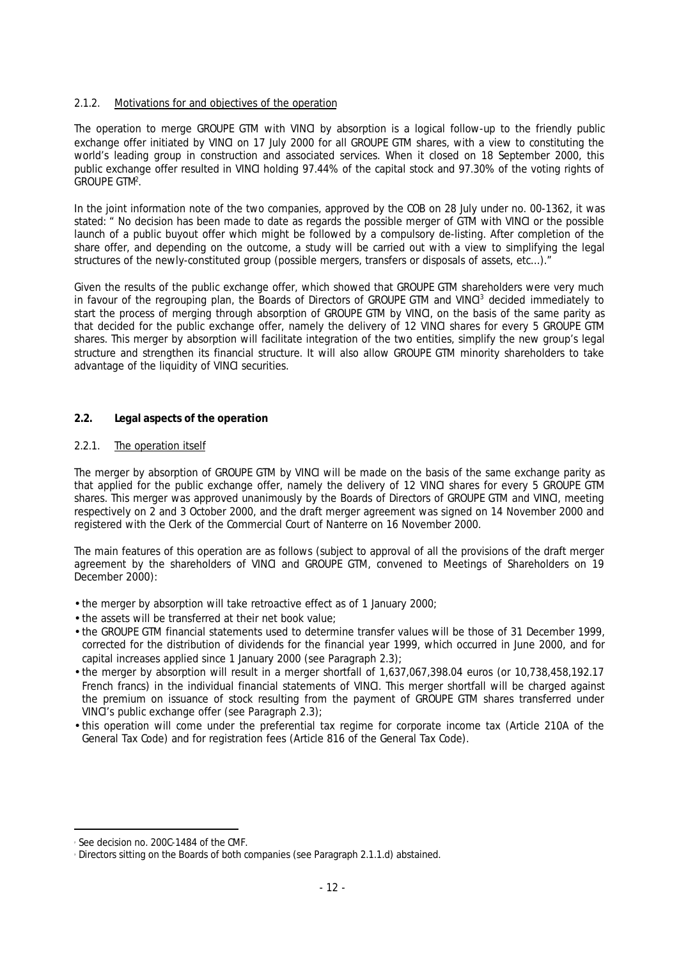## 2.1.2. Motivations for and objectives of the operation

The operation to merge GROUPE GTM with VINCI by absorption is a logical follow-up to the friendly public exchange offer initiated by VINCI on 17 July 2000 for all GROUPE GTM shares, with a view to constituting the world's leading group in construction and associated services. When it closed on 18 September 2000, this public exchange offer resulted in VINCI holding 97.44% of the capital stock and 97.30% of the voting rights of GROUPE GTM<sup>2</sup> .

In the joint information note of the two companies, approved by the COB on 28 July under no. 00-1362, it was stated: *" No decision has been made to date as regards the possible merger of GTM with VINCI or the possible launch of a public buyout offer which might be followed by a compulsory de-listing. After completion of the share offer, and depending on the outcome, a study will be carried out with a view to simplifying the legal structures of the newly-constituted group (possible mergers, transfers or disposals of assets, etc…)."*

Given the results of the public exchange offer, which showed that GROUPE GTM shareholders were very much in favour of the regrouping plan, the Boards of Directors of GROUPE GTM and VINCI<sup>3</sup> decided immediately to start the process of merging through absorption of GROUPE GTM by VINCI, on the basis of the same parity as that decided for the public exchange offer, namely the delivery of 12 VINCI shares for every 5 GROUPE GTM shares. This merger by absorption will facilitate integration of the two entities, simplify the new group's legal structure and strengthen its financial structure. It will also allow GROUPE GTM minority shareholders to take advantage of the liquidity of VINCI securities.

**2.2. Legal aspects of the operation**

## 2.2.1. The operation itself

The merger by absorption of GROUPE GTM by VINCI will be made on the basis of the same exchange parity as that applied for the public exchange offer, namely the delivery of 12 VINCI shares for every 5 GROUPE GTM shares. This merger was approved unanimously by the Boards of Directors of GROUPE GTM and VINCI, meeting respectively on 2 and 3 October 2000, and the draft merger agreement was signed on 14 November 2000 and registered with the Clerk of the Commercial Court of Nanterre on 16 November 2000.

The main features of this operation are as follows (subject to approval of all the provisions of the draft merger agreement by the shareholders of VINCI and GROUPE GTM, convened to Meetings of Shareholders on 19 December 2000):

- the merger by absorption will take retroactive effect as of 1 January 2000;
- the assets will be transferred at their net book value;
- the GROUPE GTM financial statements used to determine transfer values will be those of 31 December 1999, corrected for the distribution of dividends for the financial year 1999, which occurred in June 2000, and for capital increases applied since 1 January 2000 (see Paragraph 2.3);
- the merger by absorption will result in a merger shortfall of 1,637,067,398.04 euros (or 10,738,458,192.17 French francs) in the individual financial statements of VINCI. This merger shortfall will be charged against the premium on issuance of stock resulting from the payment of GROUPE GTM shares transferred under VINCI's public exchange offer (see Paragraph 2.3);
- this operation will come under the preferential tax regime for corporate income tax (Article 210A of the General Tax Code) and for registration fees (Article 816 of the General Tax Code).

 2 See decision no. 200C-1484 of the CMF.

Directors sitting on the Boards of both companies (see Paragraph 2.1.1.d) abstained.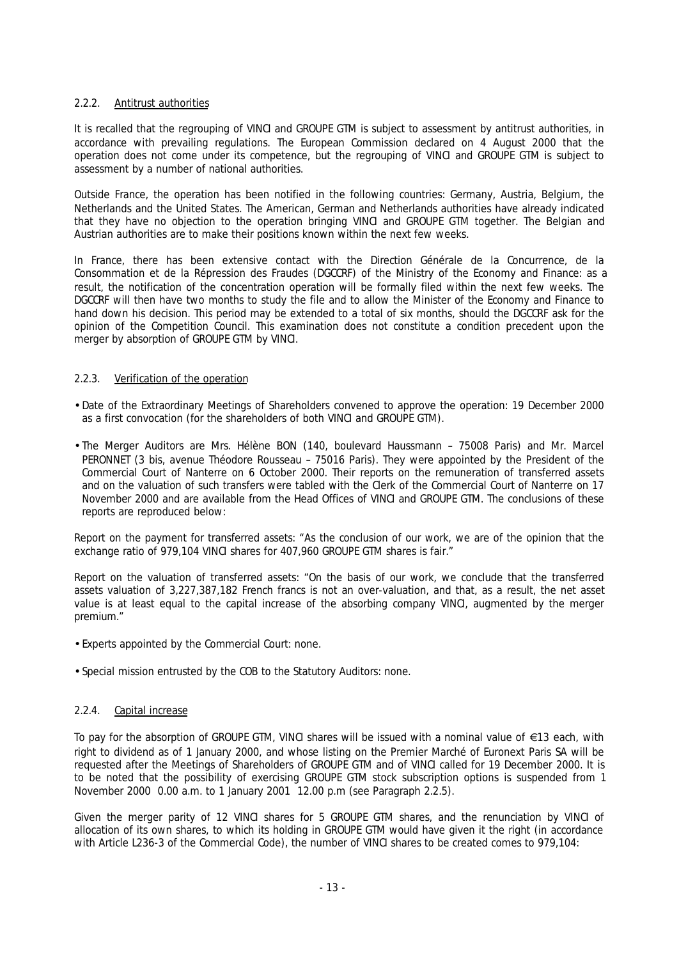## 2.2.2. Antitrust authorities

It is recalled that the regrouping of VINCI and GROUPE GTM is subject to assessment by antitrust authorities, in accordance with prevailing regulations. The European Commission declared on 4 August 2000 that the operation does not come under its competence, but the regrouping of VINCI and GROUPE GTM is subject to assessment by a number of national authorities.

Outside France, the operation has been notified in the following countries: Germany, Austria, Belgium, the Netherlands and the United States. The American, German and Netherlands authorities have already indicated that they have no objection to the operation bringing VINCI and GROUPE GTM together. The Belgian and Austrian authorities are to make their positions known within the next few weeks.

In France, there has been extensive contact with the Direction Générale de la Concurrence, de la Consommation et de la Répression des Fraudes (DGCCRF) of the Ministry of the Economy and Finance: as a result, the notification of the concentration operation will be formally filed within the next few weeks. The DGCCRF will then have two months to study the file and to allow the Minister of the Economy and Finance to hand down his decision. This period may be extended to a total of six months, should the DGCCRF ask for the opinion of the Competition Council. This examination does not constitute a condition precedent upon the merger by absorption of GROUPE GTM by VINCI.

## 2.2.3. Verification of the operation

- Date of the Extraordinary Meetings of Shareholders convened to approve the operation: 19 December 2000 as a first convocation (for the shareholders of both VINCI and GROUPE GTM).
- The Merger Auditors are Mrs. Hélène BON (140, boulevard Haussmann 75008 Paris) and Mr. Marcel PERONNET (3 bis, avenue Théodore Rousseau – 75016 Paris). They were appointed by the President of the Commercial Court of Nanterre on 6 October 2000. Their reports on the remuneration of transferred assets and on the valuation of such transfers were tabled with the Clerk of the Commercial Court of Nanterre on 17 November 2000 and are available from the Head Offices of VINCI and GROUPE GTM. The conclusions of these reports are reproduced below:

Report on the payment for transferred assets: "As the conclusion of our work, we are of the opinion that the exchange ratio of 979,104 VINCI shares for 407,960 GROUPE GTM shares is fair."

Report on the valuation of transferred assets: "On the basis of our work, we conclude that the transferred assets valuation of 3,227,387,182 French francs is not an over-valuation, and that, as a result, the net asset value is at least equal to the capital increase of the absorbing company VINCI, augmented by the merger premium."

- Experts appointed by the Commercial Court: none.
- Special mission entrusted by the COB to the Statutory Auditors: none.

## 2.2.4. Capital increase

To pay for the absorption of GROUPE GTM, VINCI shares will be issued with a nominal value of  $\epsilon$ 13 each, with right to dividend as of 1 January 2000, and whose listing on the Premier Marché of Euronext Paris SA will be requested after the Meetings of Shareholders of GROUPE GTM and of VINCI called for 19 December 2000. It is to be noted that the possibility of exercising GROUPE GTM stock subscription options is suspended from 1 November 2000 0.00 a.m. to 1 January 2001 12.00 p.m (see Paragraph 2.2.5).

Given the merger parity of 12 VINCI shares for 5 GROUPE GTM shares, and the renunciation by VINCI of allocation of its own shares, to which its holding in GROUPE GTM would have given it the right (in accordance with Article L236-3 of the Commercial Code), the number of VINCI shares to be created comes to 979,104: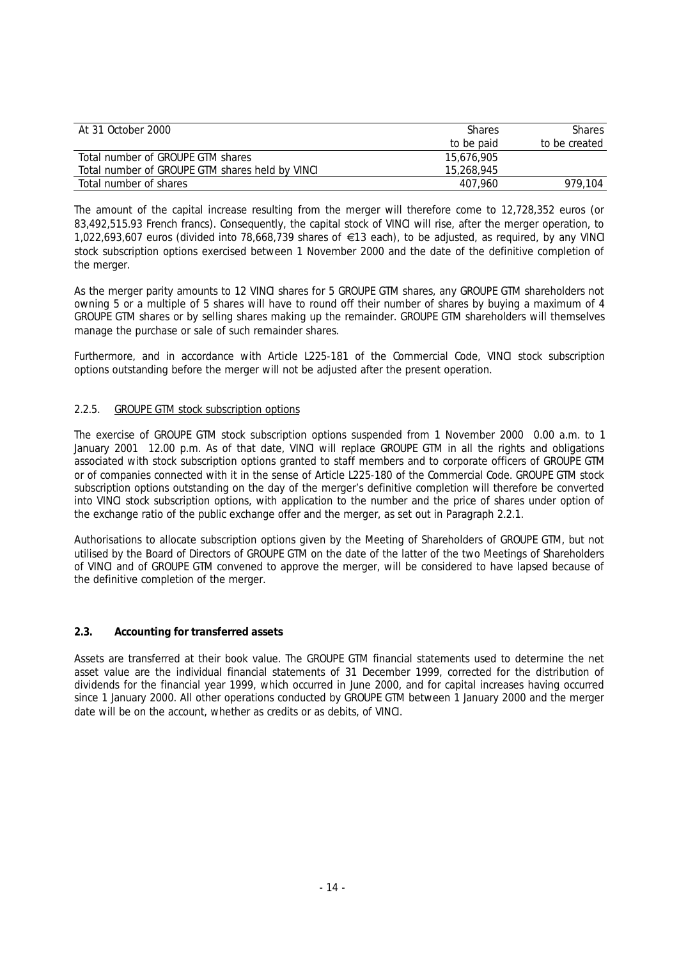| At 31 October 2000                              | <b>Shares</b> | <b>Shares</b> |
|-------------------------------------------------|---------------|---------------|
|                                                 | to be paid    | to be created |
| Total number of GROUPE GTM shares               | 15.676.905    |               |
| Total number of GROUPE GTM shares held by VINCI | 15,268,945    |               |
| Total number of shares                          | 407.960       | 979.104       |

The amount of the capital increase resulting from the merger will therefore come to 12,728,352 euros (or 83,492,515.93 French francs). Consequently, the capital stock of VINCI will rise, after the merger operation, to 1,022,693,607 euros (divided into 78,668,739 shares of €13 each), to be adjusted, as required, by any VINCI stock subscription options exercised between 1 November 2000 and the date of the definitive completion of the merger.

As the merger parity amounts to 12 VINCI shares for 5 GROUPE GTM shares, any GROUPE GTM shareholders not owning 5 or a multiple of 5 shares will have to round off their number of shares by buying a maximum of 4 GROUPE GTM shares or by selling shares making up the remainder. GROUPE GTM shareholders will themselves manage the purchase or sale of such remainder shares.

Furthermore, and in accordance with Article L225-181 of the Commercial Code, VINCI stock subscription options outstanding before the merger will not be adjusted after the present operation.

## 2.2.5. GROUPE GTM stock subscription options

The exercise of GROUPE GTM stock subscription options suspended from 1 November 2000 0.00 a.m. to 1 January 2001 12.00 p.m. As of that date, VINCI will replace GROUPE GTM in all the rights and obligations associated with stock subscription options granted to staff members and to corporate officers of GROUPE GTM or of companies connected with it in the sense of Article L225-180 of the Commercial Code. GROUPE GTM stock subscription options outstanding on the day of the merger's definitive completion will therefore be converted into VINCI stock subscription options, with application to the number and the price of shares under option of the exchange ratio of the public exchange offer and the merger, as set out in Paragraph 2.2.1.

Authorisations to allocate subscription options given by the Meeting of Shareholders of GROUPE GTM, but not utilised by the Board of Directors of GROUPE GTM on the date of the latter of the two Meetings of Shareholders of VINCI and of GROUPE GTM convened to approve the merger, will be considered to have lapsed because of the definitive completion of the merger.

#### **2.3. Accounting for transferred assets**

Assets are transferred at their book value. The GROUPE GTM financial statements used to determine the net asset value are the individual financial statements of 31 December 1999, corrected for the distribution of dividends for the financial year 1999, which occurred in June 2000, and for capital increases having occurred since 1 January 2000. All other operations conducted by GROUPE GTM between 1 January 2000 and the merger date will be on the account, whether as credits or as debits, of VINCI.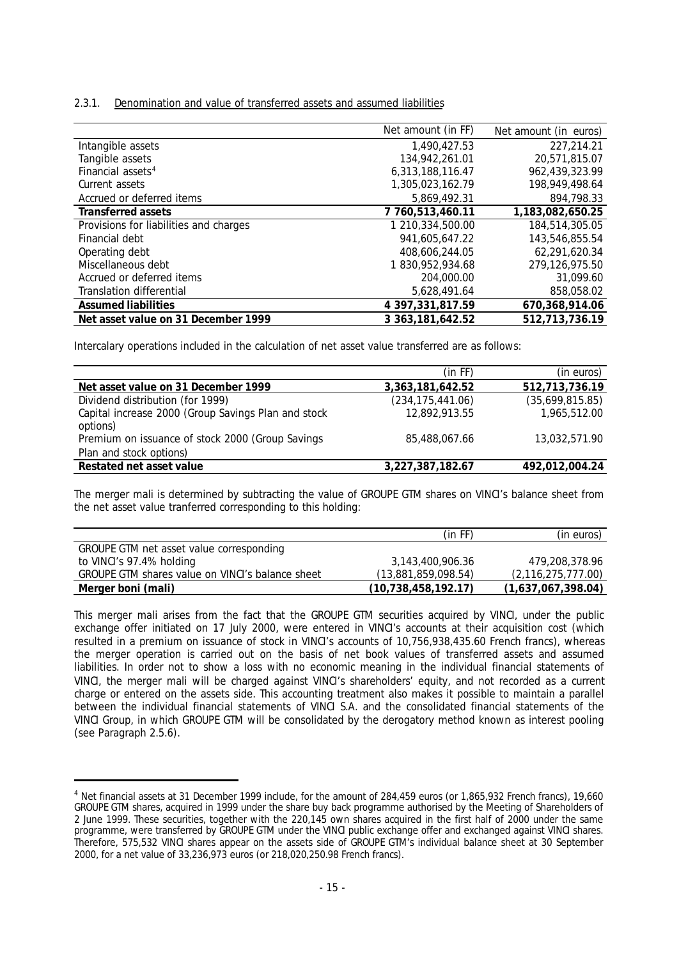#### 2.3.1. Denomination and value of transferred assets and assumed liabilities

|                                        | Net amount (in FF)  | Net amount (in euros) |
|----------------------------------------|---------------------|-----------------------|
| Intangible assets                      | 1,490,427.53        | 227,214.21            |
| Tangible assets                        | 134,942,261.01      | 20,571,815.07         |
| Financial assets <sup>4</sup>          | 6.313.188.116.47    | 962.439.323.99        |
| Current assets                         | 1,305,023,162.79    | 198,949,498.64        |
| Accrued or deferred items              | 5,869,492.31        | 894,798.33            |
| Transferred assets                     | 7 760.513.460.11    | 1,183,082,650.25      |
| Provisions for liabilities and charges | 1 210,334,500.00    | 184,514,305.05        |
| Financial debt                         | 941.605.647.22      | 143,546,855.54        |
| Operating debt                         | 408.606.244.05      | 62,291,620.34         |
| Miscellaneous debt                     | 1830,952,934.68     | 279.126.975.50        |
| Accrued or deferred items              | 204,000.00          | 31,099.60             |
| Translation differential               | 5,628,491.64        | 858,058.02            |
| <b>Assumed liabilities</b>             | 4 397, 331, 817.59  | 670,368,914.06        |
| Net asset value on 31 December 1999    | 3 363, 181, 642. 52 | 512,713,736.19        |

Intercalary operations included in the calculation of net asset value transferred are as follows:

|                                                     | (in FF)            | (in euros)      |
|-----------------------------------------------------|--------------------|-----------------|
| Net asset value on 31 December 1999                 | 3,363,181,642.52   | 512,713,736.19  |
| Dividend distribution (for 1999)                    | (234, 175, 441.06) | (35,699,815.85) |
| Capital increase 2000 (Group Savings Plan and stock | 12,892,913.55      | 1,965,512.00    |
| options)                                            |                    |                 |
| Premium on issuance of stock 2000 (Group Savings    | 85,488,067.66      | 13,032,571.90   |
| Plan and stock options)                             |                    |                 |
| Restated net asset value                            | 3,227,387,182.67   | 492,012,004.24  |

The merger mali is determined by subtracting the value of GROUPE GTM shares on VINCI's balance sheet from the net asset value tranferred corresponding to this holding:

|                                                  | (in FF)                | (in euros)            |
|--------------------------------------------------|------------------------|-----------------------|
| GROUPE GTM net asset value corresponding         |                        |                       |
| to VINCI's 97.4% holding                         | 3,143,400,906.36       | 479.208.378.96        |
| GROUPE GTM shares value on VINCI's balance sheet | (13,881,859,098.54)    | (2, 116, 275, 777.00) |
| Merger boni (mali)                               | (10, 738, 458, 192.17) | (1,637,067,398.04)    |

This merger mali arises from the fact that the GROUPE GTM securities acquired by VINCI, under the public exchange offer initiated on 17 July 2000, were entered in VINCI's accounts at their acquisition cost (which resulted in a premium on issuance of stock in VINCI's accounts of 10,756,938,435.60 French francs), whereas the merger operation is carried out on the basis of net book values of transferred assets and assumed liabilities. In order not to show a loss with no economic meaning in the individual financial statements of VINCI, the merger mali will be charged against VINCI's shareholders' equity, and not recorded as a current charge or entered on the assets side. This accounting treatment also makes it possible to maintain a parallel between the individual financial statements of VINCI S.A. and the consolidated financial statements of the VINCI Group, in which GROUPE GTM will be consolidated by the derogatory method known as interest pooling (see Paragraph 2.5.6).

j

<sup>4</sup> *Net financial assets at 31 December 1999 include, for the amount of 284,459 euros (or 1,865,932 French francs), 19,660 GROUPE GTM shares, acquired in 1999 under the share buy back programme authorised by the Meeting of Shareholders of 2 June 1999. These securities, together with the 220,145 own shares acquired in the first half of 2000 under the same programme, were transferred by GROUPE GTM under the VINCI public exchange offer and exchanged against VINCI shares. Therefore, 575,532 VINCI shares appear on the assets side of GROUPE GTM's individual balance sheet at 30 September 2000, for a net value of 33,236,973 euros (or 218,020,250.98 French francs).*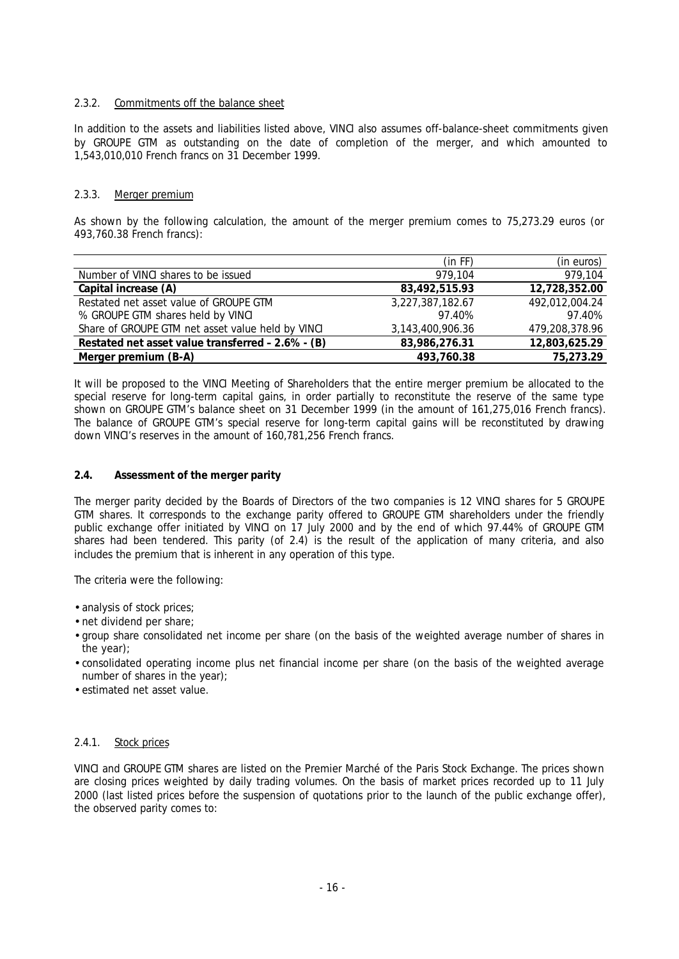## 2.3.2. Commitments off the balance sheet

In addition to the assets and liabilities listed above, VINCI also assumes off-balance-sheet commitments given by GROUPE GTM as outstanding on the date of completion of the merger, and which amounted to 1,543,010,010 French francs on 31 December 1999.

## 2.3.3. Merger premium

As shown by the following calculation, the amount of the merger premium comes to 75,273.29 euros (or 493,760.38 French francs):

|                                                   | (in FF)          | (in euros)     |
|---------------------------------------------------|------------------|----------------|
| Number of VINCI shares to be issued               | 979.104          | 979,104        |
| Capital increase (A)                              | 83.492.515.93    | 12,728,352.00  |
| Restated net asset value of GROUPE GTM            | 3,227,387,182.67 | 492,012,004.24 |
| % GROUPE GTM shares held by VINCI                 | 97.40%           | 97.40%         |
| Share of GROUPE GTM net asset value held by VINCI | 3,143,400,906.36 | 479,208,378.96 |
| Restated net asset value transferred - 2.6% - (B) | 83,986,276.31    | 12,803,625.29  |
| Merger premium (B-A)                              | 493.760.38       | 75,273.29      |

It will be proposed to the VINCI Meeting of Shareholders that the entire merger premium be allocated to the special reserve for long-term capital gains, in order partially to reconstitute the reserve of the same type shown on GROUPE GTM's balance sheet on 31 December 1999 (in the amount of 161,275,016 French francs). The balance of GROUPE GTM's special reserve for long-term capital gains will be reconstituted by drawing down VINCI's reserves in the amount of 160,781,256 French francs.

## **2.4. Assessment of the merger parity**

The merger parity decided by the Boards of Directors of the two companies is 12 VINCI shares for 5 GROUPE GTM shares. It corresponds to the exchange parity offered to GROUPE GTM shareholders under the friendly public exchange offer initiated by VINCI on 17 July 2000 and by the end of which 97.44% of GROUPE GTM shares had been tendered. This parity (of 2.4) is the result of the application of many criteria, and also includes the premium that is inherent in any operation of this type.

The criteria were the following:

- analysis of stock prices;
- net dividend per share;
- group share consolidated net income per share (on the basis of the weighted average number of shares in the year);
- consolidated operating income plus net financial income per share (on the basis of the weighted average number of shares in the year);
- estimated net asset value.

#### 2.4.1. Stock prices

VINCI and GROUPE GTM shares are listed on the Premier Marché of the Paris Stock Exchange. The prices shown are closing prices weighted by daily trading volumes. On the basis of market prices recorded up to 11 July 2000 (last listed prices before the suspension of quotations prior to the launch of the public exchange offer), the observed parity comes to: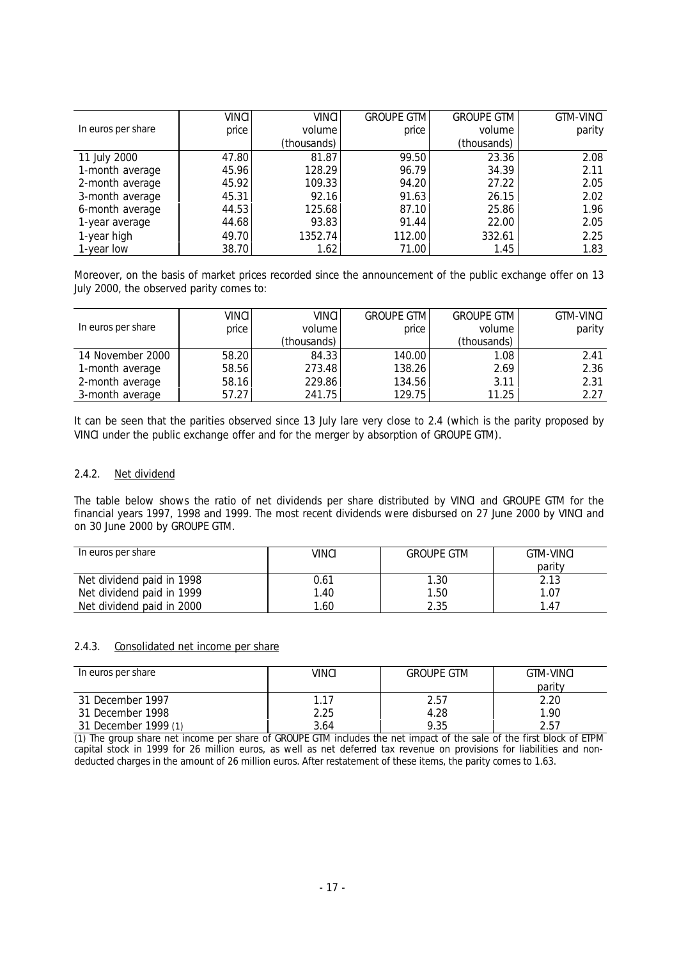|                    | VINCI | <b>VINCI</b> | <b>GROUPE GTM</b> | <b>GROUPE GTM</b> | <b>GTM-VINCI</b> |
|--------------------|-------|--------------|-------------------|-------------------|------------------|
| In euros per share | price | volume       | price             | volume            | parity           |
|                    |       | (thousands)  |                   | (thousands)       |                  |
| 11 July 2000       | 47.80 | 81.87        | 99.50             | 23.36             | 2.08             |
| 1-month average    | 45.96 | 128.29       | 96.79             | 34.39             | 2.11             |
| 2-month average    | 45.92 | 109.33       | 94.20             | 27.22             | 2.05             |
| 3-month average    | 45.31 | 92.16        | 91.63             | 26.15             | 2.02             |
| 6-month average    | 44.53 | 125.68       | 87.10             | 25.86             | 1.96             |
| 1-year average     | 44.68 | 93.83        | 91.44             | 22.00             | 2.05             |
| 1-year high        | 49.70 | 1352.74      | 112.00            | 332.61            | 2.25             |
| 1-year low         | 38.70 | 1.62         | 71.00             | 1.45              | 1.83             |

Moreover, on the basis of market prices recorded since the announcement of the public exchange offer on 13 July 2000, the observed parity comes to:

|                    | VINCI | <b>VINCI</b> | <b>GROUPE GTM</b> | <b>GROUPE GTM</b> | <b>GTM-VINCI</b> |
|--------------------|-------|--------------|-------------------|-------------------|------------------|
| In euros per share | price | volume       | price             | volume            | parity           |
|                    |       | (thousands)  |                   | (thousands)       |                  |
| 14 November 2000   | 58.20 | 84.33        | 140.00            | 1.08              | 2.41             |
| 1-month average    | 58.56 | 273.48       | 138.26            | 2.69              | 2.36             |
| 2-month average    | 58.16 | 229.86       | 134.56            | 3.11              | 2.31             |
| 3-month average    | 57.27 | 241.75       | 129.75            | 11.25             | 2.27             |

It can be seen that the parities observed since 13 July lare very close to 2.4 (which is the parity proposed by VINCI under the public exchange offer and for the merger by absorption of GROUPE GTM).

## 2.4.2. Net dividend

The table below shows the ratio of net dividends per share distributed by VINCI and GROUPE GTM for the financial years 1997, 1998 and 1999. The most recent dividends were disbursed on 27 June 2000 by VINCI and on 30 June 2000 by GROUPE GTM.

| In euros per share        | VINCI | <b>GROUPE GTM</b> | GTM-VINCI |
|---------------------------|-------|-------------------|-----------|
|                           |       |                   | parity    |
| Net dividend paid in 1998 | 0.61  | 1.30              | 2.13      |
| Net dividend paid in 1999 | 1.40  | 1.50              | 1.07      |
| Net dividend paid in 2000 | 1.60  | 2.35              | 47        |

#### 2.4.3. Consolidated net income per share

| In euros per share   | VINCI | <b>GROUPE GTM</b> | <b>GTM-VINCI</b> |
|----------------------|-------|-------------------|------------------|
|                      |       |                   | parity           |
| 31 December 1997     | 1.17  | 2.57              | 2.20             |
| 31 December 1998     | 2.25  | 4.28              | 1.90             |
| 31 December 1999 (1) | 3.64  | 9.35              | 2.57             |

*(1) The group share net income per share of GROUPE GTM includes the net impact of the sale of the first block of ETPM capital stock in 1999 for 26 million euros, as well as net deferred tax revenue on provisions for liabilities and nondeducted charges in the amount of 26 million euros. After restatement of these items, the parity comes to 1.63.*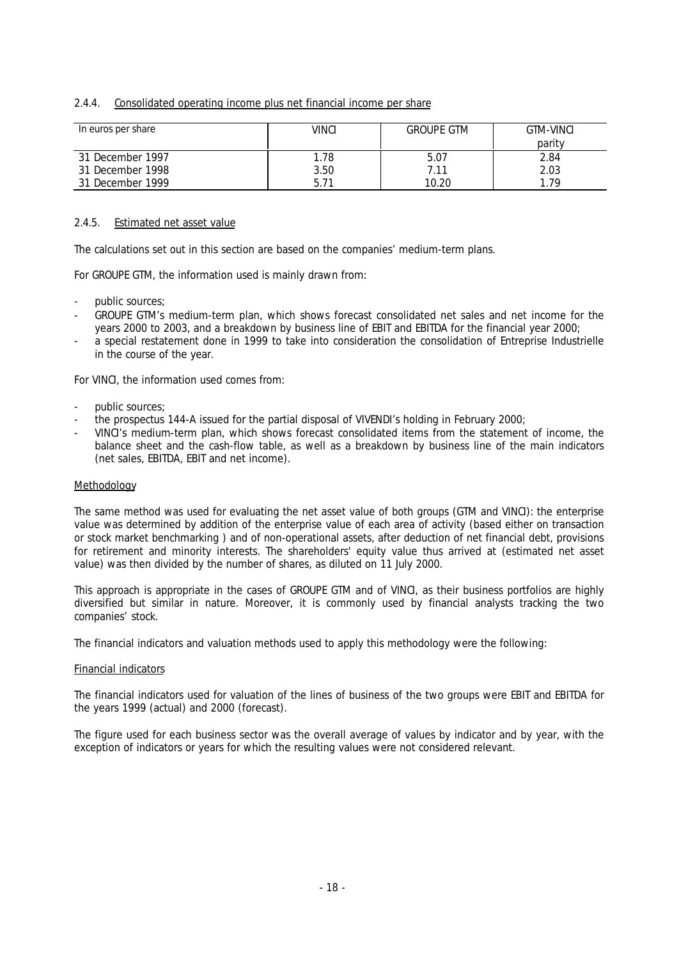#### 2.4.4. Consolidated operating income plus net financial income per share

| In euros per share | VINCI<br><b>GROUPE GTM</b> |       | <b>GTM-VINCL</b> |  |
|--------------------|----------------------------|-------|------------------|--|
|                    |                            |       | parity           |  |
| 31 December 1997   | 1.78                       | 5.07  | 2.84             |  |
| 31 December 1998   | 3.50                       | 7.11  | 2.03             |  |
| 31 December 1999   | 5.71                       | 10.20 | 1.79             |  |

#### 2.4.5. Estimated net asset value

The calculations set out in this section are based on the companies' medium-term plans.

For GROUPE GTM, the information used is mainly drawn from:

- public sources;
- GROUPE GTM's medium-term plan, which shows forecast consolidated net sales and net income for the years 2000 to 2003, and a breakdown by business line of EBIT and EBITDA for the financial year 2000;
- a special restatement done in 1999 to take into consideration the consolidation of Entreprise Industrielle in the course of the year.

For VINCI, the information used comes from:

- public sources:
- the prospectus 144-A issued for the partial disposal of VIVENDI's holding in February 2000;
- VINCI's medium-term plan, which shows forecast consolidated items from the statement of income, the balance sheet and the cash-flow table, as well as a breakdown by business line of the main indicators (net sales, EBITDA, EBIT and net income).

#### *Methodology*

The same method was used for evaluating the net asset value of both groups (GTM and VINCI): the enterprise value was determined by addition of the enterprise value of each area of activity (based either on transaction or stock market benchmarking ) and of non-operational assets, after deduction of net financial debt, provisions for retirement and minority interests. The shareholders' equity value thus arrived at (estimated net asset value) was then divided by the number of shares, as diluted on 11 July 2000.

This approach is appropriate in the cases of GROUPE GTM and of VINCI, as their business portfolios are highly diversified but similar in nature. Moreover, it is commonly used by financial analysts tracking the two companies' stock.

The financial indicators and valuation methods used to apply this methodology were the following:

#### *Financial indicators*

The financial indicators used for valuation of the lines of business of the two groups were EBIT and EBITDA for the years 1999 (actual) and 2000 (forecast).

The figure used for each business sector was the overall average of values by indicator and by year, with the exception of indicators or years for which the resulting values were not considered relevant.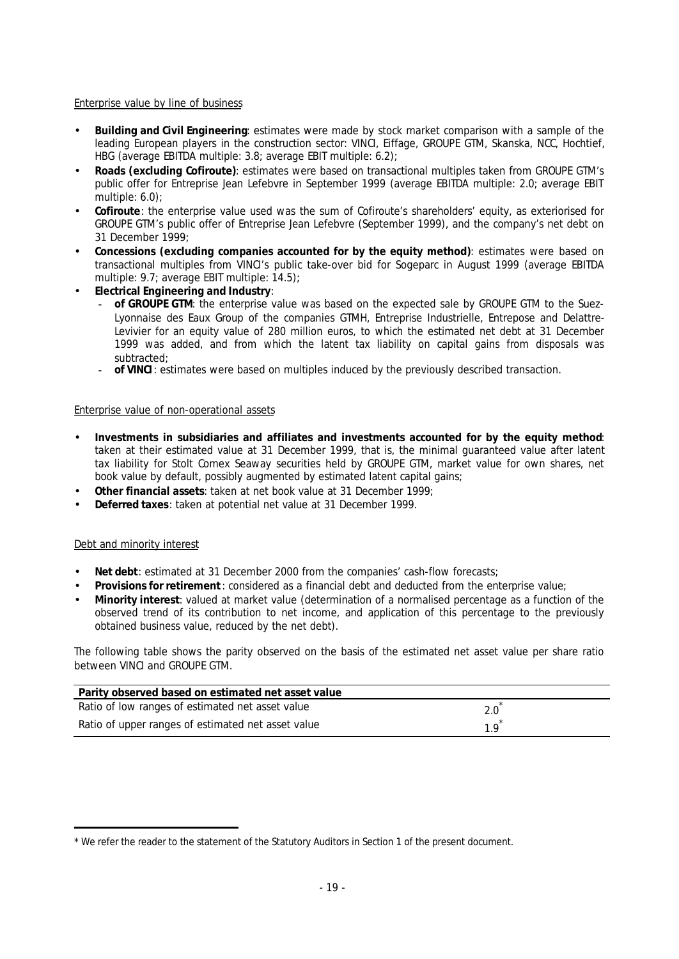## *Enterprise value by line of business*

- **Building and Civil Engineering**: estimates were made by stock market comparison with a sample of the leading European players in the construction sector: VINCI, Eiffage, GROUPE GTM, Skanska, NCC, Hochtief, HBG (average EBITDA multiple: 3.8; average EBIT multiple: 6.2);
- **Roads (excluding Cofiroute)**: estimates were based on transactional multiples taken from GROUPE GTM's public offer for Entreprise Jean Lefebvre in September 1999 (average EBITDA multiple: 2.0; average EBIT multiple: 6.0);
- **Cofiroute**: the enterprise value used was the sum of Cofiroute's shareholders' equity, as exteriorised for GROUPE GTM's public offer of Entreprise Jean Lefebvre (September 1999), and the company's net debt on 31 December 1999;
- **Concessions (excluding companies accounted for by the equity method)**: estimates were based on transactional multiples from VINCI's public take-over bid for Sogeparc in August 1999 (average EBITDA multiple: 9.7; average EBIT multiple: 14.5);
- **Electrical Engineering and Industry**:
	- **of GROUPE GTM**: the enterprise value was based on the expected sale by GROUPE GTM to the Suez-Lyonnaise des Eaux Group of the companies GTMH, Entreprise Industrielle, Entrepose and Delattre-Levivier for an equity value of 280 million euros, to which the estimated net debt at 31 December 1999 was added, and from which the latent tax liability on capital gains from disposals was subtracted;
	- **of VINCI**: estimates were based on multiples induced by the previously described transaction.

## *Enterprise value of non-operational assets*

- **Investments in subsidiaries and affiliates and investments accounted for by the equity method**: taken at their estimated value at 31 December 1999, that is, the minimal guaranteed value after latent tax liability for Stolt Comex Seaway securities held by GROUPE GTM, market value for own shares, net book value by default, possibly augmented by estimated latent capital gains;
- **Other financial assets**: taken at net book value at 31 December 1999;
- **Deferred taxes**: taken at potential net value at 31 December 1999.

## *Debt and minority interest*

- **Net debt**: estimated at 31 December 2000 from the companies' cash-flow forecasts;
- **Provisions for retirement**: considered as a financial debt and deducted from the enterprise value;
- **Minority interest**: valued at market value (determination of a normalised percentage as a function of the observed trend of its contribution to net income, and application of this percentage to the previously obtained business value, reduced by the net debt).

The following table shows the parity observed on the basis of the estimated net asset value per share ratio between VINCI and GROUPE GTM.

| Parity observed based on estimated net asset value |     |
|----------------------------------------------------|-----|
| Ratio of low ranges of estimated net asset value   | 2.0 |
| Ratio of upper ranges of estimated net asset value | 1 Q |

j *\* We refer the reader to the statement of the Statutory Auditors in Section 1 of the present document.*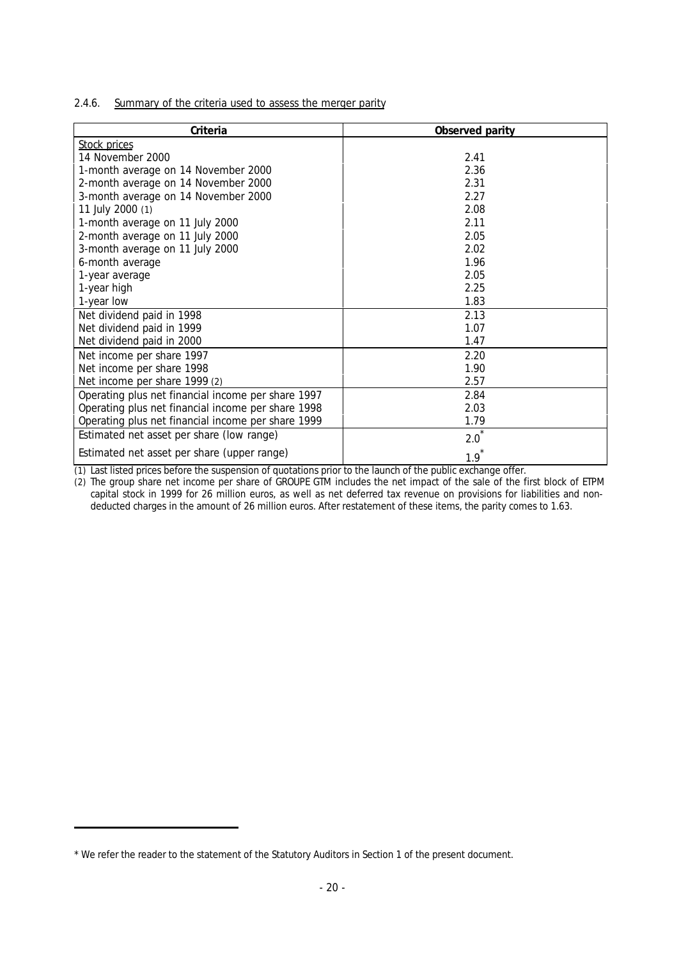2.4.6. Summary of the criteria used to assess the merger parity

| Criteria                                           | Observed parity |
|----------------------------------------------------|-----------------|
| Stock prices                                       |                 |
| 14 November 2000                                   | 2.41            |
| 1-month average on 14 November 2000                | 2.36            |
| 2-month average on 14 November 2000                | 2.31            |
| 3-month average on 14 November 2000                | 2.27            |
| 11 July 2000 (1)                                   | 2.08            |
| 1-month average on 11 July 2000                    | 2.11            |
| 2-month average on 11 July 2000                    | 2.05            |
| 3-month average on 11 July 2000                    | 2.02            |
| 6-month average                                    | 1.96            |
| 1-year average                                     | 2.05            |
| 1-year high                                        | 2.25            |
| 1-year low                                         | 1.83            |
| Net dividend paid in 1998                          | 2.13            |
| Net dividend paid in 1999                          | 1.07            |
| Net dividend paid in 2000                          | 1.47            |
| Net income per share 1997                          | 2.20            |
| Net income per share 1998                          | 1.90            |
| Net income per share 1999 (2)                      | 2.57            |
| Operating plus net financial income per share 1997 | 2.84            |
| Operating plus net financial income per share 1998 | 2.03            |
| Operating plus net financial income per share 1999 | 1.79            |
| Estimated net asset per share (low range)          | 2.0             |
| Estimated net asset per share (upper range)        | 1.9             |

*(1) Last listed prices before the suspension of quotations prior to the launch of the public exchange offer.*

*(2) The group share net income per share of GROUPE GTM includes the net impact of the sale of the first block of ETPM capital stock in 1999 for 26 million euros, as well as net deferred tax revenue on provisions for liabilities and nondeducted charges in the amount of 26 million euros. After restatement of these items, the parity comes to 1.63.*

j

*<sup>\*</sup> We refer the reader to the statement of the Statutory Auditors in Section 1 of the present document.*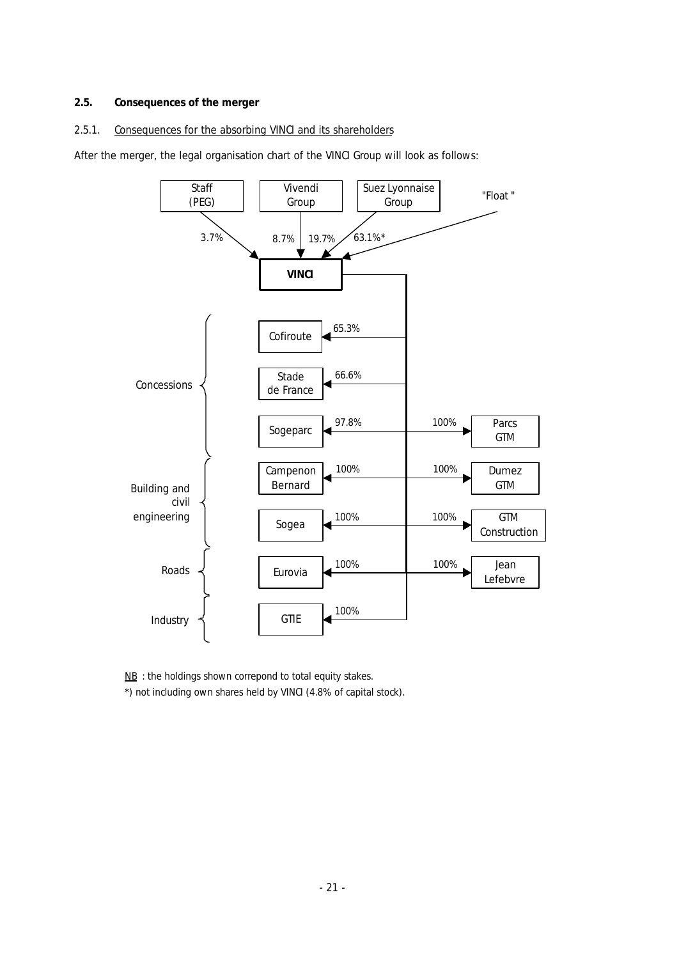## **2.5. Consequences of the merger**

## 2.5.1. Consequences for the absorbing VINCI and its shareholders

After the merger, the legal organisation chart of the VINCI Group will look as follows:



*NB : the holdings shown correpond to total equity stakes. \*) not including own shares held by VINCI (4.8% of capital stock).*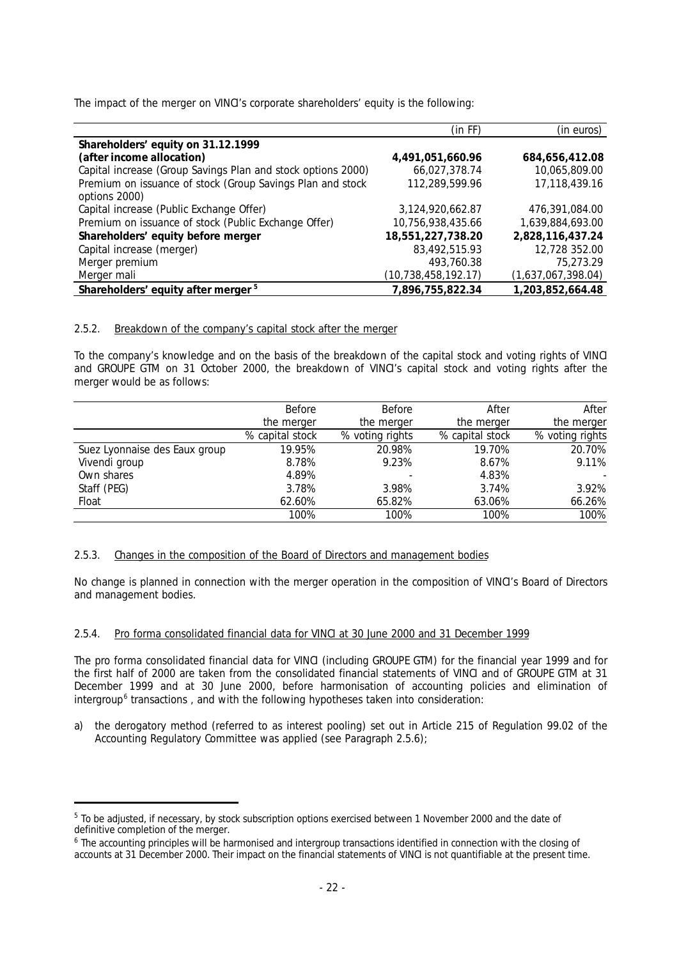The impact of the merger on VINCI's corporate shareholders' equity is the following:

|                                                              | (in FF)                | (in euros)         |
|--------------------------------------------------------------|------------------------|--------------------|
| Shareholders' equity on 31.12.1999                           |                        |                    |
| (after income allocation)                                    | 4,491,051,660.96       | 684,656,412.08     |
| Capital increase (Group Savings Plan and stock options 2000) | 66,027,378.74          | 10,065,809.00      |
| Premium on issuance of stock (Group Savings Plan and stock   | 112,289,599.96         | 17,118,439.16      |
| options 2000)                                                |                        |                    |
| Capital increase (Public Exchange Offer)                     | 3,124,920,662.87       | 476,391,084.00     |
| Premium on issuance of stock (Public Exchange Offer)         | 10,756,938,435.66      | 1,639,884,693.00   |
| Shareholders' equity before merger                           | 18,551,227,738.20      | 2,828,116,437.24   |
| Capital increase (merger)                                    | 83,492,515.93          | 12,728 352.00      |
| Merger premium                                               | 493,760.38             | 75,273.29          |
| Merger mali                                                  | (10, 738, 458, 192.17) | (1,637,067,398.04) |
| Shareholders' equity after merger <sup>5</sup>               | 7,896,755,822.34       | 1,203,852,664.48   |

## 2.5.2. Breakdown of the company's capital stock after the merger

To the company's knowledge and on the basis of the breakdown of the capital stock and voting rights of VINCI and GROUPE GTM on 31 October 2000, the breakdown of VINCI's capital stock and voting rights after the merger would be as follows:

|                               | Before          | <b>Before</b>   | After           | After           |
|-------------------------------|-----------------|-----------------|-----------------|-----------------|
|                               | the merger      | the merger      | the merger      | the merger      |
|                               | % capital stock | % voting rights | % capital stock | % voting rights |
| Suez Lyonnaise des Eaux group | 19.95%          | 20.98%          | 19.70%          | 20.70%          |
| Vivendi group                 | 8.78%           | 9.23%           | 8.67%           | 9.11%           |
| Own shares                    | 4.89%           |                 | 4.83%           |                 |
| Staff (PEG)                   | 3.78%           | 3.98%           | 3.74%           | 3.92%           |
| Float                         | 62.60%          | 65.82%          | 63.06%          | 66.26%          |
|                               | 100%            | 100%            | 100%            | 100%            |

## 2.5.3. Changes in the composition of the Board of Directors and management bodies

No change is planned in connection with the merger operation in the composition of VINCI's Board of Directors and management bodies.

## 2.5.4. Pro forma consolidated financial data for VINCI at 30 June 2000 and 31 December 1999

The pro forma consolidated financial data for VINCI (including GROUPE GTM) for the financial year 1999 and for the first half of 2000 are taken from the consolidated financial statements of VINCI and of GROUPE GTM at 31 December 1999 and at 30 June 2000, before harmonisation of accounting policies and elimination of intergroup<sup>6</sup> transactions, and with the following hypotheses taken into consideration:

a) the derogatory method (referred to as interest pooling) set out in Article 215 of Regulation 99.02 of the Accounting Regulatory Committee was applied (see Paragraph 2.5.6);

j

<sup>5</sup> *To be adjusted, if necessary, by stock subscription options exercised between 1 November 2000 and the date of definitive completion of the merger.*

<sup>6</sup> *The accounting principles will be harmonised and intergroup transactions identified in connection with the closing of accounts at 31 December 2000. Their impact on the financial statements of VINCI is not quantifiable at the present time.*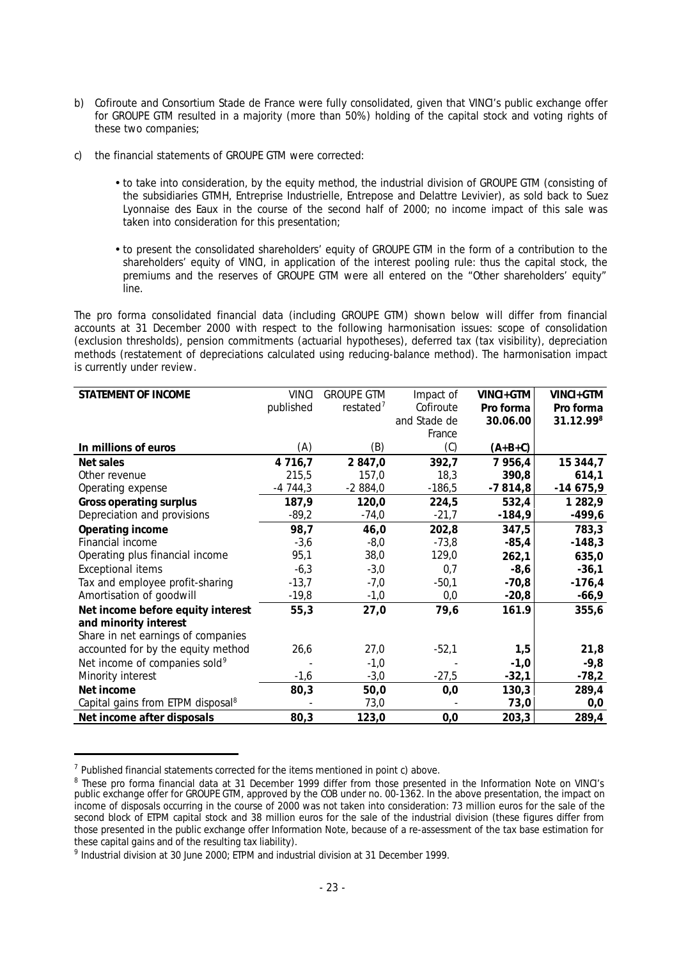- b) Cofiroute and Consortium Stade de France were fully consolidated, given that VINCI's public exchange offer for GROUPE GTM resulted in a majority (more than 50%) holding of the capital stock and voting rights of these two companies;
- c) the financial statements of GROUPE GTM were corrected:
	- to take into consideration, by the equity method, the industrial division of GROUPE GTM (consisting of the subsidiaries GTMH, Entreprise Industrielle, Entrepose and Delattre Levivier), as sold back to Suez Lyonnaise des Eaux in the course of the second half of 2000; no income impact of this sale was taken into consideration for this presentation;
	- to present the consolidated shareholders' equity of GROUPE GTM in the form of a contribution to the shareholders' equity of VINCI, in application of the interest pooling rule: thus the capital stock, the premiums and the reserves of GROUPE GTM were all entered on the "Other shareholders' equity" line.

The pro forma consolidated financial data (including GROUPE GTM) shown below will differ from financial accounts at 31 December 2000 with respect to the following harmonisation issues: scope of consolidation (exclusion thresholds), pension commitments (actuarial hypotheses), deferred tax (tax visibility), depreciation methods (restatement of depreciations calculated using reducing-balance method). The harmonisation impact is currently under review.

| STATEMENT OF INCOME                           | <b>VINCI</b> | <b>GROUPE GTM</b> | Impact of    | VINCI+GTM  | VINCI+GTM  |
|-----------------------------------------------|--------------|-------------------|--------------|------------|------------|
|                                               | published    | restated $7$      | Cofiroute    | Pro forma  | Pro forma  |
|                                               |              |                   | and Stade de | 30.06.00   | 31.12.998  |
|                                               |              |                   | France       |            |            |
| In millions of euros                          | (A)          | (B)               | (C)          | $(A+B+C)$  |            |
| Net sales                                     | 4 7 1 6 , 7  | 2 847,0           | 392,7        | 7 9 5 6, 4 | 15 344,7   |
| Other revenue                                 | 215,5        | 157,0             | 18,3         | 390,8      | 614,1      |
| Operating expense                             | $-4744,3$    | $-2884,0$         | $-186,5$     | $-7814,8$  | $-14675,9$ |
| Gross operating surplus                       | 187,9        | 120,0             | 224,5        | 532,4      | 1 2 8 2, 9 |
| Depreciation and provisions                   | $-89,2$      | $-74,0$           | $-21,7$      | $-184,9$   | $-499,6$   |
| Operating income                              | 98,7         | 46,0              | 202,8        | 347,5      | 783,3      |
| Financial income                              | $-3,6$       | $-8,0$            | $-73,8$      | $-85,4$    | $-148,3$   |
| Operating plus financial income               | 95,1         | 38,0              | 129,0        | 262,1      | 635,0      |
| <b>Exceptional items</b>                      | $-6,3$       | $-3,0$            | 0,7          | $-8,6$     | $-36,1$    |
| Tax and employee profit-sharing               | $-13,7$      | $-7,0$            | $-50,1$      | $-70,8$    | $-176,4$   |
| Amortisation of goodwill                      | $-19,8$      | $-1,0$            | 0,0          | $-20,8$    | $-66,9$    |
| Net income before equity interest             | 55,3         | 27,0              | 79,6         | 161.9      | 355,6      |
| and minority interest                         |              |                   |              |            |            |
| Share in net earnings of companies            |              |                   |              |            |            |
| accounted for by the equity method            | 26,6         | 27,0              | $-52,1$      | 1,5        | 21,8       |
| Net income of companies sold <sup>9</sup>     |              | $-1,0$            |              | $-1,0$     | $-9,8$     |
| Minority interest                             | $-1,6$       | $-3,0$            | $-27,5$      | $-32,1$    | $-78,2$    |
| Net income                                    | 80,3         | 50,0              | 0,0          | 130,3      | 289,4      |
| Capital gains from ETPM disposal <sup>8</sup> |              | 73,0              |              | 73,0       | 0,0        |
| Net income after disposals                    | 80,3         | 123,0             | 0,0          | 203,3      | 289,4      |

<sup>7</sup> *Published financial statements corrected for the items mentioned in point c) above.*

j

<sup>8</sup> *These pro forma financial data at 31 December 1999 differ from those presented in the Information Note on VINCI's public exchange offer for GROUPE GTM, approved by the COB under no. 00-1362. In the above presentation, the impact on income of disposals occurring in the course of 2000 was not taken into consideration: 73 million euros for the sale of the second block of ETPM capital stock and 38 million euros for the sale of the industrial division (these figures differ from those presented in the public exchange offer Information Note, because of a re-assessment of the tax base estimation for these capital gains and of the resulting tax liability).*

<sup>9</sup> *Industrial division at 30 June 2000; ETPM and industrial division at 31 December 1999.*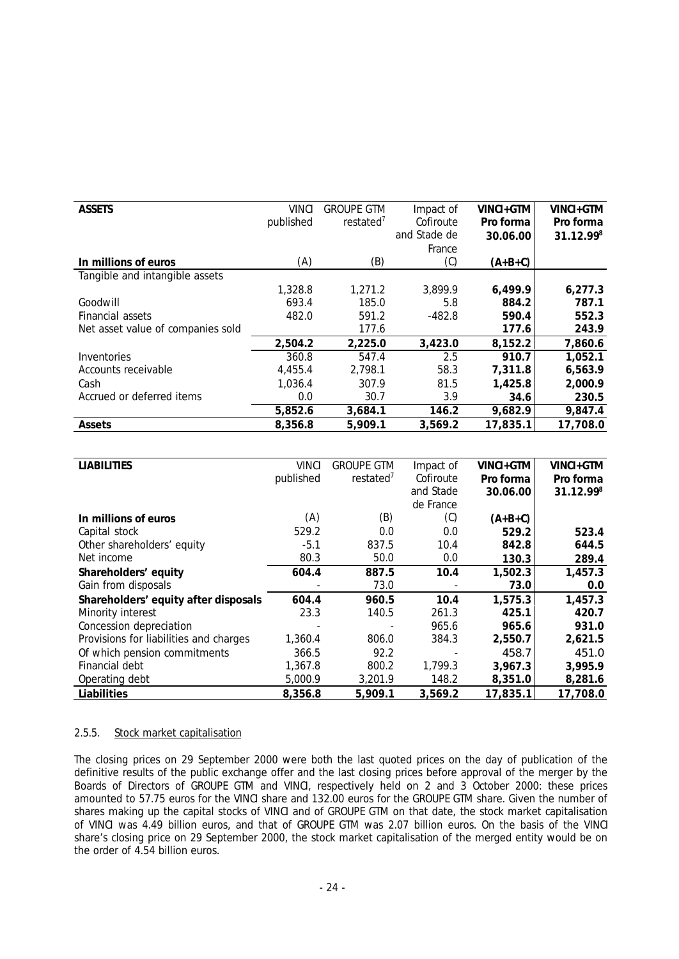| <b>ASSETS</b>                     | <b>VINCI</b> | <b>GROUPE GTM</b>     | Impact of    | VINCI+GTM | VINCI+GTM |
|-----------------------------------|--------------|-----------------------|--------------|-----------|-----------|
|                                   | published    | restated <sup>7</sup> | Cofiroute    | Pro forma | Pro forma |
|                                   |              |                       | and Stade de | 30.06.00  | 31.12.998 |
|                                   |              |                       | France       |           |           |
| In millions of euros              | (A)          | (B)                   | (C)          | (A+B+C)   |           |
| Tangible and intangible assets    |              |                       |              |           |           |
|                                   | 1,328.8      | 1,271.2               | 3,899.9      | 6,499.9   | 6,277.3   |
| Goodwill                          | 693.4        | 185.0                 | 5.8          | 884.2     | 787.1     |
| Financial assets                  | 482.0        | 591.2                 | $-482.8$     | 590.4     | 552.3     |
| Net asset value of companies sold |              | 177.6                 |              | 177.6     | 243.9     |
|                                   | 2,504.2      | 2,225.0               | 3,423.0      | 8,152.2   | 7,860.6   |
| Inventories                       | 360.8        | 547.4                 | 2.5          | 910.7     | 1,052.1   |
| Accounts receivable               | 4,455.4      | 2,798.1               | 58.3         | 7,311.8   | 6,563.9   |
| Cash                              | 1,036.4      | 307.9                 | 81.5         | 1,425.8   | 2,000.9   |
| Accrued or deferred items         | 0.0          | 30.7                  | 3.9          | 34.6      | 230.5     |
|                                   | 5,852.6      | 3,684.1               | 146.2        | 9,682.9   | 9,847.4   |
| Assets                            | 8,356.8      | 5,909.1               | 3,569.2      | 17,835.1  | 17,708.0  |

| <b>LIABILITIES</b>                     | <b>VINCI</b> | <b>GROUPE GTM</b>     | Impact of | VINCI+GTM | VINCI+GTM |
|----------------------------------------|--------------|-----------------------|-----------|-----------|-----------|
|                                        |              |                       |           |           |           |
|                                        | published    | restated <sup>7</sup> | Cofiroute | Pro forma | Pro forma |
|                                        |              |                       | and Stade | 30.06.00  | 31.12.998 |
|                                        |              |                       | de France |           |           |
| In millions of euros                   | (A)          | (B)                   | (C)       | $(A+B+C)$ |           |
| Capital stock                          | 529.2        | 0.0                   | 0.0       | 529.2     | 523.4     |
| Other shareholders' equity             | $-5.1$       | 837.5                 | 10.4      | 842.8     | 644.5     |
| Net income                             | 80.3         | 50.0                  | 0.0       | 130.3     | 289.4     |
| Shareholders' equity                   | 604.4        | 887.5                 | 10.4      | 1,502.3   | 1,457.3   |
| Gain from disposals                    |              | 73.0                  |           | 73.0      | 0.0       |
| Shareholders' equity after disposals   | 604.4        | 960.5                 | 10.4      | 1,575.3   | 1,457.3   |
| Minority interest                      | 23.3         | 140.5                 | 261.3     | 425.1     | 420.7     |
| Concession depreciation                |              |                       | 965.6     | 965.6     | 931.0     |
| Provisions for liabilities and charges | 1,360.4      | 806.0                 | 384.3     | 2,550.7   | 2,621.5   |
| Of which pension commitments           | 366.5        | 92.2                  |           | 458.7     | 451.0     |
| Financial debt                         | 1,367.8      | 800.2                 | 1,799.3   | 3,967.3   | 3,995.9   |
| Operating debt                         | 5,000.9      | 3,201.9               | 148.2     | 8,351.0   | 8,281.6   |
| Liabilities                            | 8,356.8      | 5,909.1               | 3,569.2   | 17,835.1  | 17,708.0  |

## 2.5.5. Stock market capitalisation

The closing prices on 29 September 2000 were both the last quoted prices on the day of publication of the definitive results of the public exchange offer and the last closing prices before approval of the merger by the Boards of Directors of GROUPE GTM and VINCI, respectively held on 2 and 3 October 2000: these prices amounted to 57.75 euros for the VINCI share and 132.00 euros for the GROUPE GTM share. Given the number of shares making up the capital stocks of VINCI and of GROUPE GTM on that date, the stock market capitalisation of VINCI was 4.49 billion euros, and that of GROUPE GTM was 2.07 billion euros. On the basis of the VINCI share's closing price on 29 September 2000, the stock market capitalisation of the merged entity would be on the order of 4.54 billion euros.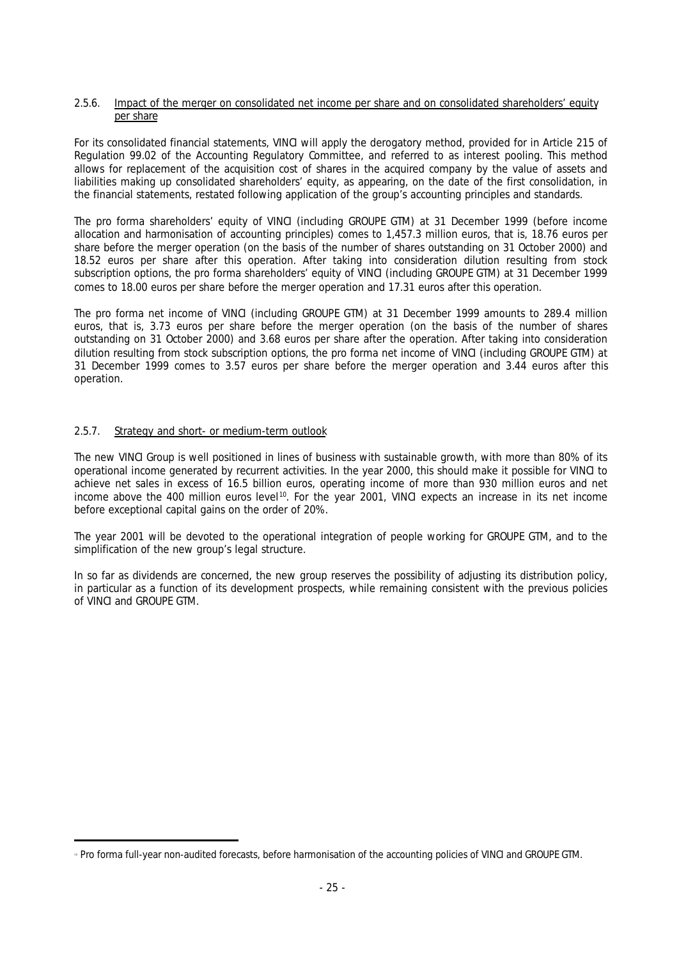#### 2.5.6. Impact of the merger on consolidated net income per share and on consolidated shareholders' equity per share

For its consolidated financial statements, VINCI will apply the derogatory method, provided for in Article 215 of Regulation 99.02 of the Accounting Regulatory Committee, and referred to as interest pooling. This method allows for replacement of the acquisition cost of shares in the acquired company by the value of assets and liabilities making up consolidated shareholders' equity, as appearing, on the date of the first consolidation, in the financial statements, restated following application of the group's accounting principles and standards.

The pro forma shareholders' equity of VINCI (including GROUPE GTM) at 31 December 1999 (before income allocation and harmonisation of accounting principles) comes to 1,457.3 million euros, that is, 18.76 euros per share before the merger operation (on the basis of the number of shares outstanding on 31 October 2000) and 18.52 euros per share after this operation. After taking into consideration dilution resulting from stock subscription options, the pro forma shareholders' equity of VINCI (including GROUPE GTM) at 31 December 1999 comes to 18.00 euros per share before the merger operation and 17.31 euros after this operation.

The pro forma net income of VINCI (including GROUPE GTM) at 31 December 1999 amounts to 289.4 million euros, that is, 3.73 euros per share before the merger operation (on the basis of the number of shares outstanding on 31 October 2000) and 3.68 euros per share after the operation. After taking into consideration dilution resulting from stock subscription options, the pro forma net income of VINCI (including GROUPE GTM) at 31 December 1999 comes to 3.57 euros per share before the merger operation and 3.44 euros after this operation.

## 2.5.7. Strategy and short- or medium-term outlook

The new VINCI Group is well positioned in lines of business with sustainable growth, with more than 80% of its operational income generated by recurrent activities. In the year 2000, this should make it possible for VINCI to achieve net sales in excess of 16.5 billion euros, operating income of more than 930 million euros and net income above the 400 million euros level<sup>10</sup>. For the year 2001, VINCI expects an increase in its net income before exceptional capital gains on the order of 20%.

The year 2001 will be devoted to the operational integration of people working for GROUPE GTM, and to the simplification of the new group's legal structure.

In so far as dividends are concerned, the new group reserves the possibility of adjusting its distribution policy, in particular as a function of its development prospects, while remaining consistent with the previous policies of VINCI and GROUPE GTM.

j 1 0 *Pro forma full-year non-audited forecasts, before harmonisation of the accounting policies of VINCI and GROUPE GTM.*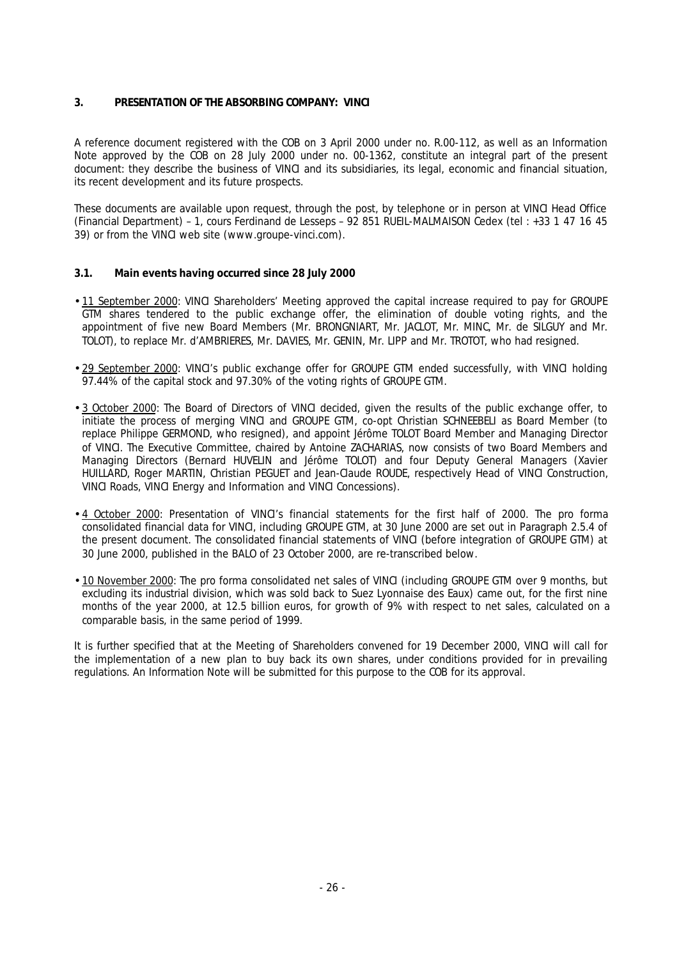## **3. PRESENTATION OF THE ABSORBING COMPANY: VINCI**

A reference document registered with the COB on 3 April 2000 under no. R.00-112, as well as an Information Note approved by the COB on 28 July 2000 under no. 00-1362, constitute an integral part of the present document: they describe the business of VINCI and its subsidiaries, its legal, economic and financial situation, its recent development and its future prospects.

These documents are available upon request, through the post, by telephone or in person at VINCI Head Office (Financial Department) – 1, cours Ferdinand de Lesseps – 92 851 RUEIL-MALMAISON Cedex (tel : +33 1 47 16 45 39) or from the VINCI web site (www.groupe-vinci.com).

- **3.1. Main events having occurred since 28 July 2000**
- 11 September 2000: VINCI Shareholders' Meeting approved the capital increase required to pay for GROUPE GTM shares tendered to the public exchange offer, the elimination of double voting rights, and the appointment of five new Board Members (Mr. BRONGNIART, Mr. JACLOT, Mr. MINC, Mr. de SILGUY and Mr. TOLOT), to replace Mr. d'AMBRIERES, Mr. DAVIES, Mr. GENIN, Mr. LIPP and Mr. TROTOT, who had resigned.
- 29 September 2000: VINCI's public exchange offer for GROUPE GTM ended successfully, with VINCI holding 97.44% of the capital stock and 97.30% of the voting rights of GROUPE GTM.
- 3 October 2000: The Board of Directors of VINCI decided, given the results of the public exchange offer, to initiate the process of merging VINCI and GROUPE GTM, co-opt Christian SCHNEEBELI as Board Member (to replace Philippe GERMOND, who resigned), and appoint Jérôme TOLOT Board Member and Managing Director of VINCI. The Executive Committee, chaired by Antoine ZACHARIAS, now consists of two Board Members and Managing Directors (Bernard HUVELIN and Jérôme TOLOT) and four Deputy General Managers (Xavier HUILLARD, Roger MARTIN, Christian PEGUET and Jean-Claude ROUDE, respectively Head of VINCI Construction, VINCI Roads, VINCI Energy and Information and VINCI Concessions).
- 4 October 2000: Presentation of VINCI's financial statements for the first half of 2000. The pro forma consolidated financial data for VINCI, including GROUPE GTM, at 30 June 2000 are set out in Paragraph 2.5.4 of the present document. The consolidated financial statements of VINCI (before integration of GROUPE GTM) at 30 June 2000, published in the BALO of 23 October 2000, are re-transcribed below.
- 10 November 2000: The pro forma consolidated net sales of VINCI (including GROUPE GTM over 9 months, but excluding its industrial division, which was sold back to Suez Lyonnaise des Eaux) came out, for the first nine months of the year 2000, at 12.5 billion euros, for growth of 9% with respect to net sales, calculated on a comparable basis, in the same period of 1999.

It is further specified that at the Meeting of Shareholders convened for 19 December 2000, VINCI will call for the implementation of a new plan to buy back its own shares, under conditions provided for in prevailing regulations. An Information Note will be submitted for this purpose to the COB for its approval.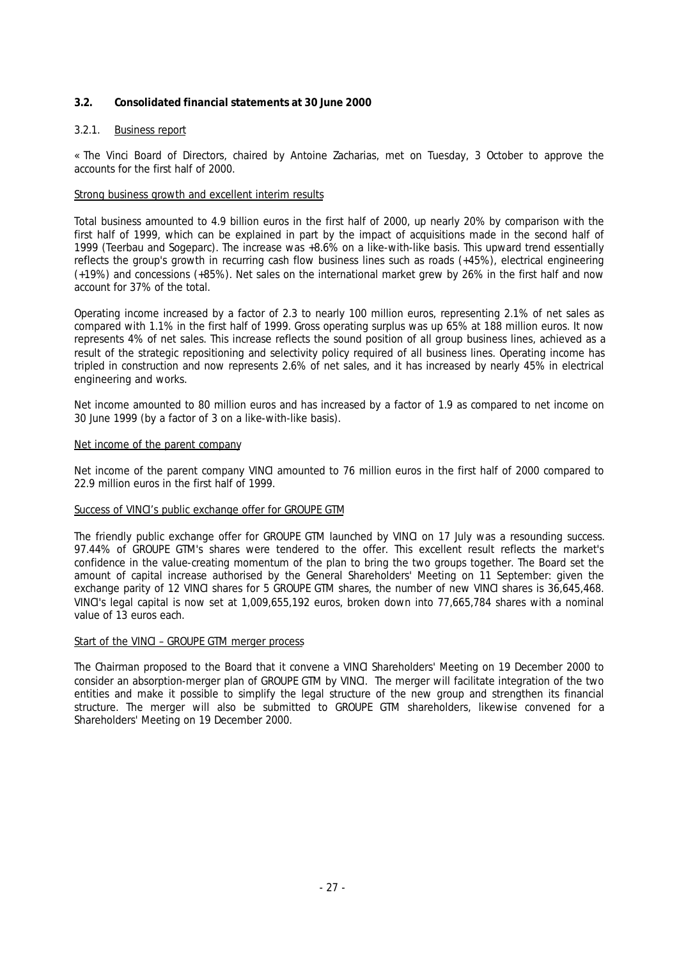## **3.2. Consolidated financial statements at 30 June 2000**

## 3.2.1. Business report

« *The Vinci Board of Directors, chaired by Antoine Zacharias, met on Tuesday, 3 October to approve the accounts for the first half of 2000.*

## *Strong business growth and excellent interim results*

*Total business amounted to 4.9 billion euros in the first half of 2000, up nearly 20% by comparison with the first half of 1999, which can be explained in part by the impact of acquisitions made in the second half of 1999 (Teerbau and Sogeparc). The increase was +8.6% on a like-with-like basis. This upward trend essentially reflects the group's growth in recurring cash flow business lines such as roads (+45%), electrical engineering (+19%) and concessions (+85%). Net sales on the international market grew by 26% in the first half and now account for 37% of the total.*

*Operating income increased by a factor of 2.3 to nearly 100 million euros, representing 2.1% of net sales as compared with 1.1% in the first half of 1999. Gross operating surplus was up 65% at 188 million euros. It now represents 4% of net sales. This increase reflects the sound position of all group business lines, achieved as a result of the strategic repositioning and selectivity policy required of all business lines. Operating income has tripled in construction and now represents 2.6% of net sales, and it has increased by nearly 45% in electrical engineering and works.*

*Net income amounted to 80 million euros and has increased by a factor of 1.9 as compared to net income on 30 June 1999 (by a factor of 3 on a like-with-like basis).*

#### *Net income of the parent company*

*Net income of the parent company VINCI amounted to 76 million euros in the first half of 2000 compared to 22.9 million euros in the first half of 1999.*

## *Success of VINCI's public exchange offer for GROUPE GTM*

*The friendly public exchange offer for GROUPE GTM launched by VINCI on 17 July was a resounding success. 97.44% of GROUPE GTM's shares were tendered to the offer. This excellent result reflects the market's confidence in the value-creating momentum of the plan to bring the two groups together. The Board set the amount of capital increase authorised by the General Shareholders' Meeting on 11 September: given the exchange parity of 12 VINCI shares for 5 GROUPE GTM shares, the number of new VINCI shares is 36,645,468. VINCI's legal capital is now set at 1,009,655,192 euros, broken down into 77,665,784 shares with a nominal value of 13 euros each.*

## *Start of the VINCI – GROUPE GTM merger process*

*The Chairman proposed to the Board that it convene a VINCI Shareholders' Meeting on 19 December 2000 to consider an absorption-merger plan of GROUPE GTM by VINCI. The merger will facilitate integration of the two entities and make it possible to simplify the legal structure of the new group and strengthen its financial structure. The merger will also be submitted to GROUPE GTM shareholders, likewise convened for a Shareholders' Meeting on 19 December 2000.*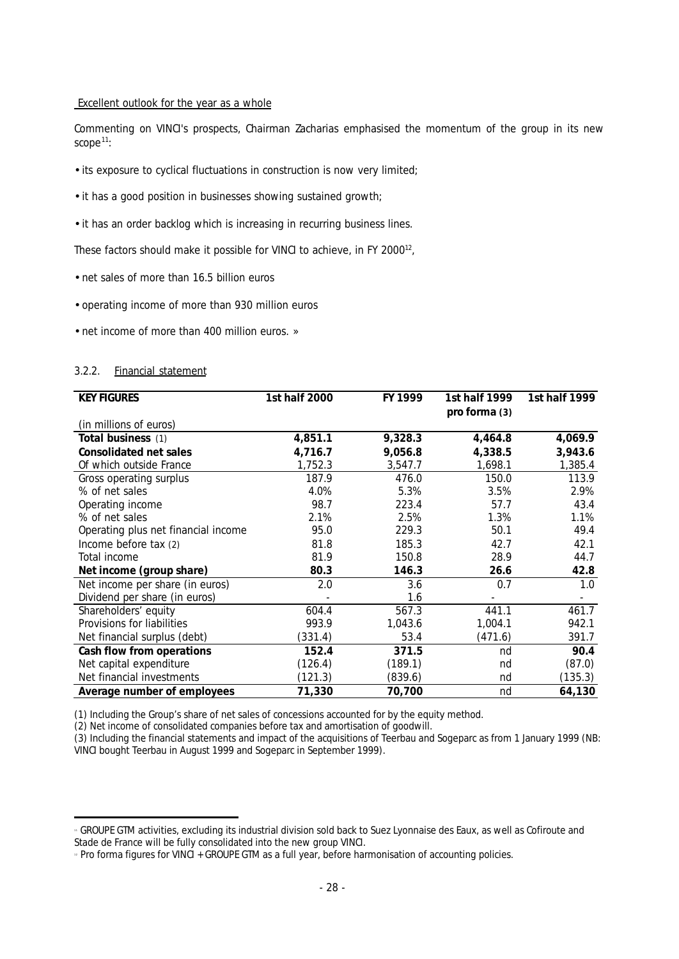#### *Excellent outlook for the year as a whole*

*Commenting on VINCI's prospects, Chairman Zacharias emphasised the momentum of the group in its new scope<sup>11</sup>:*

- *its exposure to cyclical fluctuations in construction is now very limited;*
- *it has a good position in businesses showing sustained growth;*
- *it has an order backlog which is increasing in recurring business lines.*

*These factors should make it possible for VINCI to achieve, in FY 2000<sup>12</sup> ,*

- *net sales of more than 16.5 billion euros*
- *operating income of more than 930 million euros*
- *net income of more than 400 million euros.* »

#### 3.2.2. Financial statement

| <b>KEY FIGURES</b>                  | 1st half 2000 | FY 1999 | 1st half 1999<br>pro forma (3) | 1st half 1999            |
|-------------------------------------|---------------|---------|--------------------------------|--------------------------|
| (in millions of euros)              |               |         |                                |                          |
| Total business (1)                  | 4,851.1       | 9,328.3 | 4,464.8                        | 4,069.9                  |
| Consolidated net sales              | 4,716.7       | 9,056.8 | 4,338.5                        | 3,943.6                  |
| Of which outside France             | 1,752.3       | 3,547.7 | 1,698.1                        | 1,385.4                  |
| Gross operating surplus             | 187.9         | 476.0   | 150.0                          | 113.9                    |
| % of net sales                      | 4.0%          | 5.3%    | 3.5%                           | 2.9%                     |
| Operating income                    | 98.7          | 223.4   | 57.7                           | 43.4                     |
| % of net sales                      | 2.1%          | 2.5%    | 1.3%                           | 1.1%                     |
| Operating plus net financial income | 95.0          | 229.3   | 50.1                           | 49.4                     |
| Income before tax (2)               | 81.8          | 185.3   | 42.7                           | 42.1                     |
| Total income                        | 81.9          | 150.8   | 28.9                           | 44.7                     |
| Net income (group share)            | 80.3          | 146.3   | 26.6                           | 42.8                     |
| Net income per share (in euros)     | 2.0           | 3.6     | 0.7                            | 1.0                      |
| Dividend per share (in euros)       |               | 1.6     |                                | $\overline{\phantom{a}}$ |
| Shareholders' equity                | 604.4         | 567.3   | 441.1                          | 461.7                    |
| Provisions for liabilities          | 993.9         | 1,043.6 | 1,004.1                        | 942.1                    |
| Net financial surplus (debt)        | (331.4)       | 53.4    | (471.6)                        | 391.7                    |
| Cash flow from operations           | 152.4         | 371.5   | nd                             | 90.4                     |
| Net capital expenditure             | (126.4)       | (189.1) | nd                             | (87.0)                   |
| Net financial investments           | (121.3)       | (839.6) | nd                             | (135.3)                  |
| Average number of employees         | 71,330        | 70,700  | nd                             | 64,130                   |

*(1) Including the Group's share of net sales of concessions accounted for by the equity method.*

*(2) Net income of consolidated companies before tax and amortisation of goodwill.*

*(3) Including the financial statements and impact of the acquisitions of Teerbau and Sogeparc as from 1 January 1999 (NB: VINCI bought Teerbau in August 1999 and Sogeparc in September 1999).*

j *1 1 GROUPE GTM activities, excluding its industrial division sold back to Suez Lyonnaise des Eaux, as well as Cofiroute and Stade de France will be fully consolidated into the new group VINCI.*

*<sup>1 2</sup> Pro forma figures for VINCI + GROUPE GTM as a full year, before harmonisation of accounting policies.*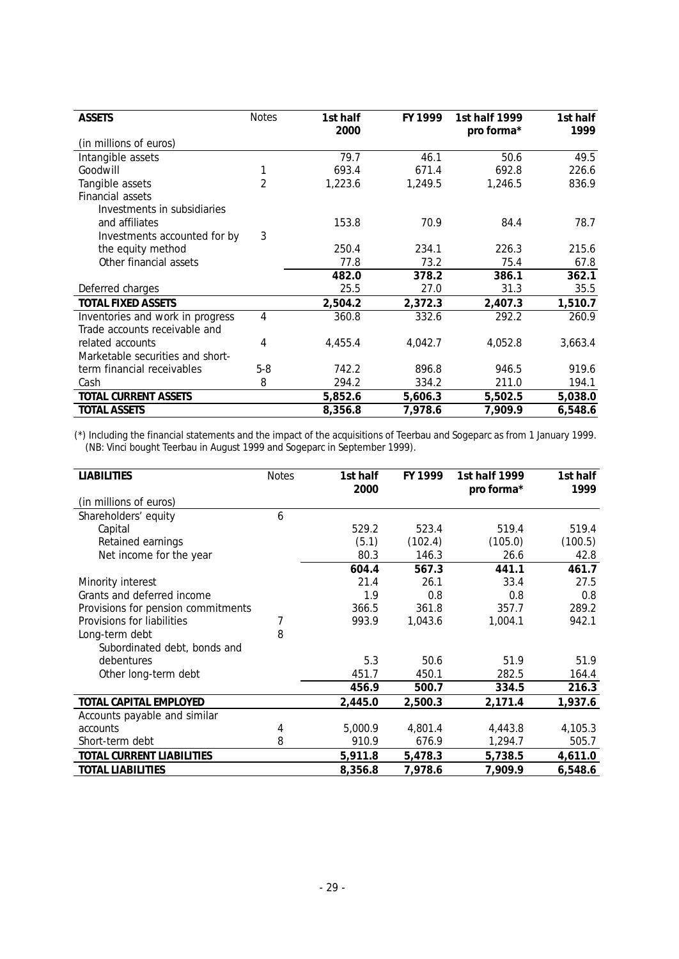| <b>ASSETS</b>                    | <b>Notes</b>   | 1st half | FY 1999 | 1st half 1999 | 1st half |
|----------------------------------|----------------|----------|---------|---------------|----------|
|                                  |                | 2000     |         | pro forma*    | 1999     |
| (in millions of euros)           |                |          |         |               |          |
| Intangible assets                |                | 79.7     | 46.1    | 50.6          | 49.5     |
| Goodwill                         |                | 693.4    | 671.4   | 692.8         | 226.6    |
| Tangible assets                  | $\overline{2}$ | 1,223.6  | 1,249.5 | 1,246.5       | 836.9    |
| Financial assets                 |                |          |         |               |          |
| Investments in subsidiaries      |                |          |         |               |          |
| and affiliates                   |                | 153.8    | 70.9    | 84.4          | 78.7     |
| Investments accounted for by     | 3              |          |         |               |          |
| the equity method                |                | 250.4    | 234.1   | 226.3         | 215.6    |
| Other financial assets           |                | 77.8     | 73.2    | 75.4          | 67.8     |
|                                  |                | 482.0    | 378.2   | 386.1         | 362.1    |
| Deferred charges                 |                | 25.5     | 27.0    | 31.3          | 35.5     |
| <b>TOTAL FIXED ASSETS</b>        |                | 2,504.2  | 2,372.3 | 2,407.3       | 1,510.7  |
| Inventories and work in progress | 4              | 360.8    | 332.6   | 292.2         | 260.9    |
| Trade accounts receivable and    |                |          |         |               |          |
| related accounts                 | 4              | 4,455.4  | 4,042.7 | 4,052.8       | 3,663.4  |
| Marketable securities and short- |                |          |         |               |          |
| term financial receivables       | $5-8$          | 742.2    | 896.8   | 946.5         | 919.6    |
| Cash                             | 8              | 294.2    | 334.2   | 211.0         | 194.1    |
| TOTAL CURRENT ASSETS             |                | 5,852.6  | 5,606.3 | 5,502.5       | 5,038.0  |
| <b>TOTAL ASSETS</b>              |                | 8,356.8  | 7,978.6 | 7,909.9       | 6,548.6  |

*(\*) Including the financial statements and the impact of the acquisitions of Teerbau and Sogeparc as from 1 January 1999. (NB: Vinci bought Teerbau in August 1999 and Sogeparc in September 1999).*

| <b>LIABILITIES</b>                 | <b>Notes</b> | 1st half | FY 1999 | 1st half 1999 | 1st half |
|------------------------------------|--------------|----------|---------|---------------|----------|
| (in millions of euros)             |              | 2000     |         | pro forma*    | 1999     |
| Shareholders' equity               | 6            |          |         |               |          |
| Capital                            |              | 529.2    | 523.4   | 519.4         | 519.4    |
| Retained earnings                  |              | (5.1)    | (102.4) | (105.0)       | (100.5)  |
| Net income for the year            |              | 80.3     | 146.3   | 26.6          | 42.8     |
|                                    |              | 604.4    | 567.3   | 441.1         | 461.7    |
| Minority interest                  |              | 21.4     | 26.1    | 33.4          | 27.5     |
| Grants and deferred income         |              | 1.9      | 0.8     | 0.8           | 0.8      |
| Provisions for pension commitments |              | 366.5    | 361.8   | 357.7         | 289.2    |
| Provisions for liabilities         |              | 993.9    | 1,043.6 | 1,004.1       | 942.1    |
| Long-term debt                     | 8            |          |         |               |          |
| Subordinated debt, bonds and       |              |          |         |               |          |
| debentures                         |              | 5.3      | 50.6    | 51.9          | 51.9     |
| Other long-term debt               |              | 451.7    | 450.1   | 282.5         | 164.4    |
|                                    |              | 456.9    | 500.7   | 334.5         | 216.3    |
| TOTAL CAPITAL EMPLOYED             |              | 2,445.0  | 2,500.3 | 2,171.4       | 1,937.6  |
| Accounts payable and similar       |              |          |         |               |          |
| accounts                           | 4            | 5.000.9  | 4.801.4 | 4,443.8       | 4,105.3  |
| Short-term debt                    | 8            | 910.9    | 676.9   | 1,294.7       | 505.7    |
| TOTAL CURRENT LIABILITIES          |              | 5,911.8  | 5,478.3 | 5,738.5       | 4,611.0  |
| <b>TOTAL LIABILITIES</b>           |              | 8,356.8  | 7,978.6 | 7,909.9       | 6,548.6  |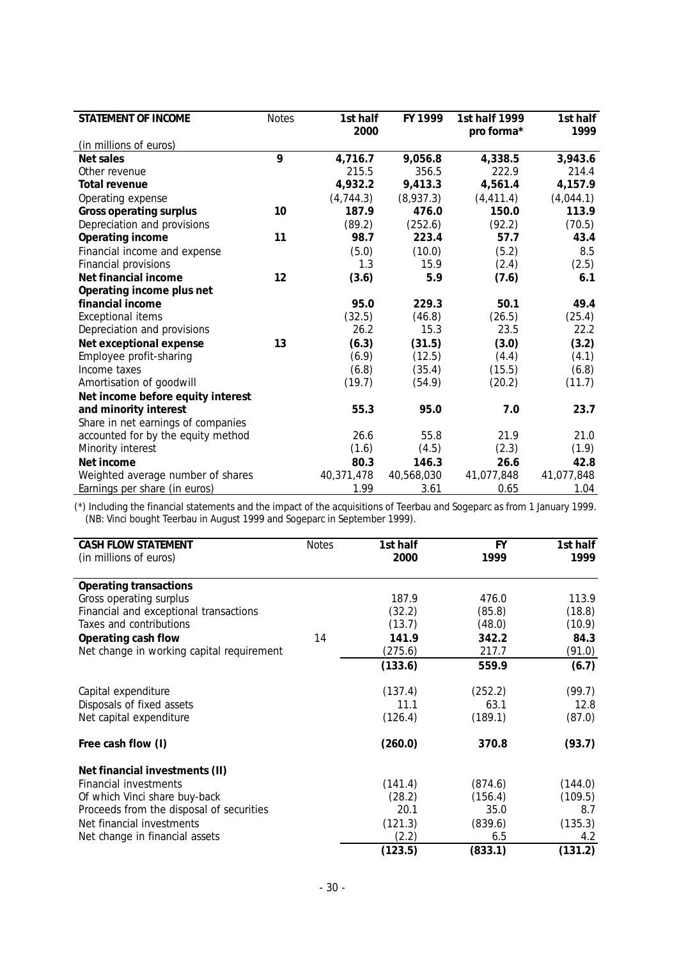| STATEMENT OF INCOME                | <b>Notes</b> | 1st half   | FY 1999    | 1st half 1999 | 1st half   |
|------------------------------------|--------------|------------|------------|---------------|------------|
|                                    |              | 2000       |            | pro forma*    | 1999       |
| (in millions of euros)             |              |            |            |               |            |
| Net sales                          | 9            | 4,716.7    | 9,056.8    | 4,338.5       | 3,943.6    |
| Other revenue                      |              | 215.5      | 356.5      | 222.9         | 214.4      |
| Total revenue                      |              | 4,932.2    | 9,413.3    | 4,561.4       | 4,157.9    |
| Operating expense                  |              | (4,744.3)  | (8,937.3)  | (4, 411.4)    | (4,044.1)  |
| Gross operating surplus            | 10           | 187.9      | 476.0      | 150.0         | 113.9      |
| Depreciation and provisions        |              | (89.2)     | (252.6)    | (92.2)        | (70.5)     |
| Operating income                   | 11           | 98.7       | 223.4      | 57.7          | 43.4       |
| Financial income and expense       |              | (5.0)      | (10.0)     | (5.2)         | 8.5        |
| Financial provisions               |              | 1.3        | 15.9       | (2.4)         | (2.5)      |
| Net financial income               | 12           | (3.6)      | 5.9        | (7.6)         | 6.1        |
| Operating income plus net          |              |            |            |               |            |
| financial income                   |              | 95.0       | 229.3      | 50.1          | 49.4       |
| <b>Exceptional items</b>           |              | (32.5)     | (46.8)     | (26.5)        | (25.4)     |
| Depreciation and provisions        |              | 26.2       | 15.3       | 23.5          | 22.2       |
| Net exceptional expense            | 13           | (6.3)      | (31.5)     | (3.0)         | (3.2)      |
| Employee profit-sharing            |              | (6.9)      | (12.5)     | (4.4)         | (4.1)      |
| Income taxes                       |              | (6.8)      | (35.4)     | (15.5)        | (6.8)      |
| Amortisation of goodwill           |              | (19.7)     | (54.9)     | (20.2)        | (11.7)     |
| Net income before equity interest  |              |            |            |               |            |
| and minority interest              |              | 55.3       | 95.0       | 7.0           | 23.7       |
| Share in net earnings of companies |              |            |            |               |            |
| accounted for by the equity method |              | 26.6       | 55.8       | 21.9          | 21.0       |
| Minority interest                  |              | (1.6)      | (4.5)      | (2.3)         | (1.9)      |
| Net income                         |              | 80.3       | 146.3      | 26.6          | 42.8       |
| Weighted average number of shares  |              | 40,371,478 | 40,568,030 | 41,077,848    | 41,077,848 |
| Earnings per share (in euros)      |              | 1.99       | 3.61       | 0.65          | 1.04       |

*(\*) Including the financial statements and the impact of the acquisitions of Teerbau and Sogeparc as from 1 January 1999. (NB: Vinci bought Teerbau in August 1999 and Sogeparc in September 1999).*

| CASH FLOW STATEMENT<br>(in millions of euros) | <b>Notes</b> | 1st half<br>2000 | <b>FY</b><br>1999 | 1st half<br>1999 |
|-----------------------------------------------|--------------|------------------|-------------------|------------------|
| Operating transactions                        |              |                  |                   |                  |
| Gross operating surplus                       |              | 187.9            | 476.0             | 113.9            |
| Financial and exceptional transactions        |              | (32.2)           | (85.8)            | (18.8)           |
| Taxes and contributions                       |              | (13.7)           | (48.0)            | (10.9)           |
| Operating cash flow                           | 14           | 141.9            | 342.2             | 84.3             |
| Net change in working capital requirement     |              | (275.6)          | 217.7             | (91.0)           |
|                                               |              | (133.6)          | 559.9             | (6.7)            |
| Capital expenditure                           |              | (137.4)          | (252.2)           | (99.7)           |
| Disposals of fixed assets                     |              | 11.1             | 63.1              | 12.8             |
| Net capital expenditure                       |              | (126.4)          | (189.1)           | (87.0)           |
| Free cash flow (I)                            |              | (260.0)          | 370.8             | (93.7)           |
| Net financial investments (II)                |              |                  |                   |                  |
| Financial investments                         |              | (141.4)          | (874.6)           | (144.0)          |
| Of which Vinci share buy-back                 |              | (28.2)           | (156.4)           | (109.5)          |
| Proceeds from the disposal of securities      |              | 20.1             | 35.0              | 8.7              |
| Net financial investments                     |              | (121.3)          | (839.6)           | (135.3)          |
| Net change in financial assets                |              | (2.2)            | 6.5               | 4.2              |
|                                               |              | (123.5)          | (833.1)           | (131.2)          |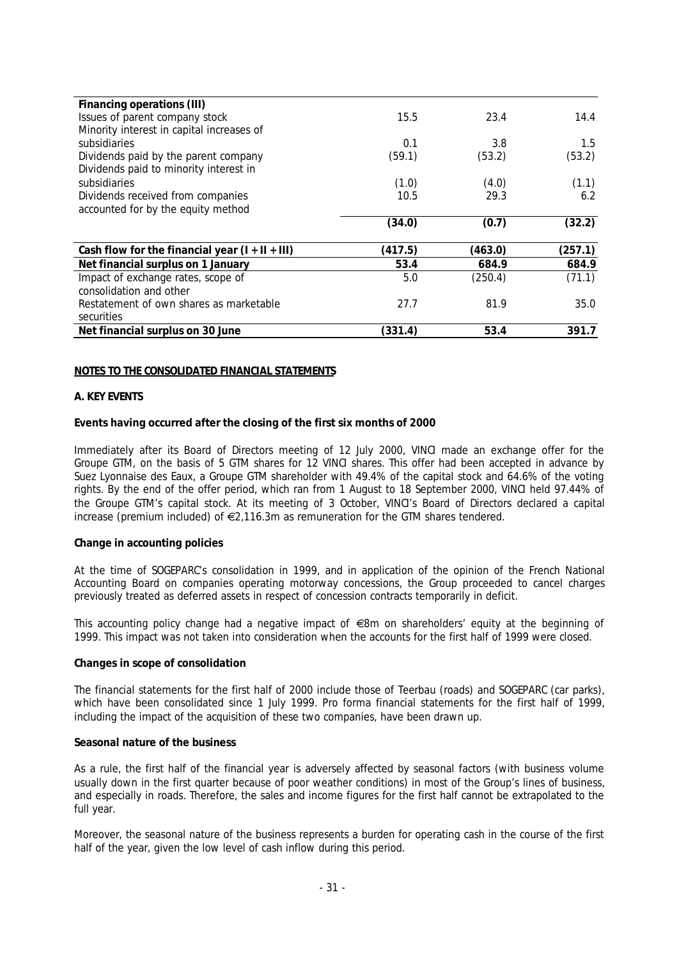| Financing operations (III)                        |         |         |         |
|---------------------------------------------------|---------|---------|---------|
| Issues of parent company stock                    | 15.5    | 23.4    | 14.4    |
| Minority interest in capital increases of         |         |         |         |
| subsidiaries                                      | 0.1     | 3.8     | 1.5     |
| Dividends paid by the parent company              | (59.1)  | (53.2)  | (53.2)  |
| Dividends paid to minority interest in            |         |         |         |
| subsidiaries                                      | (1.0)   | (4.0)   | (1.1)   |
| Dividends received from companies                 | 10.5    | 29.3    | 6.2     |
| accounted for by the equity method                |         |         |         |
|                                                   | (34.0)  | (0.7)   | (32.2)  |
|                                                   |         |         |         |
| Cash flow for the financial year $(I + II + III)$ | (417.5) | (463.0) | (257.1) |
| Net financial surplus on 1 January                | 53.4    | 684.9   | 684.9   |
| Impact of exchange rates, scope of                | 5.0     | (250.4) | (71.1)  |
| consolidation and other                           |         |         |         |
| Restatement of own shares as marketable           | 27.7    | 81.9    | 35.0    |
| securities                                        |         |         |         |
| Net financial surplus on 30 June                  | (331.4) | 53.4    | 391.7   |

#### **NOTES TO THE CONSOLIDATED FINANCIAL STATEMENTS**

#### **A. KEY EVENTS**

#### **Events having occurred after the closing of the first six months of 2000**

Immediately after its Board of Directors meeting of 12 July 2000, VINCI made an exchange offer for the Groupe GTM, on the basis of 5 GTM shares for 12 VINCI shares. This offer had been accepted in advance by Suez Lyonnaise des Eaux, a Groupe GTM shareholder with 49.4% of the capital stock and 64.6% of the voting rights. By the end of the offer period, which ran from 1 August to 18 September 2000, VINCI held 97.44% of the Groupe GTM's capital stock. At its meeting of 3 October, VINCI's Board of Directors declared a capital increase (premium included) of  $\epsilon$ 2,116.3m as remuneration for the GTM shares tendered.

#### **Change in accounting policies**

At the time of SOGEPARC's consolidation in 1999, and in application of the opinion of the French National Accounting Board on companies operating motorway concessions, the Group proceeded to cancel charges previously treated as deferred assets in respect of concession contracts temporarily in deficit.

This accounting policy change had a negative impact of  $\epsilon$ 8m on shareholders' equity at the beginning of 1999. This impact was not taken into consideration when the accounts for the first half of 1999 were closed.

#### **Changes in scope of consolidation**

The financial statements for the first half of 2000 include those of Teerbau (roads) and SOGEPARC (car parks), which have been consolidated since 1 July 1999. Pro forma financial statements for the first half of 1999, including the impact of the acquisition of these two companies, have been drawn up.

## **Seasonal nature of the business**

As a rule, the first half of the financial year is adversely affected by seasonal factors (with business volume usually down in the first quarter because of poor weather conditions) in most of the Group's lines of business, and especially in roads. Therefore, the sales and income figures for the first half cannot be extrapolated to the full year.

Moreover, the seasonal nature of the business represents a burden for operating cash in the course of the first half of the year, given the low level of cash inflow during this period.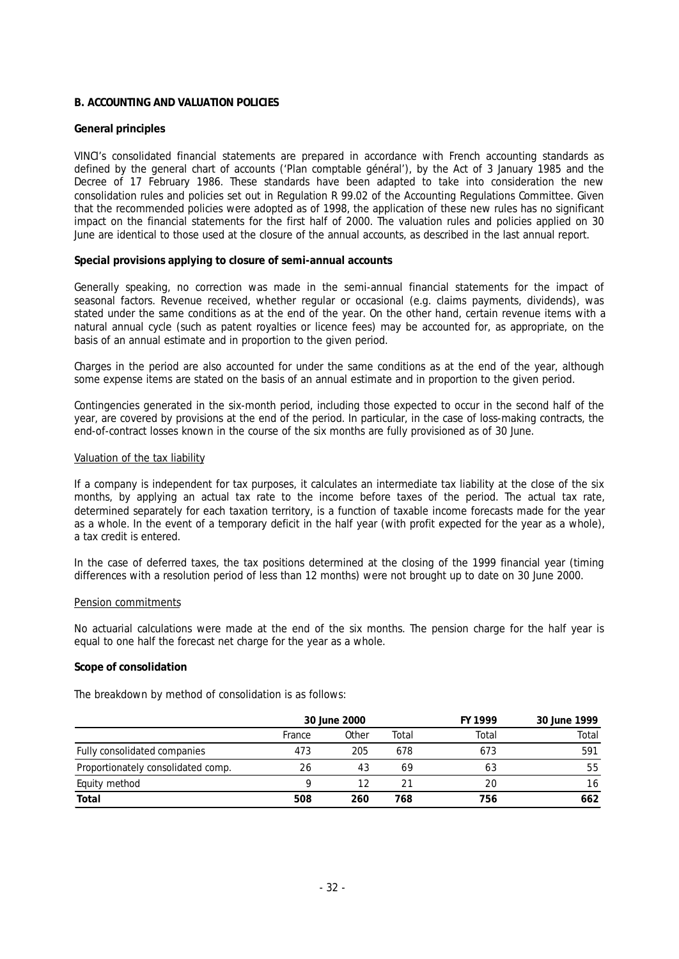## **B. ACCOUNTING AND VALUATION POLICIES**

#### **General principles**

VINCI's consolidated financial statements are prepared in accordance with French accounting standards as defined by the general chart of accounts ('Plan comptable général'), by the Act of 3 January 1985 and the Decree of 17 February 1986. These standards have been adapted to take into consideration the new consolidation rules and policies set out in Regulation R 99.02 of the Accounting Regulations Committee. Given that the recommended policies were adopted as of 1998, the application of these new rules has no significant impact on the financial statements for the first half of 2000. The valuation rules and policies applied on 30 June are identical to those used at the closure of the annual accounts, as described in the last annual report.

#### **Special provisions applying to closure of semi-annual accounts**

Generally speaking, no correction was made in the semi-annual financial statements for the impact of seasonal factors. Revenue received, whether regular or occasional (e.g. claims payments, dividends), was stated under the same conditions as at the end of the year. On the other hand, certain revenue items with a natural annual cycle (such as patent royalties or licence fees) may be accounted for, as appropriate, on the basis of an annual estimate and in proportion to the given period.

Charges in the period are also accounted for under the same conditions as at the end of the year, although some expense items are stated on the basis of an annual estimate and in proportion to the given period.

Contingencies generated in the six-month period, including those expected to occur in the second half of the year, are covered by provisions at the end of the period. In particular, in the case of loss-making contracts, the end-of-contract losses known in the course of the six months are fully provisioned as of 30 June.

#### Valuation of the tax liability

If a company is independent for tax purposes, it calculates an intermediate tax liability at the close of the six months, by applying an actual tax rate to the income before taxes of the period. The actual tax rate, determined separately for each taxation territory, is a function of taxable income forecasts made for the year as a whole. In the event of a temporary deficit in the half year (with profit expected for the year as a whole), a tax credit is entered.

In the case of deferred taxes, the tax positions determined at the closing of the 1999 financial year (timing differences with a resolution period of less than 12 months) were not brought up to date on 30 June 2000.

#### Pension commitments

No actuarial calculations were made at the end of the six months. The pension charge for the half year is equal to one half the forecast net charge for the year as a whole.

#### **Scope of consolidation**

The breakdown by method of consolidation is as follows:

|                                    | 30 June 2000 |       |       | FY 1999 | 30 June 1999 |
|------------------------------------|--------------|-------|-------|---------|--------------|
|                                    | France       | Other | Total | Total   | Total        |
| Fully consolidated companies       | 473          | 205   | 678   | 673     | 591          |
| Proportionately consolidated comp. | 26           | 43    | 69    | 63      | 55           |
| Equity method                      |              |       |       | 20      | 16           |
| Total                              | 508          | 260   | 768   | 756     | 662          |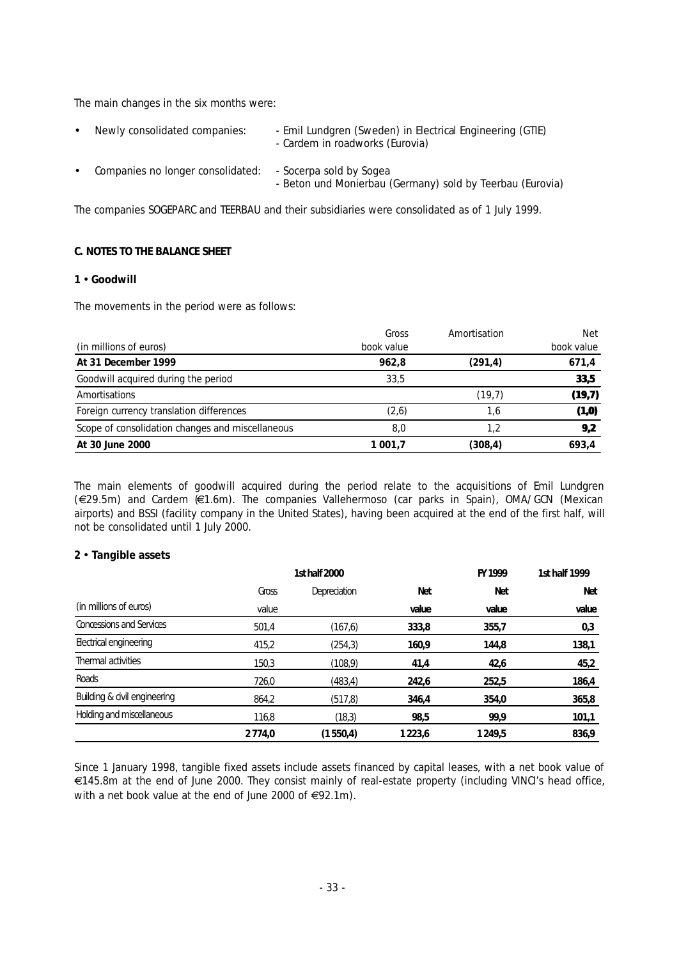The main changes in the six months were:

| $\bullet$ | Newly consolidated companies:     | - Emil Lundgren (Sweden) in Electrical Engineering (GTIE)<br>- Cardem in roadworks (Eurovia) |
|-----------|-----------------------------------|----------------------------------------------------------------------------------------------|
| $\bullet$ | Companies no longer consolidated: | - Socerpa sold by Sogea<br>- Beton und Monierbau (Germany) sold by Teerbau (Eurovia)         |

The companies SOGEPARC and TEERBAU and their subsidiaries were consolidated as of 1 July 1999.

## **C. NOTES TO THE BALANCE SHEET**

## **1** • **Goodwill**

The movements in the period were as follows:

|                                                  | Gross      | Amortisation | <b>Net</b> |
|--------------------------------------------------|------------|--------------|------------|
| (in millions of euros)                           | book value |              | book value |
| At 31 December 1999                              | 962.8      | (291, 4)     | 671,4      |
| Goodwill acquired during the period              | 33.5       |              | 33,5       |
| Amortisations                                    |            | (19,7)       | (19,7)     |
| Foreign currency translation differences         | (2,6)      | 1.6          | (1, 0)     |
| Scope of consolidation changes and miscellaneous | 8,0        | 1.2          | 9,2        |
| At 30 June 2000                                  | 1 001.7    | (308,4)      | 693.4      |

The main elements of goodwill acquired during the period relate to the acquisitions of Emil Lundgren (€29.5m) and Cardem (€1.6m). The companies Vallehermoso (car parks in Spain), OMA/GCN (Mexican airports) and BSSI (facility company in the United States), having been acquired at the end of the first half, will not be consolidated until 1 July 2000.

#### **2** • **Tangible assets**

|                                 |        | 1st half 2000 |            |            | 1st half 1999 |
|---------------------------------|--------|---------------|------------|------------|---------------|
|                                 | Gross  | Depreciation  | <b>Net</b> | <b>Net</b> | <b>Net</b>    |
| (in millions of euros)          | value  |               | value      | value      | value         |
| <b>Concessions and Services</b> | 501,4  | (167, 6)      | 333,8      | 355,7      | 0,3           |
| Electrical engineering          | 415,2  | (254,3)       | 160,9      | 144,8      | 138,1         |
| Thermal activities              | 150,3  | (108,9)       | 41,4       | 42,6       | 45,2          |
| Roads                           | 726,0  | (483, 4)      | 242,6      | 252,5      | 186,4         |
| Building & civil engineering    | 864,2  | (517, 8)      | 346,4      | 354,0      | 365,8         |
| Holding and miscellaneous       | 116,8  | (18,3)        | 98,5       | 99,9       | 101,1         |
|                                 | 2774.0 | (1550, 4)     | 1223.6     | 1249.5     | 836,9         |

Since 1 January 1998, tangible fixed assets include assets financed by capital leases, with a net book value of e145.8m at the end of June 2000. They consist mainly of real-estate property (including VINCI's head office, with a net book value at the end of June 2000 of  $\epsilon$ 92.1m).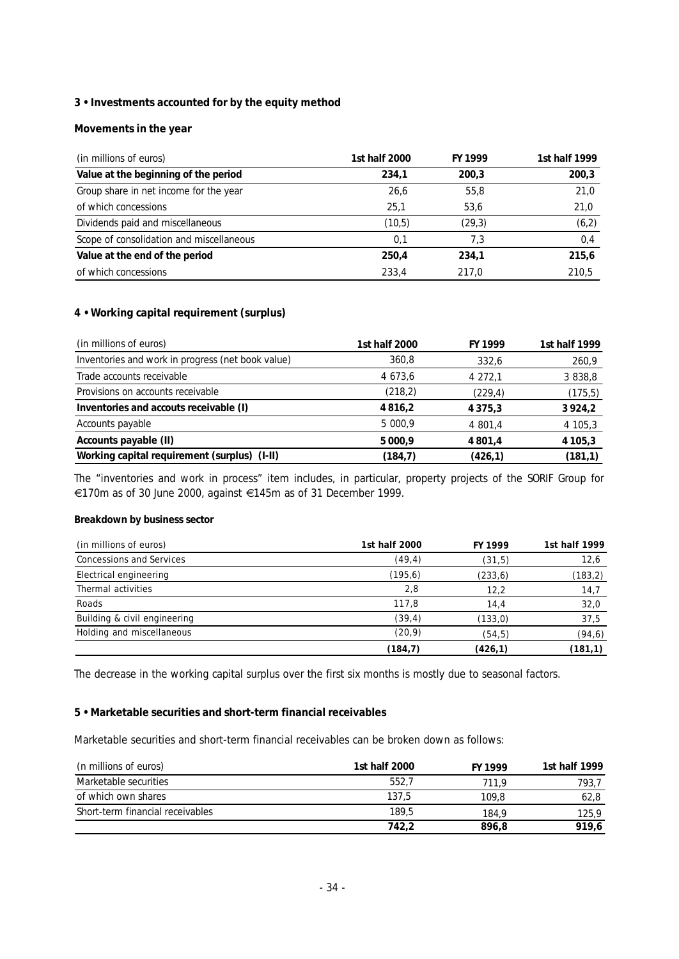# **3 • Investments accounted for by the equity method**

## **Movements in the year**

| (in millions of euros)                   | 1st half 2000 | FY 1999 | 1st half 1999 |
|------------------------------------------|---------------|---------|---------------|
| Value at the beginning of the period     | 234,1         | 200.3   | 200,3         |
| Group share in net income for the year   | 26,6          | 55.8    | 21,0          |
| of which concessions                     | 25,1          | 53,6    | 21,0          |
| Dividends paid and miscellaneous         | (10,5)        | (29,3)  | (6,2)         |
| Scope of consolidation and miscellaneous | 0.1           | 7.3     | 0,4           |
| Value at the end of the period           | 250,4         | 234,1   | 215,6         |
| of which concessions                     | 233,4         | 217.0   | 210,5         |

## **4 • Working capital requirement (surplus)**

| (in millions of euros)                            | 1st half 2000 | FY 1999     | 1st half 1999 |
|---------------------------------------------------|---------------|-------------|---------------|
| Inventories and work in progress (net book value) | 360,8         | 332.6       | 260,9         |
| Trade accounts receivable                         | 4 673.6       | 4 272,1     | 3 838,8       |
| Provisions on accounts receivable                 | (218, 2)      | (229,4)     | (175, 5)      |
| Inventories and accouts receivable (I)            | 4816.2        | 4 3 7 5 , 3 | 3924,2        |
| Accounts payable                                  | 5 000.9       | 4 801,4     | 4 105,3       |
| Accounts payable (II)                             | 5 0 0 0, 9    | 4 801,4     | 4 1 0 5 , 3   |
| Working capital requirement (surplus) (I-II)      | (184,7)       | (426,1)     | (181, 1)      |

The "inventories and work in process" item includes, in particular, property projects of the SORIF Group for e170m as of 30 June 2000, against e145m as of 31 December 1999.

## **Breakdown by business sector**

| (in millions of euros)          | 1st half 2000 | FY 1999  | 1st half 1999 |
|---------------------------------|---------------|----------|---------------|
| <b>Concessions and Services</b> | (49, 4)       | (31,5)   | 12,6          |
| Electrical engineering          | (195, 6)      | (233, 6) | (183, 2)      |
| Thermal activities              | 2,8           | 12,2     | 14,7          |
| Roads                           | 117.8         | 14,4     | 32,0          |
| Building & civil engineering    | (39, 4)       | (133,0)  | 37,5          |
| Holding and miscellaneous       | (20, 9)       | (54, 5)  | (94, 6)       |
|                                 | (184,7)       | (426, 1) | (181, 1)      |

The decrease in the working capital surplus over the first six months is mostly due to seasonal factors.

## **5 • Marketable securities and short-term financial receivables**

Marketable securities and short-term financial receivables can be broken down as follows:

| (n millions of euros)            | 1st half 2000 | FY 1999 | 1st half 1999 |
|----------------------------------|---------------|---------|---------------|
| Marketable securities            | 552,7         | 711.9   | 793,7         |
| of which own shares              | 137.5         | 109.8   | 62,8          |
| Short-term financial receivables | 189,5         | 184.9   | 125,9         |
|                                  | 742,2         | 896,8   | 919.6         |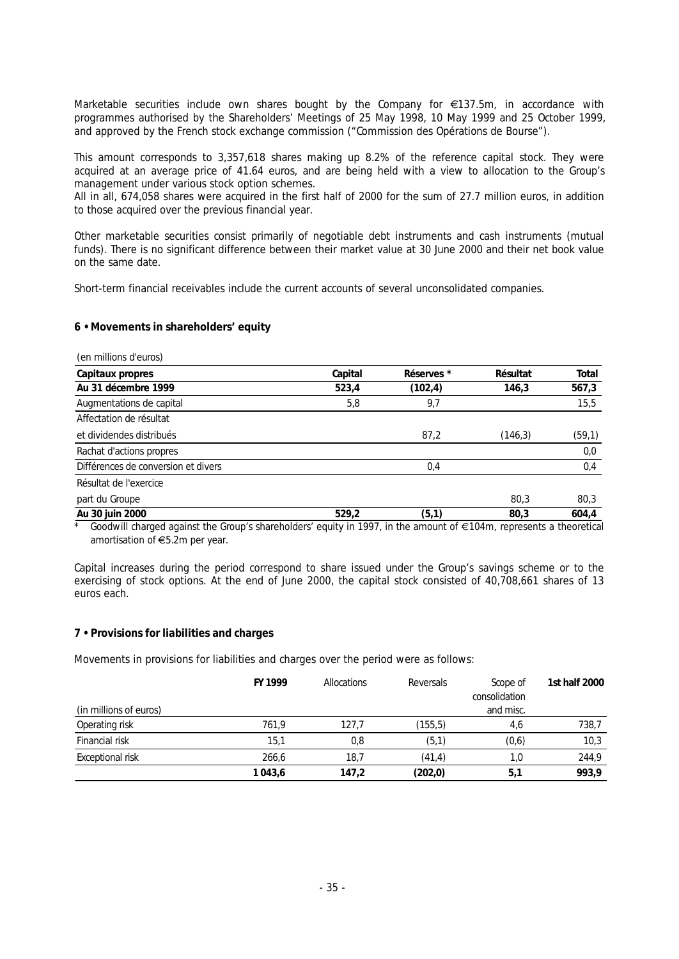Marketable securities include own shares bought by the Company for  $\epsilon$ 137.5m, in accordance with programmes authorised by the Shareholders' Meetings of 25 May 1998, 10 May 1999 and 25 October 1999, and approved by the French stock exchange commission ("Commission des Opérations de Bourse").

This amount corresponds to 3,357,618 shares making up 8.2% of the reference capital stock. They were acquired at an average price of 41.64 euros, and are being held with a view to allocation to the Group's management under various stock option schemes.

All in all, 674,058 shares were acquired in the first half of 2000 for the sum of 27.7 million euros, in addition to those acquired over the previous financial year.

Other marketable securities consist primarily of negotiable debt instruments and cash instruments (mutual funds). There is no significant difference between their market value at 30 June 2000 and their net book value on the same date.

Short-term financial receivables include the current accounts of several unconsolidated companies.

**6 • Movements in shareholders' equity**

| (en millions d'euros)                                                                                              |         |                       |          |        |
|--------------------------------------------------------------------------------------------------------------------|---------|-----------------------|----------|--------|
| Capitaux propres                                                                                                   | Capital | Réserves <sup>*</sup> | Résultat | Total  |
| Au 31 décembre 1999                                                                                                | 523,4   | (102, 4)              | 146,3    | 567,3  |
| Augmentations de capital                                                                                           | 5,8     | 9,7                   |          | 15,5   |
| Affectation de résultat                                                                                            |         |                       |          |        |
| et dividendes distribués                                                                                           |         | 87,2                  | (146, 3) | (59,1) |
| Rachat d'actions propres                                                                                           |         |                       |          | 0,0    |
| Différences de conversion et divers                                                                                |         | 0,4                   |          | 0,4    |
| Résultat de l'exercice                                                                                             |         |                       |          |        |
| part du Groupe                                                                                                     |         |                       | 80,3     | 80,3   |
| Au 30 juin 2000                                                                                                    | 529.2   | (5,1)                 | 80.3     | 604,4  |
| Goodwill charged against the Group's shareholders' equity in 1997, in the amount of €104m, represents a theoretica |         |                       |          |        |

\* Goodwill charged against the Group's shareholders' equity in 1997, in the amount of €104m, represents a theoretical *amortisation of* e*5.2m per year.*

Capital increases during the period correspond to share issued under the Group's savings scheme or to the exercising of stock options. At the end of June 2000, the capital stock consisted of 40,708,661 shares of 13 euros each.

# **7 • Provisions for liabilities and charges**

Movements in provisions for liabilities and charges over the period were as follows:

|                        | FY 1999 | Allocations | Reversals | Scope of<br>consolidation | 1st half 2000 |
|------------------------|---------|-------------|-----------|---------------------------|---------------|
| (in millions of euros) |         |             |           | and misc.                 |               |
| Operating risk         | 761,9   | 127.7       | (155, 5)  | 4,6                       | 738,7         |
| Financial risk         | 15,1    | 0,8         | (5,1)     | (0,6)                     | 10,3          |
| Exceptional risk       | 266,6   | 18,7        | (41,4)    | 1,0                       | 244,9         |
|                        | 1043,6  | 147,2       | (202, 0)  | 5,1                       | 993,9         |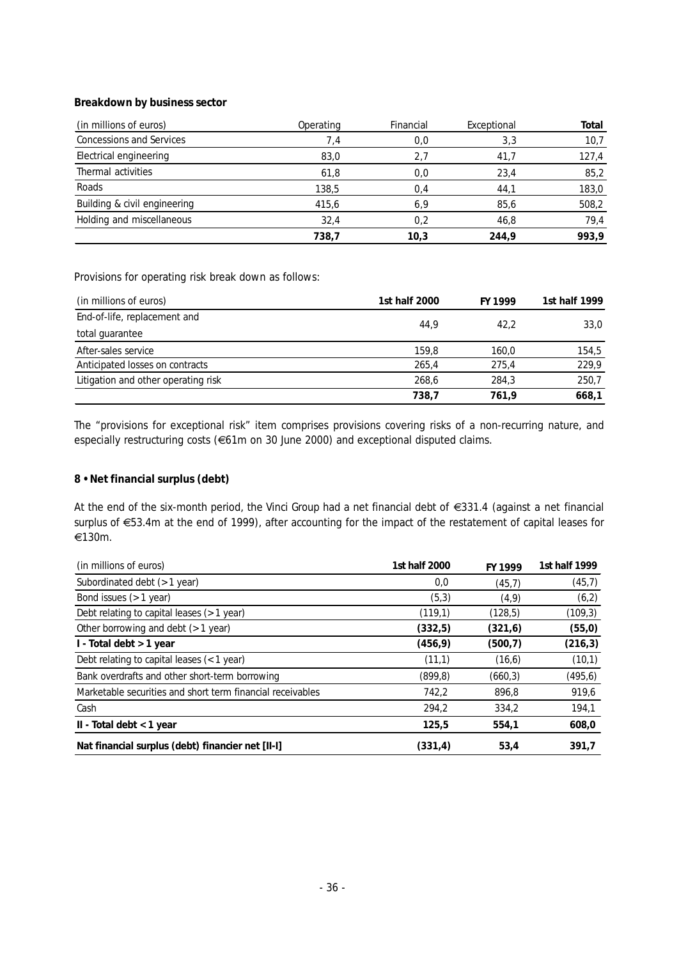## **Breakdown by business sector**

| (in millions of euros)          | Operating | Financial | Exceptional | Total |
|---------------------------------|-----------|-----------|-------------|-------|
| <b>Concessions and Services</b> | 7,4       | 0,0       | 3,3         | 10,7  |
| Electrical engineering          | 83.0      | 2.7       | 41.7        | 127,4 |
| Thermal activities              | 61,8      | 0,0       | 23,4        | 85,2  |
| Roads                           | 138,5     | 0,4       | 44,1        | 183,0 |
| Building & civil engineering    | 415,6     | 6,9       | 85.6        | 508,2 |
| Holding and miscellaneous       | 32,4      | 0.2       | 46.8        | 79,4  |
|                                 | 738,7     | 10.3      | 244.9       | 993,9 |

Provisions for operating risk break down as follows:

| (in millions of euros)              | 1st half 2000 | FY 1999 | 1st half 1999 |
|-------------------------------------|---------------|---------|---------------|
| End-of-life, replacement and        | 44.9          | 42.2    |               |
| total guarantee                     |               |         | 33,0          |
| After-sales service                 | 159.8         | 160.0   | 154,5         |
| Anticipated losses on contracts     | 265.4         | 275,4   | 229,9         |
| Litigation and other operating risk | 268.6         | 284.3   | 250,7         |
|                                     | 738.7         | 761.9   | 668,1         |

The "provisions for exceptional risk" item comprises provisions covering risks of a non-recurring nature, and especially restructuring costs (€61m on 30 June 2000) and exceptional disputed claims.

## **8 • Net financial surplus (debt)**

At the end of the six-month period, the Vinci Group had a net financial debt of  $\epsilon$ 331.4 (against a net financial surplus of €53.4m at the end of 1999), after accounting for the impact of the restatement of capital leases for e130m.

| (in millions of euros)                                     | 1st half 2000 | FY 1999  | 1st half 1999 |
|------------------------------------------------------------|---------------|----------|---------------|
| Subordinated debt (> 1 year)                               | 0,0           | (45,7)   | (45,7)        |
| Bond issues (> 1 year)                                     | (5,3)         | (4, 9)   | (6,2)         |
| Debt relating to capital leases (> 1 year)                 | (119,1)       | (128,5)  | (109, 3)      |
| Other borrowing and debt $($ > 1 year)                     | (332,5)       | (321, 6) | (55, 0)       |
| I - Total debt > 1 year                                    | (456, 9)      | (500, 7) | (216, 3)      |
| Debt relating to capital leases (< 1 year)                 | (11,1)        | (16, 6)  | (10,1)        |
| Bank overdrafts and other short-term borrowing             | (899, 8)      | (660, 3) | (495, 6)      |
| Marketable securities and short term financial receivables | 742,2         | 896,8    | 919,6         |
| Cash                                                       | 294,2         | 334,2    | 194,1         |
| $II$ - Total debt < 1 year                                 | 125.5         | 554,1    | 608,0         |
| Nat financial surplus (debt) financier net [II-I]          | (331, 4)      | 53,4     | 391,7         |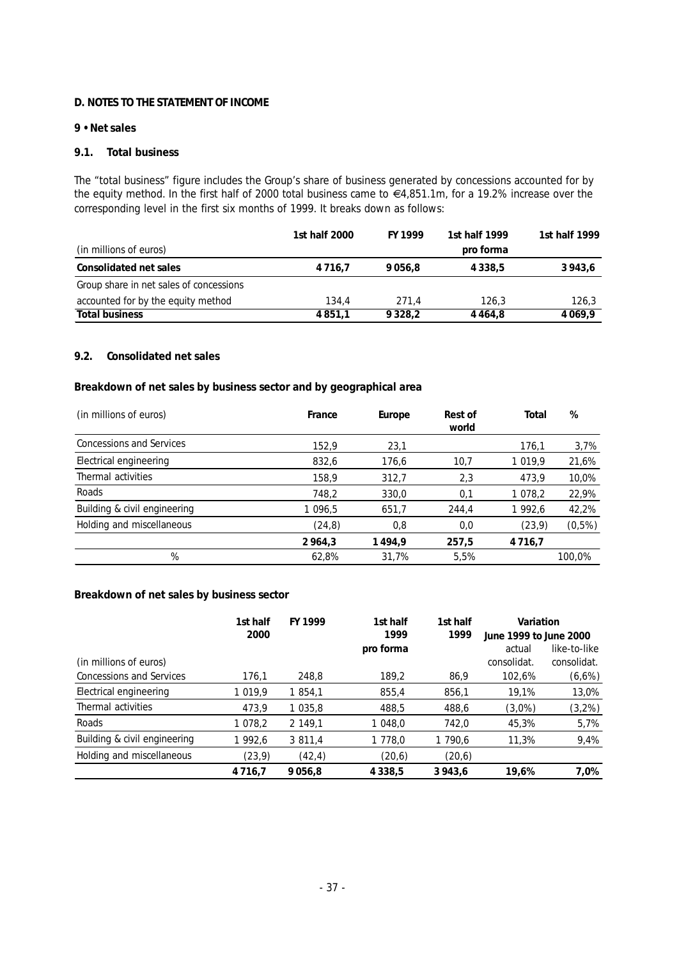## **D. NOTES TO THE STATEMENT OF INCOME**

## **9 • Net sales**

## **9.1. Total business**

The "total business" figure includes the Group's share of business generated by concessions accounted for by the equity method. In the first half of 2000 total business came to  $64,851.1$ m, for a 19.2% increase over the corresponding level in the first six months of 1999. It breaks down as follows:

|                                         | 1st half 2000 | FY 1999     | 1st half 1999 | 1st half 1999 |
|-----------------------------------------|---------------|-------------|---------------|---------------|
| (in millions of euros)                  |               |             | pro forma     |               |
| Consolidated net sales                  | 4 7 1 6 . 7   | 9056.8      | 4 3 3 8 .5    | 3943.6        |
| Group share in net sales of concessions |               |             |               |               |
| accounted for by the equity method      | 134.4         | 271.4       | 126.3         | 126,3         |
| Total business                          | 4 8 5 1 . 1   | 9 3 2 8 . 2 | 4 4 6 4 .8    | 4 0 6 9 .9    |

# **9.2. Consolidated net sales**

**Breakdown of net sales by business sector and by geographical area**

| (in millions of euros)          | France  | Europe | Rest of<br>world | Total       | %      |
|---------------------------------|---------|--------|------------------|-------------|--------|
| <b>Concessions and Services</b> | 152,9   | 23,1   |                  | 176,1       | 3,7%   |
| Electrical engineering          | 832,6   | 176,6  | 10,7             | 1 0 1 9,9   | 21,6%  |
| Thermal activities              | 158,9   | 312,7  | 2,3              | 473,9       | 10,0%  |
| Roads                           | 748,2   | 330,0  | 0,1              | 1 078,2     | 22,9%  |
| Building & civil engineering    | 1 096,5 | 651,7  | 244,4            | 1 992,6     | 42,2%  |
| Holding and miscellaneous       | (24, 8) | 0,8    | 0,0              | (23, 9)     | (0,5%) |
|                                 | 2964,3  | 1494,9 | 257,5            | 4 7 1 6 , 7 |        |
| %                               | 62,8%   | 31,7%  | 5,5%             |             | 100,0% |

## **Breakdown of net sales by business sector**

|                                 | 1st half<br>2000 | FY 1999 | 1st half<br>1999 | 1st half<br>1999 | Variation<br>June 1999 to June 2000 |              |
|---------------------------------|------------------|---------|------------------|------------------|-------------------------------------|--------------|
|                                 |                  |         | pro forma        |                  | actual                              | like-to-like |
| (in millions of euros)          |                  |         |                  |                  | consolidat.                         | consolidat.  |
| <b>Concessions and Services</b> | 176,1            | 248,8   | 189,2            | 86,9             | 102,6%                              | (6,6%)       |
| Electrical engineering          | 1 0 1 9,9        | 1 854,1 | 855,4            | 856,1            | 19,1%                               | 13,0%        |
| Thermal activities              | 473,9            | 1 035,8 | 488,5            | 488,6            | $(3,0\%)$                           | (3,2%)       |
| Roads                           | 1 078,2          | 2 149,1 | 1 048,0          | 742,0            | 45,3%                               | 5,7%         |
| Building & civil engineering    | 1 992,6          | 3 811,4 | 1 778,0          | 1 790,6          | 11,3%                               | 9,4%         |
| Holding and miscellaneous       | (23, 9)          | (42, 4) | (20,6)           | (20, 6)          |                                     |              |
|                                 | 4 7 1 6 7        | 9056.8  | 4 3 3 8 , 5      | 3943,6           | 19,6%                               | 7,0%         |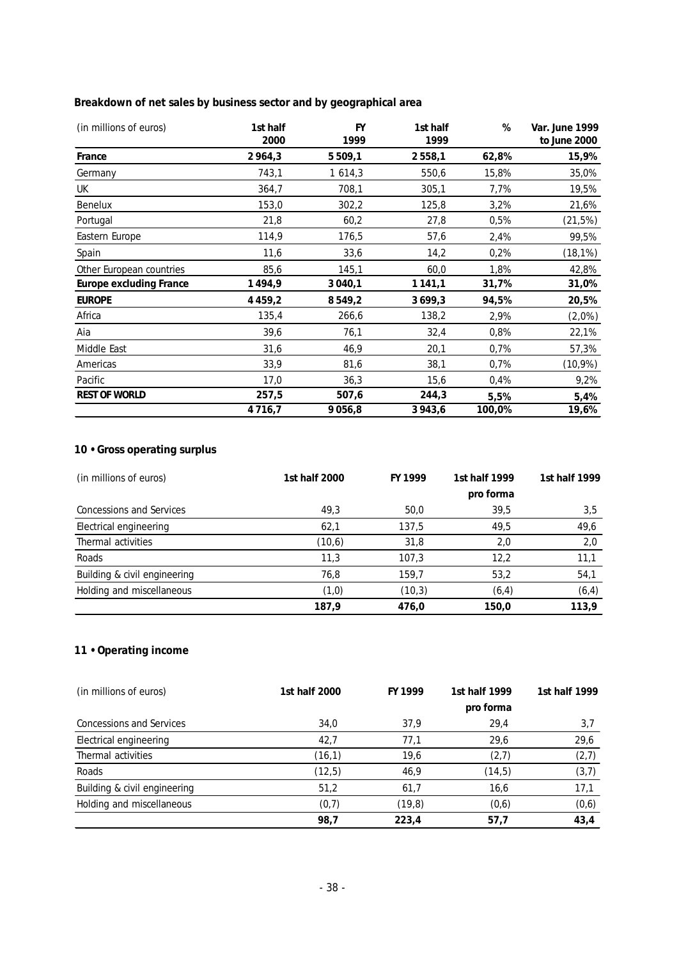**Breakdown of net sales by business sector and by geographical area**

| (in millions of euros)   | 1st half<br>2000 | <b>FY</b><br>1999 | 1st half<br>1999 | %      | Var. June 1999<br>to June 2000 |
|--------------------------|------------------|-------------------|------------------|--------|--------------------------------|
| France                   | 2964,3           | 5 5 0 9, 1        | 2558,1           | 62,8%  | 15,9%                          |
| Germany                  | 743,1            | 1614,3            | 550,6            | 15,8%  | 35,0%                          |
| UK                       | 364,7            | 708,1             | 305,1            | 7,7%   | 19,5%                          |
| Benelux                  | 153,0            | 302,2             | 125,8            | 3,2%   | 21,6%                          |
| Portugal                 | 21,8             | 60,2              | 27,8             | 0,5%   | (21,5%)                        |
| Eastern Europe           | 114,9            | 176,5             | 57,6             | 2,4%   | 99,5%                          |
| Spain                    | 11,6             | 33,6              | 14,2             | 0,2%   | $(18, 1\%)$                    |
| Other European countries | 85,6             | 145,1             | 60,0             | 1,8%   | 42,8%                          |
| Europe excluding France  | 1494,9           | 3 040,1           | 1 1 4 1 , 1      | 31,7%  | 31,0%                          |
| <b>EUROPE</b>            | 4 4 5 9, 2       | 8549,2            | 3699,3           | 94,5%  | 20,5%                          |
| Africa                   | 135,4            | 266,6             | 138,2            | 2,9%   | (2,0%)                         |
| Aia                      | 39,6             | 76,1              | 32,4             | 0,8%   | 22,1%                          |
| Middle East              | 31,6             | 46,9              | 20,1             | 0,7%   | 57,3%                          |
| Americas                 | 33,9             | 81,6              | 38,1             | 0,7%   | $(10,9\%)$                     |
| Pacific                  | 17,0             | 36,3              | 15,6             | 0,4%   | 9,2%                           |
| REST OF WORLD            | 257,5            | 507,6             | 244,3            | 5,5%   | 5,4%                           |
|                          | 4716,7           | 9056,8            | 3943,6           | 100,0% | 19,6%                          |

# **10 • Gross operating surplus**

| (in millions of euros)       | 1st half 2000 | FY 1999 | 1st half 1999 | 1st half 1999 |
|------------------------------|---------------|---------|---------------|---------------|
|                              |               |         | pro forma     |               |
| Concessions and Services     | 49.3          | 50,0    | 39.5          | 3,5           |
| Electrical engineering       | 62,1          | 137,5   | 49,5          | 49,6          |
| Thermal activities           | (10, 6)       | 31,8    | 2,0           | 2,0           |
| Roads                        | 11,3          | 107,3   | 12,2          | 11,1          |
| Building & civil engineering | 76,8          | 159.7   | 53,2          | 54,1          |
| Holding and miscellaneous    | (1,0)         | (10,3)  | (6, 4)        | (6, 4)        |
|                              | 187,9         | 476,0   | 150,0         | 113,9         |

# **11 • Operating income**

| (in millions of euros)          | 1st half 2000 | FY 1999 | 1st half 1999 | 1st half 1999 |
|---------------------------------|---------------|---------|---------------|---------------|
|                                 |               |         | pro forma     |               |
| <b>Concessions and Services</b> | 34,0          | 37,9    | 29,4          | 3,7           |
| Electrical engineering          | 42,7          | 77,1    | 29,6          | 29,6          |
| Thermal activities              | (16,1)        | 19,6    | (2,7)         | (2,7)         |
| Roads                           | (12,5)        | 46,9    | (14,5)        | (3,7)         |
| Building & civil engineering    | 51,2          | 61,7    | 16,6          | 17,1          |
| Holding and miscellaneous       | (0,7)         | (19, 8) | (0,6)         | (0,6)         |
|                                 | 98,7          | 223,4   | 57,7          | 43,4          |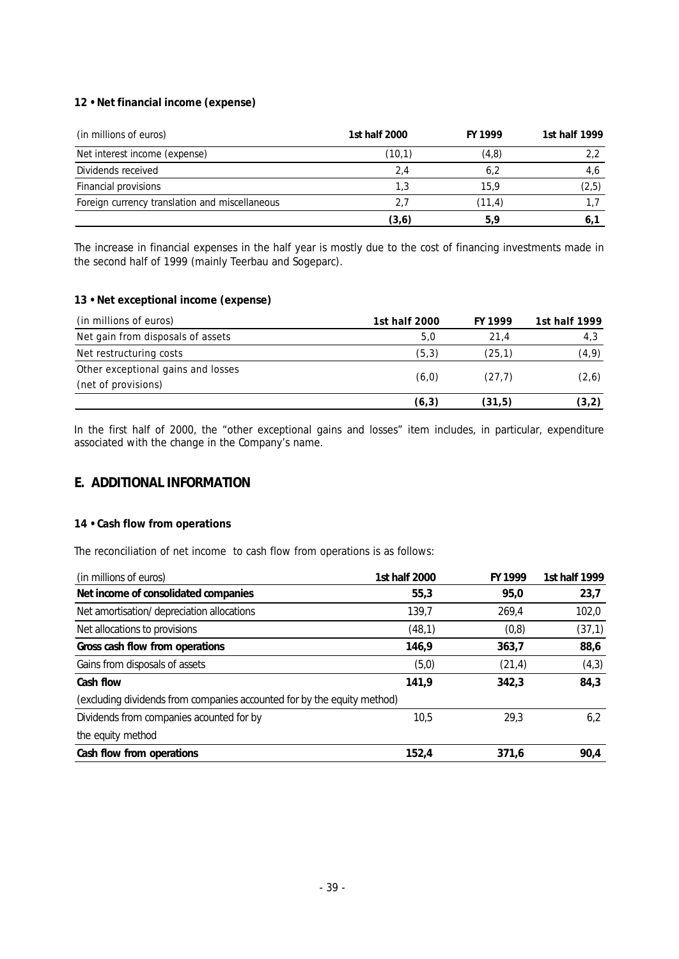# **12 • Net financial income (expense)**

| (in millions of euros)                         | 1st half 2000 | FY 1999 | 1st half 1999 |
|------------------------------------------------|---------------|---------|---------------|
| Net interest income (expense)                  | (10,1)        | (4,8)   |               |
| Dividends received                             | 2.4           | 6.2     | 4,6           |
| Financial provisions                           | 1.3           | 15.9    | (2,5)         |
| Foreign currency translation and miscellaneous | 2.7           | (11, 4) |               |
|                                                | (3,6)         | 5.9     | 6.            |

The increase in financial expenses in the half year is mostly due to the cost of financing investments made in the second half of 1999 (mainly Teerbau and Sogeparc).

## **13 • Net exceptional income (expense)**

| (in millions of euros)             | 1st half 2000 | FY 1999 | 1st half 1999 |
|------------------------------------|---------------|---------|---------------|
| Net gain from disposals of assets  | 5,0           | 21.4    | 4,3           |
| Net restructuring costs            | (5,3)         | (25.1)  | (4, 9)        |
| Other exceptional gains and losses |               | (27.7)  |               |
| (net of provisions)                | (6, 0)        |         | (2, 6)        |
|                                    | (6,3)         | (31,5)  | (3, 2)        |

In the first half of 2000, the "other exceptional gains and losses" item includes, in particular, expenditure associated with the change in the Company's name.

# **E. ADDITIONAL INFORMATION**

## **14 • Cash flow from operations**

The reconciliation of net income to cash flow from operations is as follows:

| (in millions of euros)                                                  | 1st half 2000 | FY 1999 | 1st half 1999 |
|-------------------------------------------------------------------------|---------------|---------|---------------|
| Net income of consolidated companies                                    | 55,3          | 95,0    | 23,7          |
| Net amortisation/depreciation allocations                               | 139,7         | 269,4   | 102,0         |
| Net allocations to provisions                                           | (48,1)        | (0,8)   | (37,1)        |
| Gross cash flow from operations                                         | 146.9         | 363,7   | 88,6          |
| Gains from disposals of assets                                          | (5,0)         | (21, 4) | (4,3)         |
| Cash flow                                                               | 141,9         | 342.3   | 84,3          |
| (excluding dividends from companies accounted for by the equity method) |               |         |               |
| Dividends from companies acounted for by                                | 10,5          | 29.3    | 6,2           |
| the equity method                                                       |               |         |               |
| Cash flow from operations                                               | 152.4         | 371.6   | 90.4          |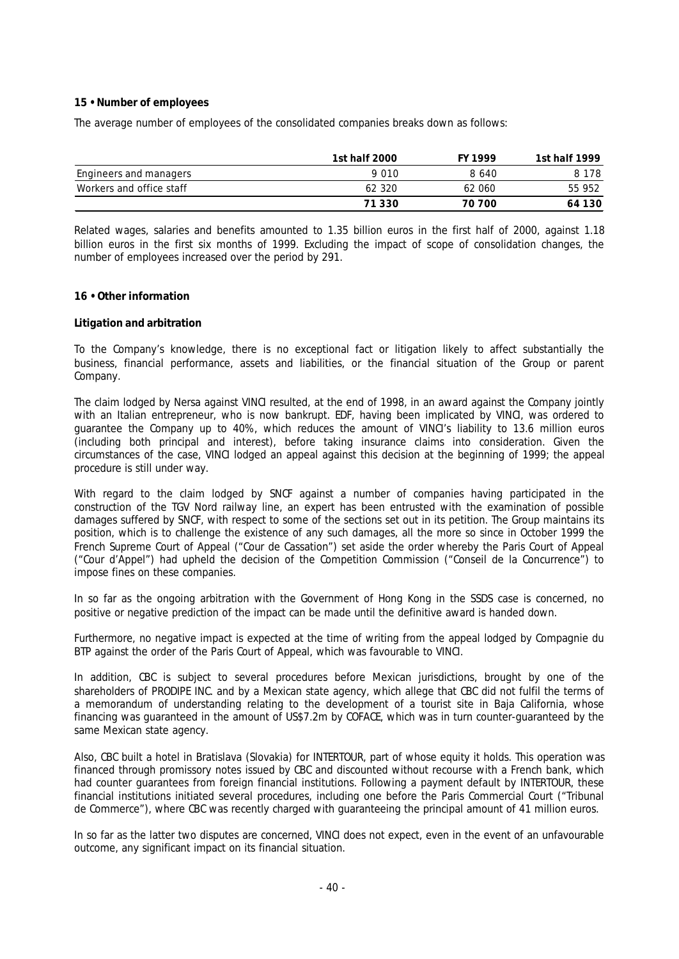## **15 • Number of employees**

The average number of employees of the consolidated companies breaks down as follows:

|                          | 1st half 2000 | FY 1999 | 1st half 1999 |
|--------------------------|---------------|---------|---------------|
| Engineers and managers   | 9 0 1 0       | 8 640   | 8 1 7 8       |
| Workers and office staff | 62 320        | 62 060  | 55 952        |
|                          | 71 330        | 70 700  | 64 130        |

Related wages, salaries and benefits amounted to 1.35 billion euros in the first half of 2000, against 1.18 billion euros in the first six months of 1999. Excluding the impact of scope of consolidation changes, the number of employees increased over the period by 291.

#### **16 • Other information**

#### **Litigation and arbitration**

To the Company's knowledge, there is no exceptional fact or litigation likely to affect substantially the business, financial performance, assets and liabilities, or the financial situation of the Group or parent Company.

The claim lodged by Nersa against VINCI resulted, at the end of 1998, in an award against the Company jointly with an Italian entrepreneur, who is now bankrupt. EDF, having been implicated by VINCI, was ordered to guarantee the Company up to 40%, which reduces the amount of VINCI's liability to 13.6 million euros (including both principal and interest), before taking insurance claims into consideration. Given the circumstances of the case, VINCI lodged an appeal against this decision at the beginning of 1999; the appeal procedure is still under way.

With regard to the claim lodged by SNCF against a number of companies having participated in the construction of the TGV Nord railway line, an expert has been entrusted with the examination of possible damages suffered by SNCF, with respect to some of the sections set out in its petition. The Group maintains its position, which is to challenge the existence of any such damages, all the more so since in October 1999 the French Supreme Court of Appeal ("Cour de Cassation") set aside the order whereby the Paris Court of Appeal ("Cour d'Appel") had upheld the decision of the Competition Commission ("Conseil de la Concurrence") to impose fines on these companies.

In so far as the ongoing arbitration with the Government of Hong Kong in the SSDS case is concerned, no positive or negative prediction of the impact can be made until the definitive award is handed down.

Furthermore, no negative impact is expected at the time of writing from the appeal lodged by Compagnie du BTP against the order of the Paris Court of Appeal, which was favourable to VINCI.

In addition, CBC is subject to several procedures before Mexican jurisdictions, brought by one of the shareholders of PRODIPE INC. and by a Mexican state agency, which allege that CBC did not fulfil the terms of a memorandum of understanding relating to the development of a tourist site in Baja California, whose financing was guaranteed in the amount of US\$7.2m by COFACE, which was in turn counter-guaranteed by the same Mexican state agency.

Also, CBC built a hotel in Bratislava (Slovakia) for INTERTOUR, part of whose equity it holds. This operation was financed through promissory notes issued by CBC and discounted without recourse with a French bank, which had counter guarantees from foreign financial institutions. Following a payment default by INTERTOUR, these financial institutions initiated several procedures, including one before the Paris Commercial Court ("Tribunal de Commerce"), where CBC was recently charged with guaranteeing the principal amount of 41 million euros.

In so far as the latter two disputes are concerned, VINCI does not expect, even in the event of an unfavourable outcome, any significant impact on its financial situation.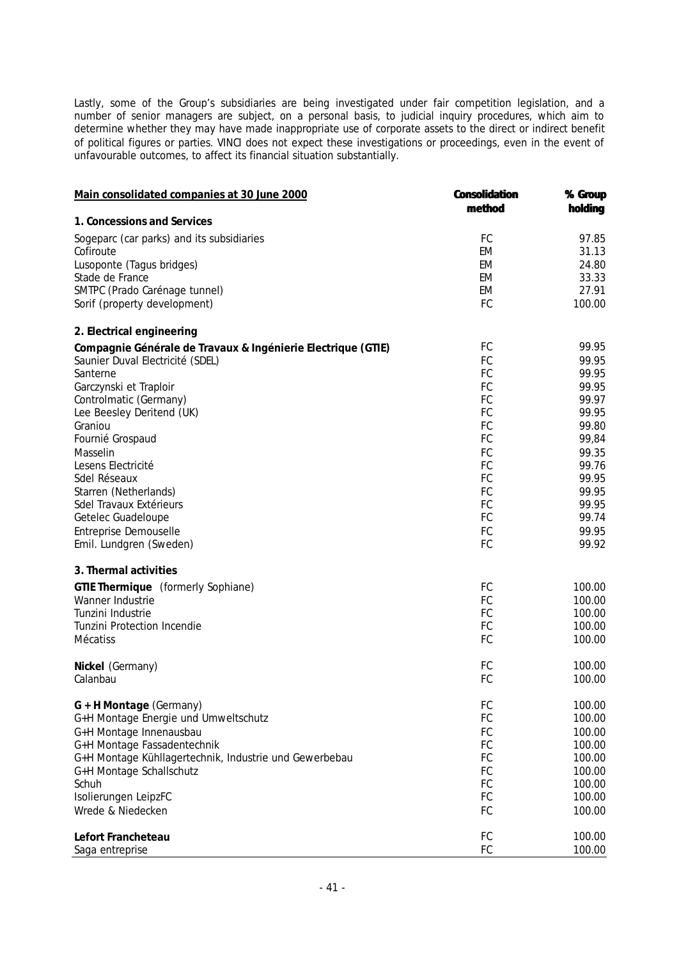Lastly, some of the Group's subsidiaries are being investigated under fair competition legislation, and a number of senior managers are subject, on a personal basis, to judicial inquiry procedures, which aim to determine whether they may have made inappropriate use of corporate assets to the direct or indirect benefit of political figures or parties. VINCI does not expect these investigations or proceedings, even in the event of unfavourable outcomes, to affect its financial situation substantially.

| Main consolidated companies at 30 June 2000                  | <b>Consolidation</b> | % Group |
|--------------------------------------------------------------|----------------------|---------|
|                                                              | method               | holding |
| 1. Concessions and Services                                  |                      |         |
| Sogeparc (car parks) and its subsidiaries                    | FC                   | 97.85   |
| Cofiroute                                                    | EM                   | 31.13   |
| Lusoponte (Tagus bridges)                                    | EM                   | 24.80   |
| Stade de France                                              | EM                   | 33.33   |
| SMTPC (Prado Carénage tunnel)                                | EM                   | 27.91   |
| Sorif (property development)                                 | FC                   | 100.00  |
| 2. Electrical engineering                                    |                      |         |
| Compagnie Générale de Travaux & Ingénierie Electrique (GTIE) | FC                   | 99.95   |
| Saunier Duval Electricité (SDEL)                             | FC                   | 99.95   |
| Santerne                                                     | FC                   | 99.95   |
| Garczynski et Traploir                                       | FC                   | 99.95   |
| Controlmatic (Germany)                                       | FC                   | 99.97   |
| Lee Beesley Deritend (UK)                                    | FC                   | 99.95   |
| Graniou                                                      | FC                   | 99.80   |
| Fournié Grospaud                                             | FC                   | 99,84   |
| Masselin                                                     | FC                   | 99.35   |
| Lesens Electricité                                           | FC                   | 99.76   |
| Sdel Réseaux                                                 | FC                   | 99.95   |
| Starren (Netherlands)                                        | FC                   | 99.95   |
| Sdel Travaux Extérieurs                                      | FC                   | 99.95   |
| Getelec Guadeloupe                                           | FC                   | 99.74   |
| Entreprise Demouselle                                        | FC                   | 99.95   |
| Emil. Lundgren (Sweden)                                      | FC                   | 99.92   |
| 3. Thermal activities                                        |                      |         |
| GTIE Thermique (formerly Sophiane)                           | FC                   | 100.00  |
| Wanner Industrie                                             | FC                   | 100.00  |
| Tunzini Industrie                                            | FC                   | 100.00  |
| <b>Tunzini Protection Incendie</b>                           | FC                   | 100.00  |
| Mécatiss                                                     | FC                   | 100.00  |
| Nickel (Germany)                                             | FC                   | 100.00  |
| Calanbau                                                     | FC                   | 100.00  |
| G + H Montage (Germany)                                      | FC                   | 100.00  |
| G+H Montage Energie und Umweltschutz                         | FC                   | 100.00  |
| G+H Montage Innenausbau                                      | FC                   | 100.00  |
| G+H Montage Fassadentechnik                                  | FC                   | 100.00  |
| G+H Montage Kühllagertechnik, Industrie und Gewerbebau       | FC                   | 100.00  |
| G+H Montage Schallschutz                                     | FC                   | 100.00  |
| Schuh                                                        | FC                   | 100.00  |
| Isolierungen LeipzFC                                         | FC                   | 100.00  |
| Wrede & Niedecken                                            | FC                   | 100.00  |
| Lefort Francheteau                                           | FC                   | 100.00  |
| Saga entreprise                                              | FC                   | 100.00  |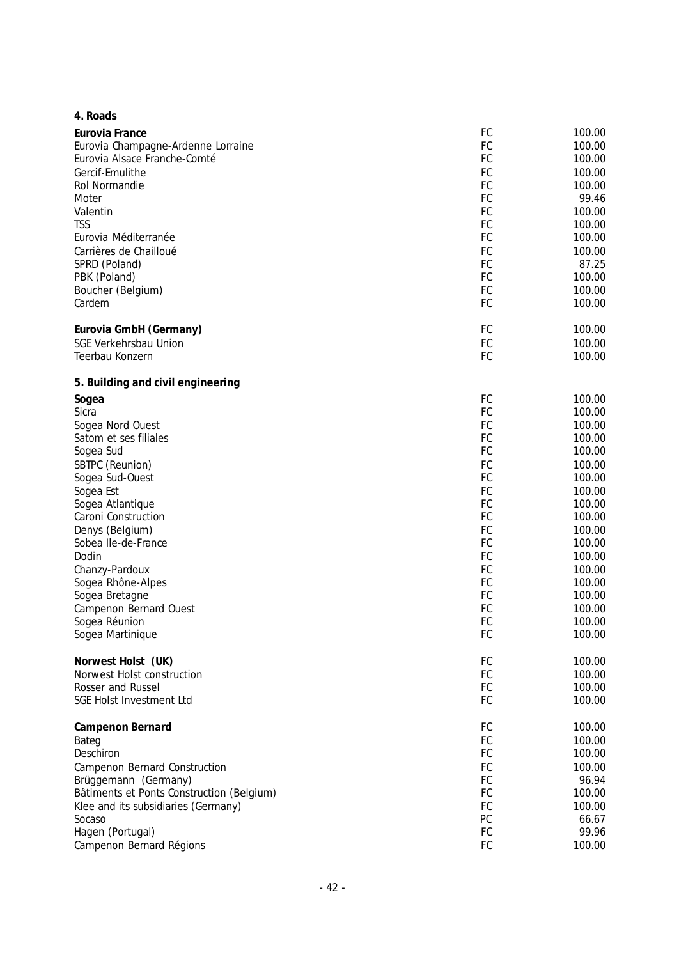| 4. Roads                                  |    |                  |
|-------------------------------------------|----|------------------|
| Eurovia France                            | FC | 100.00           |
| Eurovia Champagne-Ardenne Lorraine        | FC | 100.00           |
| Eurovia Alsace Franche-Comté              | FC | 100.00           |
| Gercif-Emulithe                           | FC | 100.00           |
| Rol Normandie                             | FC | 100.00           |
| Moter                                     | FC | 99.46            |
| Valentin                                  | FC | 100.00           |
| <b>TSS</b>                                | FC | 100.00           |
| Eurovia Méditerranée                      | FC | 100.00           |
| Carrières de Chailloué                    | FC | 100.00           |
| SPRD (Poland)                             | FC | 87.25            |
| PBK (Poland)                              | FC | 100.00           |
|                                           | FC | 100.00           |
| Boucher (Belgium)<br>Cardem               | FC |                  |
|                                           |    | 100.00           |
| Eurovia GmbH (Germany)                    | FC | 100.00           |
| <b>SGE Verkehrsbau Union</b>              | FC | 100.00           |
| Teerbau Konzern                           | FC | 100.00           |
| 5. Building and civil engineering         |    |                  |
| Sogea                                     | FC | 100.00           |
| Sicra                                     | FC | 100.00           |
| Sogea Nord Ouest                          | FC | 100.00           |
| Satom et ses filiales                     | FC | 100.00           |
| Sogea Sud                                 | FC | 100.00           |
| SBTPC (Reunion)                           | FC | 100.00           |
| Sogea Sud-Ouest                           | FC | 100.00           |
| Sogea Est                                 | FC | 100.00           |
| Sogea Atlantique                          | FC | 100.00           |
| Caroni Construction                       | FC | 100.00           |
| Denys (Belgium)                           | FC | 100.00           |
| Sobea Ile-de-France                       | FC | 100.00           |
| Dodin                                     | FC | 100.00           |
|                                           | FC |                  |
| Chanzy-Pardoux                            | FC | 100.00<br>100.00 |
| Sogea Rhône-Alpes                         | FC |                  |
| Sogea Bretagne                            |    | 100.00           |
| Campenon Bernard Ouest                    | FC | 100.00           |
| Sogea Réunion                             | FC | 100.00           |
| Sogea Martinique                          | FC | 100.00           |
| Norwest Holst (UK)                        | FC | 100.00           |
| Norwest Holst construction                | FC | 100.00           |
| Rosser and Russel                         | FC | 100.00           |
| SGE Holst Investment Ltd                  | FC | 100.00           |
| Campenon Bernard                          | FC | 100.00           |
| Bateg                                     | FC | 100.00           |
| Deschiron                                 | FC | 100.00           |
| Campenon Bernard Construction             | FC | 100.00           |
| Brüggemann (Germany)                      | FC | 96.94            |
| Bâtiments et Ponts Construction (Belgium) | FC | 100.00           |
| Klee and its subsidiaries (Germany)       | FC | 100.00           |
| Socaso                                    | PC | 66.67            |
| Hagen (Portugal)                          | FC | 99.96            |
| Campenon Bernard Régions                  | FC | 100.00           |
|                                           |    |                  |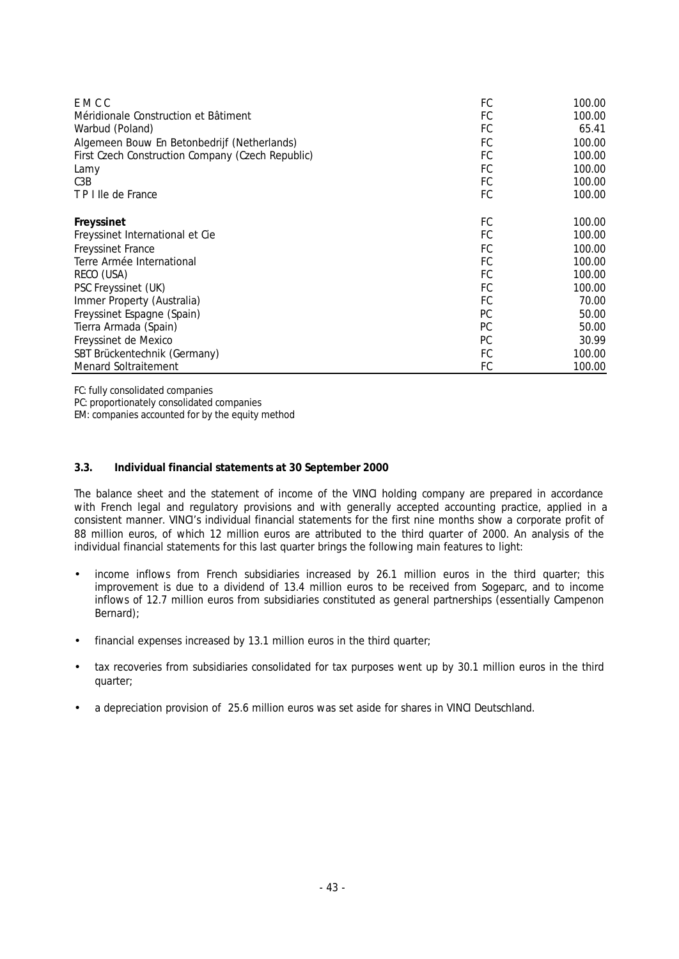| E M C C                                           | FC        | 100.00 |
|---------------------------------------------------|-----------|--------|
| Méridionale Construction et Bâtiment              | FC        | 100.00 |
| Warbud (Poland)                                   | FC        | 65.41  |
| Algemeen Bouw En Betonbedrijf (Netherlands)       | FC        | 100.00 |
| First Czech Construction Company (Czech Republic) | FC        | 100.00 |
| Lamy                                              | FC        | 100.00 |
| C <sub>3</sub> B                                  | FC        | 100.00 |
| T P I lle de France                               | FC        | 100.00 |
| Freyssinet                                        | FC        | 100.00 |
| Freyssinet International et Cie                   | FC        | 100.00 |
| <b>Freyssinet France</b>                          | FC        | 100.00 |
| Terre Armée International                         | FC        | 100.00 |
| RECO (USA)                                        | FC        | 100.00 |
| PSC Freyssinet (UK)                               | FC        | 100.00 |
| Immer Property (Australia)                        | FC        | 70.00  |
| Freyssinet Espagne (Spain)                        | <b>PC</b> | 50.00  |
| Tierra Armada (Spain)                             | <b>PC</b> | 50.00  |
| Freyssinet de Mexico                              | <b>PC</b> | 30.99  |
| SBT Brückentechnik (Germany)                      | FC        | 100.00 |
| <b>Menard Soltraitement</b>                       | FC        | 100.00 |

*FC: fully consolidated companies PC: proportionately consolidated companies EM: companies accounted for by the equity method*

## **3.3. Individual financial statements at 30 September 2000**

The balance sheet and the statement of income of the VINCI holding company are prepared in accordance with French legal and regulatory provisions and with generally accepted accounting practice, applied in a consistent manner. VINCI's individual financial statements for the first nine months show a corporate profit of 88 million euros, of which 12 million euros are attributed to the third quarter of 2000. An analysis of the individual financial statements for this last quarter brings the following main features to light:

- income inflows from French subsidiaries increased by 26.1 million euros in the third quarter; this improvement is due to a dividend of 13.4 million euros to be received from Sogeparc, and to income inflows of 12.7 million euros from subsidiaries constituted as general partnerships (essentially Campenon Bernard);
- financial expenses increased by 13.1 million euros in the third quarter;
- tax recoveries from subsidiaries consolidated for tax purposes went up by 30.1 million euros in the third quarter;
- a depreciation provision of 25.6 million euros was set aside for shares in VINCI Deutschland.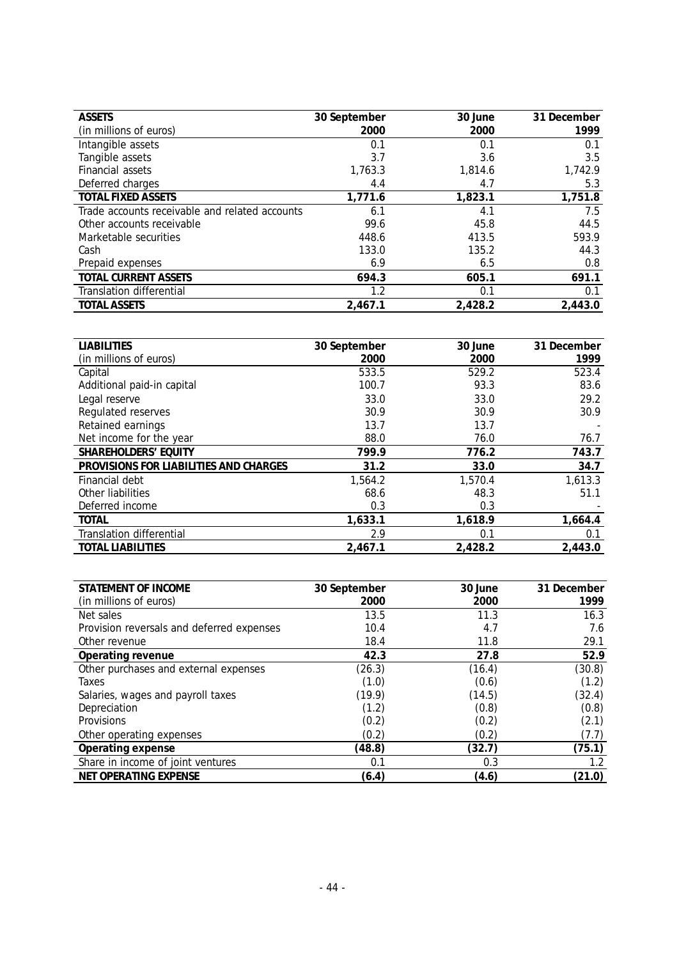| <b>ASSETS</b>                                  | 30 September | 30 June | 31 December |
|------------------------------------------------|--------------|---------|-------------|
| (in millions of euros)                         | 2000         | 2000    | 1999        |
| Intangible assets                              | 0.1          | 0.1     | 0.1         |
| Tangible assets                                | 3.7          | 3.6     | 3.5         |
| Financial assets                               | 1,763.3      | 1,814.6 | 1,742.9     |
| Deferred charges                               | 4.4          | 4.7     | 5.3         |
| TOTAL FIXED ASSETS                             | 1,771.6      | 1,823.1 | 1,751.8     |
| Trade accounts receivable and related accounts | 6.1          | 4.1     | 7.5         |
| Other accounts receivable                      | 99.6         | 45.8    | 44.5        |
| Marketable securities                          | 448.6        | 413.5   | 593.9       |
| Cash                                           | 133.0        | 135.2   | 44.3        |
| Prepaid expenses                               | 6.9          | 6.5     | 0.8         |
| TOTAL CURRENT ASSETS                           | 694.3        | 605.1   | 691.1       |
| <b>Translation differential</b>                | 1.2          | 0.1     | 0.1         |
| <b>TOTAL ASSETS</b>                            | 2.467.1      | 2,428.2 | 2,443.0     |

| <b>LIABILITIES</b>                     | 30 September | 30 June | 31 December |
|----------------------------------------|--------------|---------|-------------|
| (in millions of euros)                 | 2000         | 2000    | 1999        |
| Capital                                | 533.5        | 529.2   | 523.4       |
| Additional paid-in capital             | 100.7        | 93.3    | 83.6        |
| Legal reserve                          | 33.0         | 33.0    | 29.2        |
| Regulated reserves                     | 30.9         | 30.9    | 30.9        |
| Retained earnings                      | 13.7         | 13.7    |             |
| Net income for the year                | 88.0         | 76.0    | 76.7        |
| SHAREHOLDERS' EQUITY                   | 799.9        | 776.2   | 743.7       |
| PROVISIONS FOR LIABILITIES AND CHARGES | 31.2         | 33.0    | 34.7        |
| Financial debt                         | 1,564.2      | 1,570.4 | 1,613.3     |
| Other liabilities                      | 68.6         | 48.3    | 51.1        |
| Deferred income                        | 0.3          | 0.3     |             |
| TOTAL                                  | 1,633.1      | 1,618.9 | 1,664.4     |
| <b>Translation differential</b>        | 2.9          | 0.1     | 0.1         |
| <b>TOTAL LIABILITIES</b>               | 2,467.1      | 2,428.2 | 2,443.0     |

| STATEMENT OF INCOME                       |              | 30 June | 31 December |
|-------------------------------------------|--------------|---------|-------------|
|                                           | 30 September |         |             |
| (in millions of euros)                    | 2000         | 2000    | 1999        |
| Net sales                                 | 13.5         | 11.3    | 16.3        |
| Provision reversals and deferred expenses | 10.4         | 4.7     | 7.6         |
| Other revenue                             | 18.4         | 11.8    | 29.1        |
| Operating revenue                         | 42.3         | 27.8    | 52.9        |
| Other purchases and external expenses     | (26.3)       | (16.4)  | (30.8)      |
| Taxes                                     | (1.0)        | (0.6)   | (1.2)       |
| Salaries, wages and payroll taxes         | (19.9)       | (14.5)  | (32.4)      |
| Depreciation                              | (1.2)        | (0.8)   | (0.8)       |
| Provisions                                | (0.2)        | (0.2)   | (2.1)       |
| Other operating expenses                  | (0.2)        | (0.2)   | (7.7)       |
| Operating expense                         | (48.8)       | (32.7)  | (75.1)      |
| Share in income of joint ventures         | 0.1          | 0.3     | 1.2         |
| NET OPERATING EXPENSE                     | (6.4)        | (4.6)   | (21.0)      |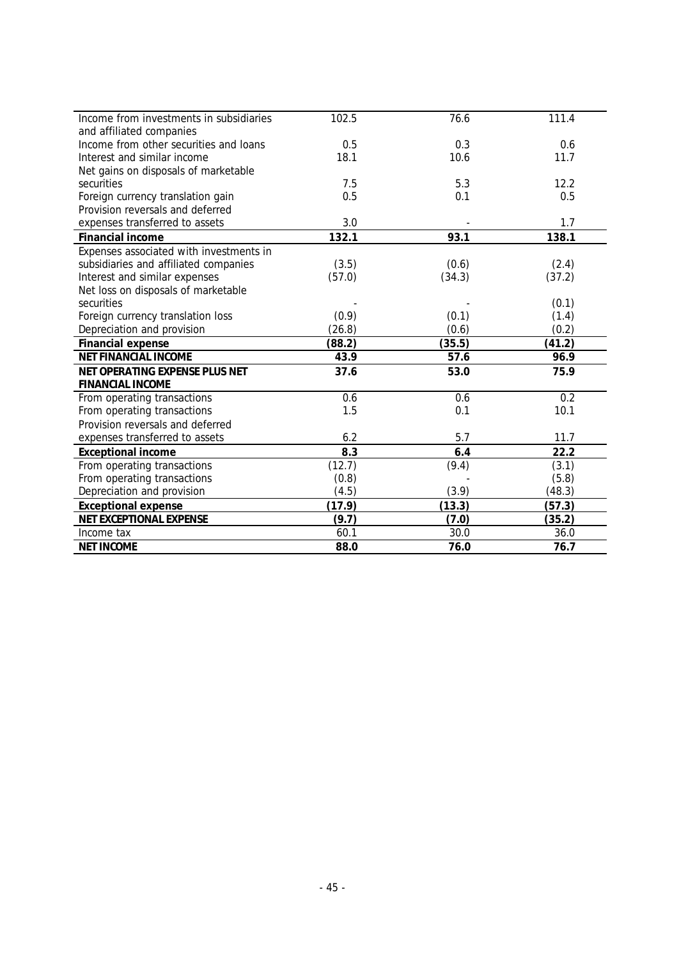| Income from investments in subsidiaries | 102.5  | 76.6   | 111.4  |
|-----------------------------------------|--------|--------|--------|
| and affiliated companies                |        |        |        |
| Income from other securities and loans  | 0.5    | 0.3    | 0.6    |
| Interest and similar income             | 18.1   | 10.6   | 11.7   |
| Net gains on disposals of marketable    |        |        |        |
| securities                              | 7.5    | 5.3    | 12.2   |
| Foreign currency translation gain       | 0.5    | 0.1    | 0.5    |
| Provision reversals and deferred        |        |        |        |
| expenses transferred to assets          | 3.0    |        | 1.7    |
| Financial income                        | 132.1  | 93.1   | 138.1  |
| Expenses associated with investments in |        |        |        |
| subsidiaries and affiliated companies   | (3.5)  | (0.6)  | (2.4)  |
| Interest and similar expenses           | (57.0) | (34.3) | (37.2) |
| Net loss on disposals of marketable     |        |        |        |
| securities                              |        |        | (0.1)  |
| Foreign currency translation loss       | (0.9)  | (0.1)  | (1.4)  |
| Depreciation and provision              | (26.8) | (0.6)  | (0.2)  |
| Financial expense                       | (88.2) | (35.5) | (41.2) |
| NET FINANCIAL INCOME                    | 43.9   | 57.6   | 96.9   |
| NET OPERATING EXPENSE PLUS NET          | 37.6   | 53.0   | 75.9   |
| FINANCIAL INCOME                        |        |        |        |
| From operating transactions             | 0.6    | 0.6    | 0.2    |
| From operating transactions             | 1.5    | 0.1    | 10.1   |
| Provision reversals and deferred        |        |        |        |
| expenses transferred to assets          | 6.2    | 5.7    | 11.7   |
| <b>Exceptional income</b>               | 8.3    | 6.4    | 22.2   |
| From operating transactions             | (12.7) | (9.4)  | (3.1)  |
| From operating transactions             | (0.8)  |        | (5.8)  |
| Depreciation and provision              | (4.5)  | (3.9)  | (48.3) |
| <b>Exceptional expense</b>              | (17.9) | (13.3) | (57.3) |
| NET EXCEPTIONAL EXPENSE                 | (9.7)  | (7.0)  | (35.2) |
| Income tax                              | 60.1   | 30.0   | 36.0   |
| <b>NET INCOME</b>                       | 88.0   | 76.0   | 76.7   |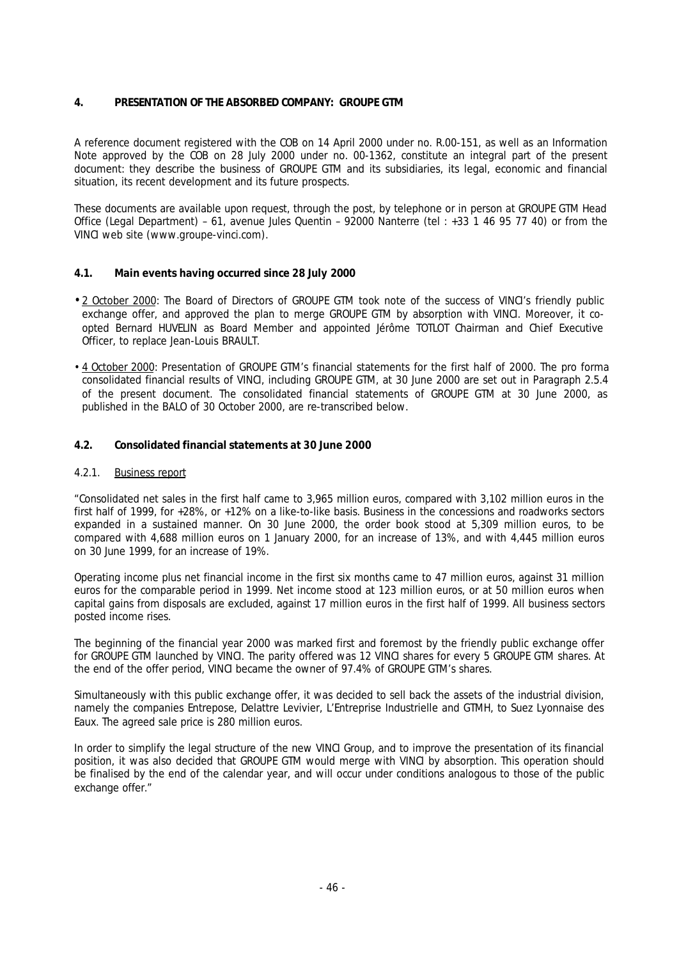## **4. PRESENTATION OF THE ABSORBED COMPANY: GROUPE GTM**

A reference document registered with the COB on 14 April 2000 under no. R.00-151, as well as an Information Note approved by the COB on 28 July 2000 under no. 00-1362, constitute an integral part of the present document: they describe the business of GROUPE GTM and its subsidiaries, its legal, economic and financial situation, its recent development and its future prospects.

These documents are available upon request, through the post, by telephone or in person at GROUPE GTM Head Office (Legal Department) – 61, avenue Jules Quentin – 92000 Nanterre (tel : +33 1 46 95 77 40) or from the VINCI web site (www.groupe-vinci.com).

# **4.1. Main events having occurred since 28 July 2000**

- 2 October 2000: The Board of Directors of GROUPE GTM took note of the success of VINCI's friendly public exchange offer, and approved the plan to merge GROUPE GTM by absorption with VINCI. Moreover, it coopted Bernard HUVELIN as Board Member and appointed Jérôme TOTLOT Chairman and Chief Executive Officer, to replace Jean-Louis BRAULT.
- 4 October 2000: Presentation of GROUPE GTM's financial statements for the first half of 2000. The pro forma consolidated financial results of VINCI, including GROUPE GTM, at 30 June 2000 are set out in Paragraph 2.5.4 of the present document. The consolidated financial statements of GROUPE GTM at 30 June 2000, as published in the BALO of 30 October 2000, are re-transcribed below.

## **4.2. Consolidated financial statements at 30 June 2000**

## 4.2.1. Business report

*"Consolidated net sales in the first half came to 3,965 million euros, compared with 3,102 million euros in the first half of 1999, for +28%, or +12% on a like-to-like basis. Business in the concessions and roadworks sectors expanded in a sustained manner. On 30 June 2000, the order book stood at 5,309 million euros, to be compared with 4,688 million euros on 1 January 2000, for an increase of 13%, and with 4,445 million euros on 30 June 1999, for an increase of 19%.*

*Operating income plus net financial income in the first six months came to 47 million euros, against 31 million euros for the comparable period in 1999. Net income stood at 123 million euros, or at 50 million euros when capital gains from disposals are excluded, against 17 million euros in the first half of 1999. All business sectors posted income rises.*

*The beginning of the financial year 2000 was marked first and foremost by the friendly public exchange offer for GROUPE GTM launched by VINCI. The parity offered was 12 VINCI shares for every 5 GROUPE GTM shares. At the end of the offer period, VINCI became the owner of 97.4% of GROUPE GTM's shares.*

*Simultaneously with this public exchange offer, it was decided to sell back the assets of the industrial division, namely the companies Entrepose, Delattre Levivier, L'Entreprise Industrielle and GTMH, to Suez Lyonnaise des Eaux. The agreed sale price is 280 million euros.*

*In order to simplify the legal structure of the new VINCI Group, and to improve the presentation of its financial position, it was also decided that GROUPE GTM would merge with VINCI by absorption. This operation should be finalised by the end of the calendar year, and will occur under conditions analogous to those of the public exchange offer."*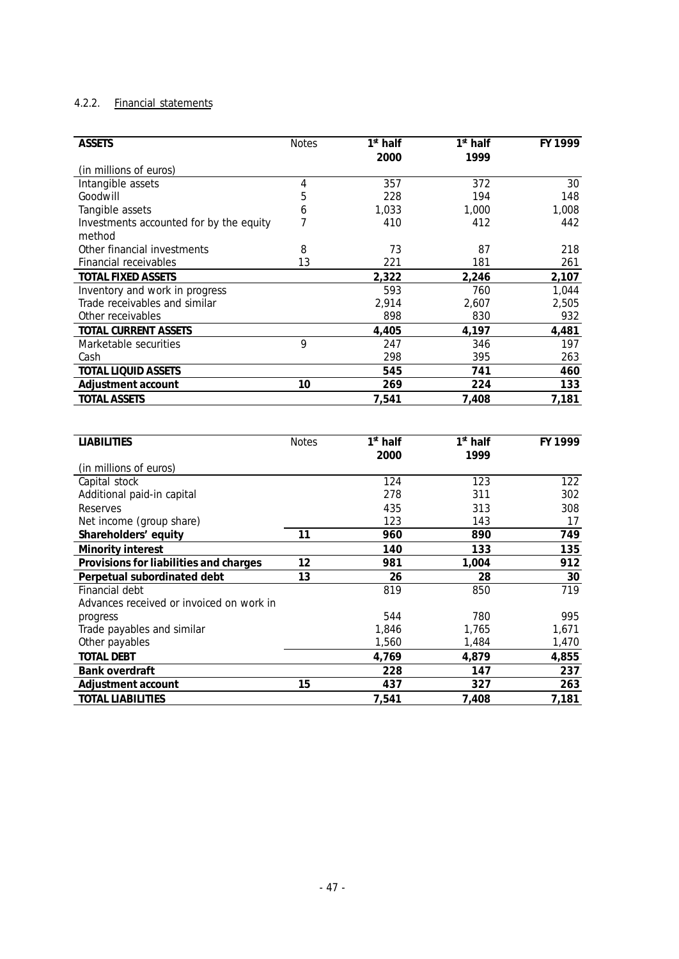## 4.2.2. Financial statements

| <b>ASSETS</b>                            | <b>Notes</b>    | $1st$ half               | $1st$ half       | FY 1999 |
|------------------------------------------|-----------------|--------------------------|------------------|---------|
|                                          |                 | 2000                     | 1999             |         |
| (in millions of euros)                   |                 |                          |                  |         |
| Intangible assets                        | $\overline{4}$  | 357                      | $\overline{372}$ | 30      |
| Goodwill                                 | 5               | 228                      | 194              | 148     |
| Tangible assets                          | 6               | 1,033                    | 1,000            | 1,008   |
| Investments accounted for by the equity  | 7               | 410                      | 412              | 442     |
| method                                   |                 |                          |                  |         |
| Other financial investments              | 8               | 73                       | 87               | 218     |
| Financial receivables                    | 13              | 221                      | 181              | 261     |
| TOTAL FIXED ASSETS                       |                 | 2,322                    | 2,246            | 2,107   |
| Inventory and work in progress           |                 | 593                      | 760              | 1,044   |
| Trade receivables and similar            |                 | 2,914                    | 2,607            | 2,505   |
| Other receivables                        |                 | 898                      | 830              | 932     |
| TOTAL CURRENT ASSETS                     |                 | 4,405                    | 4,197            | 4,481   |
| Marketable securities                    | <b>Q</b>        | 247                      | 346              | 197     |
| Cash                                     |                 | 298                      | 395              | 263     |
| <b>TOTAL LIQUID ASSETS</b>               |                 | 545                      | 741              | 460     |
| Adjustment account                       | 10              | 269                      | 224              | 133     |
| <b>TOTAL ASSETS</b>                      |                 | 7,541                    | 7,408            | 7,181   |
|                                          |                 |                          |                  |         |
|                                          |                 |                          |                  |         |
|                                          |                 |                          |                  |         |
| <b>LIABILITIES</b>                       | <b>Notes</b>    | $\overline{1^{st}}$ half | $1st$ half       | FY 1999 |
|                                          |                 | 2000                     | 1999             |         |
| (in millions of euros)                   |                 |                          |                  |         |
| Capital stock                            |                 | 124                      | 123              | 122     |
| Additional paid-in capital               |                 | 278                      | 311              | 302     |
| Reserves                                 |                 | 435                      | 313              | 308     |
| Net income (group share)                 |                 | 123                      | 143              | 17      |
| Shareholders' equity                     | $\overline{11}$ | 960                      | 890              | 749     |
| Minority interest                        |                 | 140                      | 133              | 135     |
| Provisions for liabilities and charges   | 12              | 981                      | 1,004            | 912     |
| Perpetual subordinated debt              | $\overline{13}$ | 26                       | 28               | $30\,$  |
| Financial debt                           |                 | 819                      | 850              | 719     |
| Advances received or invoiced on work in |                 |                          |                  |         |
| progress                                 |                 | 544                      | 780              | 995     |
| Trade payables and similar               |                 | 1,846                    | 1,765            | 1,671   |
| Other payables                           |                 | 1,560                    | 1,484            | 1,470   |
| <b>TOTAL DEBT</b>                        |                 | 4,769                    | 4,879            | 4,855   |
| Bank overdraft                           |                 | 228                      | 147              | 237     |
| Adjustment account                       | 15              | 437                      | 327              | 263     |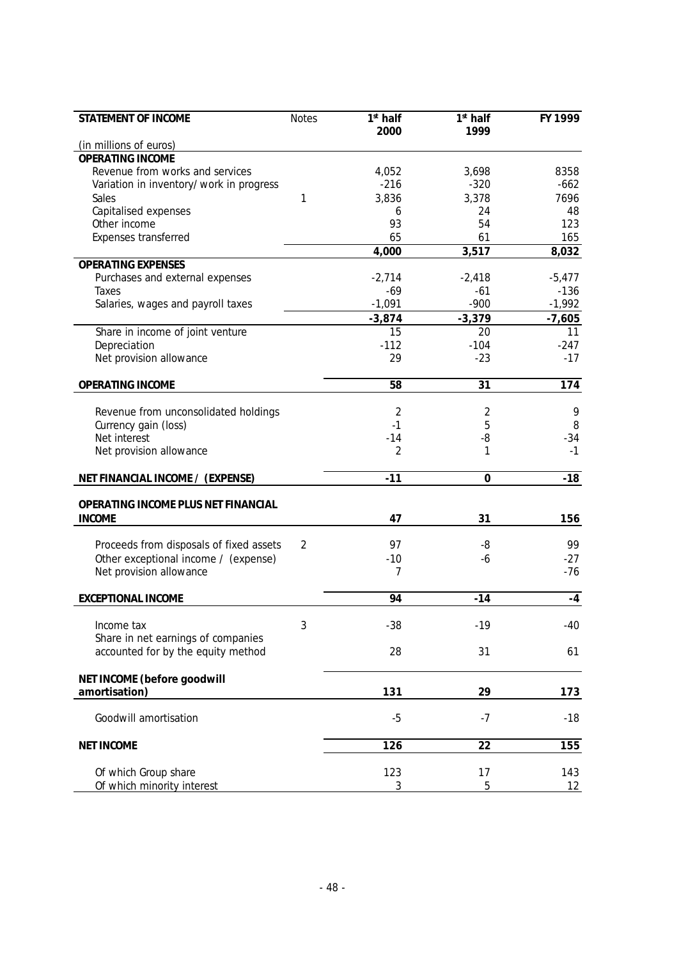| STATEMENT OF INCOME                              | <b>Notes</b> | $\overline{1}$ <sup>st</sup> half | $1st$ half  | FY 1999           |
|--------------------------------------------------|--------------|-----------------------------------|-------------|-------------------|
| (in millions of euros)                           |              | 2000                              | 1999        |                   |
| <b>OPERATING INCOME</b>                          |              |                                   |             |                   |
| Revenue from works and services                  |              | 4,052                             | 3,698       | 8358              |
| Variation in inventory/work in progress          |              | $-216$                            | $-320$      | $-662$            |
| Sales                                            | 1            | 3,836                             | 3,378       | 7696              |
| Capitalised expenses                             |              | 6                                 | 24          | 48                |
| Other income                                     |              | 93                                | 54          | 123               |
| Expenses transferred                             |              | 65                                | 61          | 165               |
|                                                  |              | 4,000                             | 3,517       | 8,032             |
| <b>OPERATING EXPENSES</b>                        |              |                                   |             |                   |
| Purchases and external expenses                  |              | $-2,714$                          | $-2,418$    | $-5,477$          |
| Taxes                                            |              | $-69$                             | $-61$       | $-136$            |
| Salaries, wages and payroll taxes                |              | $-1,091$                          | $-900$      | $-1,992$          |
|                                                  |              | $-3,874$                          | $-3,379$    | $-7,605$          |
| Share in income of joint venture                 |              | 15                                | 20          | 11                |
| Depreciation                                     |              | $-112$                            | $-104$      | $-247$            |
| Net provision allowance                          |              | 29                                | $-23$       | $-17$             |
|                                                  |              |                                   |             |                   |
| OPERATING INCOME                                 |              | 58                                | 31          | 174               |
|                                                  |              |                                   |             |                   |
| Revenue from unconsolidated holdings             |              | 2                                 | 2           | 9                 |
| Currency gain (loss)                             |              | $-1$                              | 5           | 8                 |
| Net interest                                     |              | $-14$                             | -8          | -34               |
| Net provision allowance                          |              | $\overline{2}$                    | 1           | $-1$              |
| NET FINANCIAL INCOME / (EXPENSE)                 |              | $-11$                             | $\mathbf 0$ | $-18$             |
|                                                  |              |                                   |             |                   |
| OPERATING INCOME PLUS NET FINANCIAL              |              |                                   |             |                   |
| <b>INCOME</b>                                    |              | 47                                | 31          | 156               |
|                                                  |              |                                   |             |                   |
| Proceeds from disposals of fixed assets          | 2            | 97                                | -8          | 99                |
| Other exceptional income / (expense)             |              | $-10$                             | $-6$        | $-27$             |
| Net provision allowance                          |              | 7                                 |             | -76               |
| EXCEPTIONAL INCOME                               |              | 94                                | $-14$       | $-4$              |
|                                                  |              |                                   |             |                   |
| Income tax<br>Share in net earnings of companies | 3            | $-38$                             | $-19$       | -40               |
| accounted for by the equity method               |              | 28                                | 31          | 61                |
|                                                  |              |                                   |             |                   |
| NET INCOME (before goodwill                      |              |                                   |             |                   |
| amortisation)                                    |              | 131                               | 29          | 173               |
| Goodwill amortisation                            |              | $-5$                              | $-7$        | $-18$             |
|                                                  |              |                                   |             |                   |
| <b>NET INCOME</b>                                |              | 126                               | 22          | 155               |
| Of which Group share                             |              | 123                               | 17          | 143               |
| Of which minority interest                       |              | 3                                 | 5           | $12 \overline{ }$ |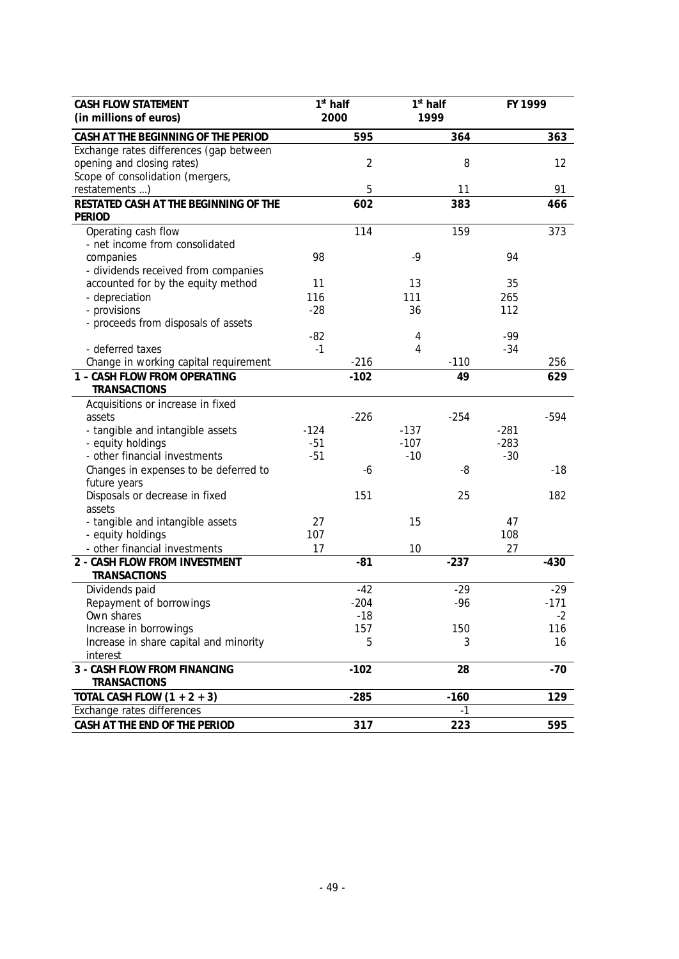| CASH FLOW STATEMENT                                     | $1st$ half |                | $1st$ half |           | FY 1999   |        |
|---------------------------------------------------------|------------|----------------|------------|-----------|-----------|--------|
| (in millions of euros)                                  | 2000       |                |            | 1999      |           |        |
| CASH AT THE BEGINNING OF THE PERIOD                     |            | 595            |            | 364       |           | 363    |
| Exchange rates differences (gap between                 |            |                |            |           |           |        |
| opening and closing rates)                              |            | $\overline{2}$ |            | 8         |           | 12     |
| Scope of consolidation (mergers,                        |            |                |            |           |           |        |
| restatements )<br>RESTATED CASH AT THE BEGINNING OF THE |            | 5<br>602       |            | 11<br>383 |           | 91     |
| PERIOD                                                  |            |                |            |           |           | 466    |
| Operating cash flow                                     |            | 114            |            | 159       |           | 373    |
| - net income from consolidated                          |            |                |            |           |           |        |
| companies                                               | 98         |                | $-9$       |           | 94        |        |
| - dividends received from companies                     |            |                |            |           |           |        |
| accounted for by the equity method                      | 11         |                | 13         |           | 35        |        |
| - depreciation                                          | 116        |                | 111        |           | 265       |        |
| - provisions                                            | $-28$      |                | 36         |           | 112       |        |
| - proceeds from disposals of assets                     |            |                |            |           |           |        |
|                                                         | $-82$      |                | 4          |           | $-99$     |        |
| - deferred taxes                                        | $-1$       |                | 4          |           | $-34$     |        |
| Change in working capital requirement                   |            | $-216$         |            | $-110$    |           | 256    |
| 1 - CASH FLOW FROM OPERATING<br>TRANSACTIONS            |            | $-102$         |            | 49        |           | 629    |
| Acquisitions or increase in fixed                       |            |                |            |           |           |        |
| assets                                                  |            | $-226$         |            | $-254$    |           | $-594$ |
| - tangible and intangible assets                        | $-124$     |                | $-137$     |           | $-281$    |        |
| - equity holdings                                       | $-51$      |                | $-107$     |           | $-283$    |        |
| - other financial investments                           | $-51$      |                | $-10$      |           | $-30$     |        |
| Changes in expenses to be deferred to                   |            | -6             |            | -8        |           | $-18$  |
| future years                                            |            |                |            |           |           |        |
| Disposals or decrease in fixed                          |            | 151            |            | 25        |           | 182    |
| assets                                                  |            |                |            |           |           |        |
| - tangible and intangible assets                        | 27<br>107  |                | 15         |           | 47<br>108 |        |
| - equity holdings<br>- other financial investments      | 17         |                | 10         |           | 27        |        |
| 2 - CASH FLOW FROM INVESTMENT                           |            | $-81$          |            | $-237$    |           | $-430$ |
| TRANSACTIONS                                            |            |                |            |           |           |        |
| Dividends paid                                          |            | $-42$          |            | $-29$     |           | $-29$  |
| Repayment of borrowings                                 |            | $-204$         |            | $-96$     |           | $-171$ |
| Own shares                                              |            | -18            |            |           |           | $-2$   |
| Increase in borrowings                                  |            | 157            |            | 150       |           | 116    |
| Increase in share capital and minority                  |            | 5              |            | 3         |           | 16     |
| interest                                                |            |                |            |           |           |        |
| 3 - CASH FLOW FROM FINANCING                            |            | $-102$         |            | 28        |           | $-70$  |
| TRANSACTIONS                                            |            |                |            |           |           |        |
| TOTAL CASH FLOW $(1 + 2 + 3)$                           |            | $-285$         |            | $-160$    |           | 129    |
| Exchange rates differences                              |            |                |            | $-1$      |           |        |
| CASH AT THE END OF THE PERIOD                           |            | 317            |            | 223       |           | 595    |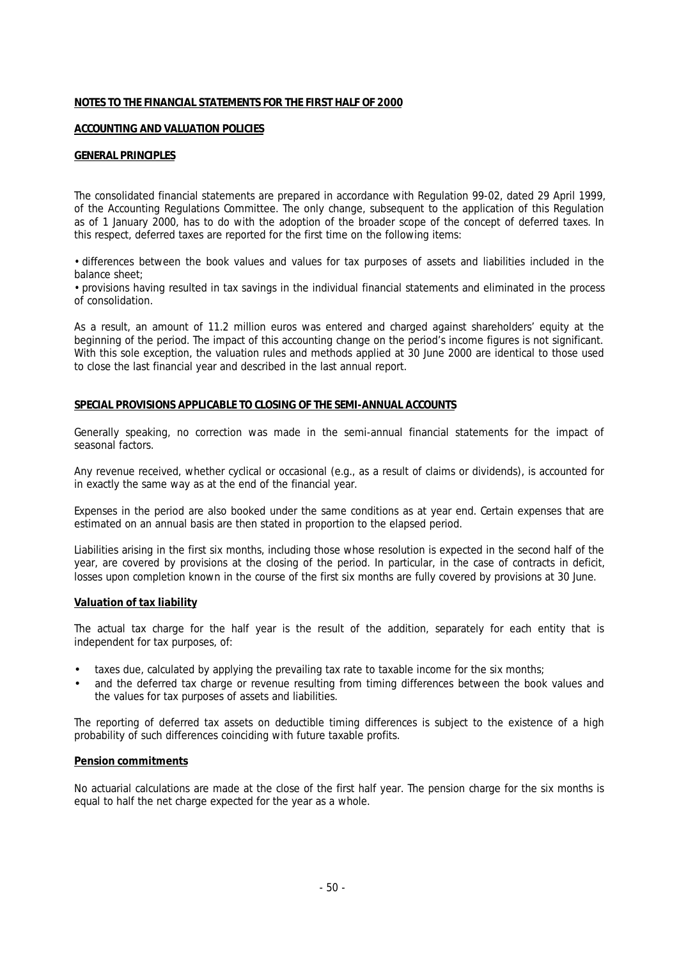## **NOTES TO THE FINANCIAL STATEMENTS FOR THE FIRST HALF OF 2000**

## **ACCOUNTING AND VALUATION POLICIES**

## **GENERAL PRINCIPLES**

The consolidated financial statements are prepared in accordance with Regulation 99-02, dated 29 April 1999, of the Accounting Regulations Committee. The only change, subsequent to the application of this Regulation as of 1 January 2000, has to do with the adoption of the broader scope of the concept of deferred taxes. In this respect, deferred taxes are reported for the first time on the following items:

• differences between the book values and values for tax purposes of assets and liabilities included in the balance sheet;

• provisions having resulted in tax savings in the individual financial statements and eliminated in the process of consolidation.

As a result, an amount of 11.2 million euros was entered and charged against shareholders' equity at the beginning of the period. The impact of this accounting change on the period's income figures is not significant. With this sole exception, the valuation rules and methods applied at 30 June 2000 are identical to those used to close the last financial year and described in the last annual report.

## **SPECIAL PROVISIONS APPLICABLE TO CLOSING OF THE SEMI-ANNUAL ACCOUNTS**

Generally speaking, no correction was made in the semi-annual financial statements for the impact of seasonal factors.

Any revenue received, whether cyclical or occasional (e.g., as a result of claims or dividends), is accounted for in exactly the same way as at the end of the financial year.

Expenses in the period are also booked under the same conditions as at year end. Certain expenses that are estimated on an annual basis are then stated in proportion to the elapsed period.

Liabilities arising in the first six months, including those whose resolution is expected in the second half of the year, are covered by provisions at the closing of the period. In particular, in the case of contracts in deficit, losses upon completion known in the course of the first six months are fully covered by provisions at 30 June.

#### **Valuation of tax liability**

The actual tax charge for the half year is the result of the addition, separately for each entity that is independent for tax purposes, of:

- taxes due, calculated by applying the prevailing tax rate to taxable income for the six months;
- and the deferred tax charge or revenue resulting from timing differences between the book values and the values for tax purposes of assets and liabilities.

The reporting of deferred tax assets on deductible timing differences is subject to the existence of a high probability of such differences coinciding with future taxable profits.

#### **Pension commitments**

No actuarial calculations are made at the close of the first half year. The pension charge for the six months is equal to half the net charge expected for the year as a whole.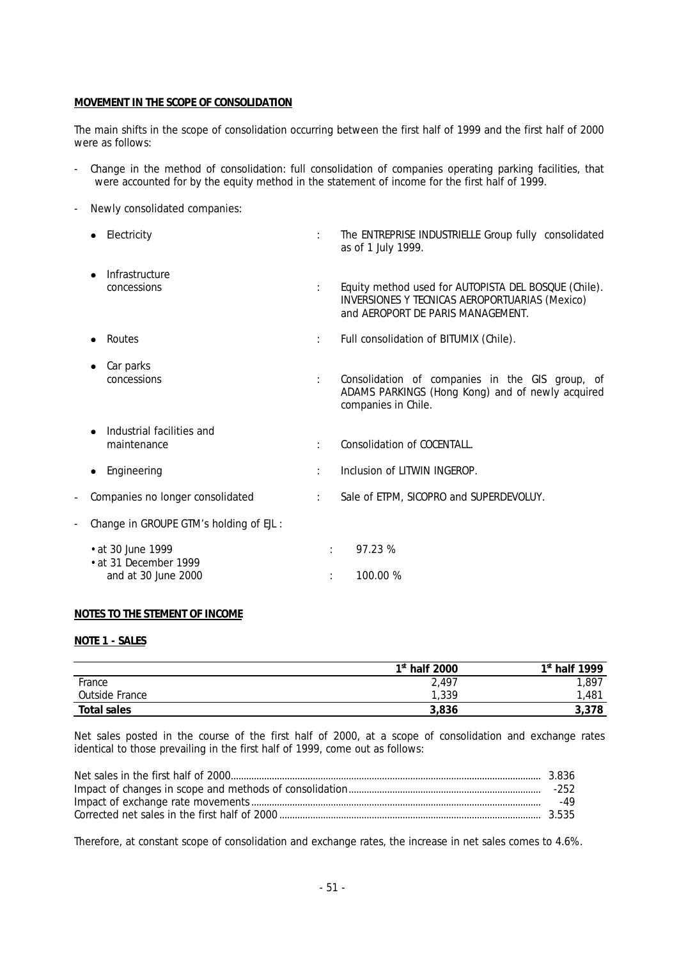## **MOVEMENT IN THE SCOPE OF CONSOLIDATION**

The main shifts in the scope of consolidation occurring between the first half of 1999 and the first half of 2000 were as follows:

- Change in the method of consolidation: full consolidation of companies operating parking facilities, that were accounted for by the equity method in the statement of income for the first half of 1999.
- Newly consolidated companies:

| Electricity                                        |   | The ENTREPRISE INDUSTRIELLE Group fully consolidated<br>as of 1 July 1999.                                                                  |
|----------------------------------------------------|---|---------------------------------------------------------------------------------------------------------------------------------------------|
| Infrastructure<br>$\bullet$<br>concessions         |   | Equity method used for AUTOPISTA DEL BOSQUE (Chile).<br>INVERSIONES Y TECNICAS AEROPORTUARIAS (Mexico)<br>and AEROPORT DE PARIS MANAGEMENT. |
| Routes                                             | ÷ | Full consolidation of BITUMIX (Chile).                                                                                                      |
| Car parks<br>concessions                           |   | Consolidation of companies in the GIS group, of<br>ADAMS PARKINGS (Hong Kong) and of newly acquired<br>companies in Chile.                  |
| Industrial facilities and<br>maintenance           |   | Consolidation of COCENTALL.                                                                                                                 |
| Engineering<br>$\bullet$                           |   | Inclusion of LITWIN INGEROP.                                                                                                                |
| Companies no longer consolidated                   |   | Sale of ETPM, SICOPRO and SUPERDEVOLUY.                                                                                                     |
| Change in GROUPE GTM's holding of EJL :            |   |                                                                                                                                             |
| • at 30 June 1999                                  | ÷ | 97.23 %                                                                                                                                     |
| $\cdot$ at 31 December 1999<br>and at 30 June 2000 |   | 100.00 %                                                                                                                                    |

## **NOTES TO THE STEMENT OF INCOME**

## **NOTE 1 - SALES**

|                | $1st$ half 2000 | $1st$ half 1999 |
|----------------|-----------------|-----------------|
| France         | 2,497           | 1,897           |
| Outside France | 1,339           | ,481            |
| Total sales    | 3,836           | 3,378           |

Net sales posted in the course of the first half of 2000, at a scope of consolidation and exchange rates identical to those prevailing in the first half of 1999, come out as follows:

| -252 |
|------|
| -49  |
|      |

Therefore, at constant scope of consolidation and exchange rates, the increase in net sales comes to 4.6%.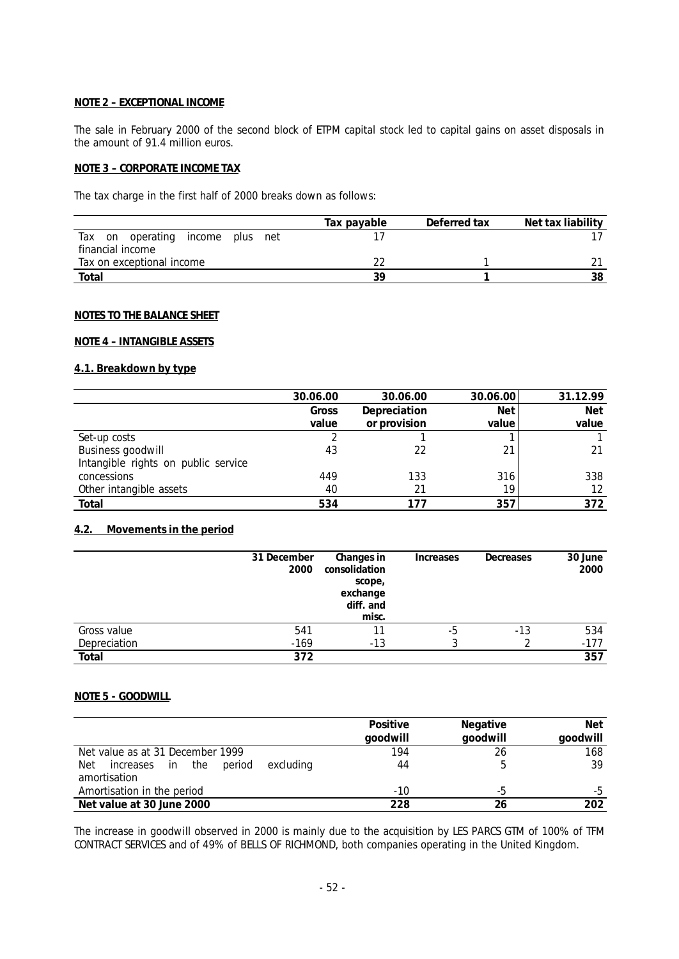## **NOTE 2 – EXCEPTIONAL INCOME**

The sale in February 2000 of the second block of ETPM capital stock led to capital gains on asset disposals in the amount of 91.4 million euros.

## **NOTE 3 – CORPORATE INCOME TAX**

The tax charge in the first half of 2000 breaks down as follows:

|                                                 | Tax payable | Deferred tax | Net tax liability |
|-------------------------------------------------|-------------|--------------|-------------------|
| operating<br>Тах<br>income<br>net<br>on<br>plus |             |              |                   |
| financial income                                |             |              |                   |
| Tax on exceptional income                       |             |              |                   |
| Total                                           | 30          |              | 38                |

#### **NOTES TO THE BALANCE SHEET**

## **NOTE 4 – INTANGIBLE ASSETS**

## **4.1. Breakdown by type**

|                                     | 30.06.00 | 30.06.00     | 30.06.00   | 31.12.99   |
|-------------------------------------|----------|--------------|------------|------------|
|                                     | Gross    | Depreciation | <b>Net</b> | <b>Net</b> |
|                                     | value    | or provision | value      | value      |
| Set-up costs                        |          |              |            |            |
| Business goodwill                   | 43       | 22           | 21         |            |
| Intangible rights on public service |          |              |            |            |
| concessions                         | 449      | 133          | 316        | 338        |
| Other intangible assets             | 40       | 21           | 19         | 12         |
| Total                               | 534      |              | 357        | 372        |

# **4.2. Movements in the period**

|              | 31 December<br>2000 | Changes in<br>consolidation<br>scope,<br>exchange<br>diff. and<br>misc. | Increases | Decreases | 30 June<br>2000 |
|--------------|---------------------|-------------------------------------------------------------------------|-----------|-----------|-----------------|
| Gross value  | 541                 |                                                                         | -5        | -13       | 534             |
| Depreciation | $-169$              | -13                                                                     |           |           | $-177$          |
| Total        | 372                 |                                                                         |           |           | 357             |

## **NOTE 5 - GOODWILL**

|                                                                   | Positive<br>qoodwill | Negative<br>qoodwill | Net<br>qoodwill |
|-------------------------------------------------------------------|----------------------|----------------------|-----------------|
| Net value as at 31 December 1999                                  | 194                  | 26                   | 168             |
| period<br>increases in<br>Net<br>the<br>excluding<br>amortisation | 44                   |                      | 39              |
| Amortisation in the period                                        | -10                  | -5                   | -b              |
| Net value at 30 June 2000                                         | 228                  | 26                   | 202             |

The increase in goodwill observed in 2000 is mainly due to the acquisition by LES PARCS GTM of 100% of TFM CONTRACT SERVICES and of 49% of BELLS OF RICHMOND, both companies operating in the United Kingdom.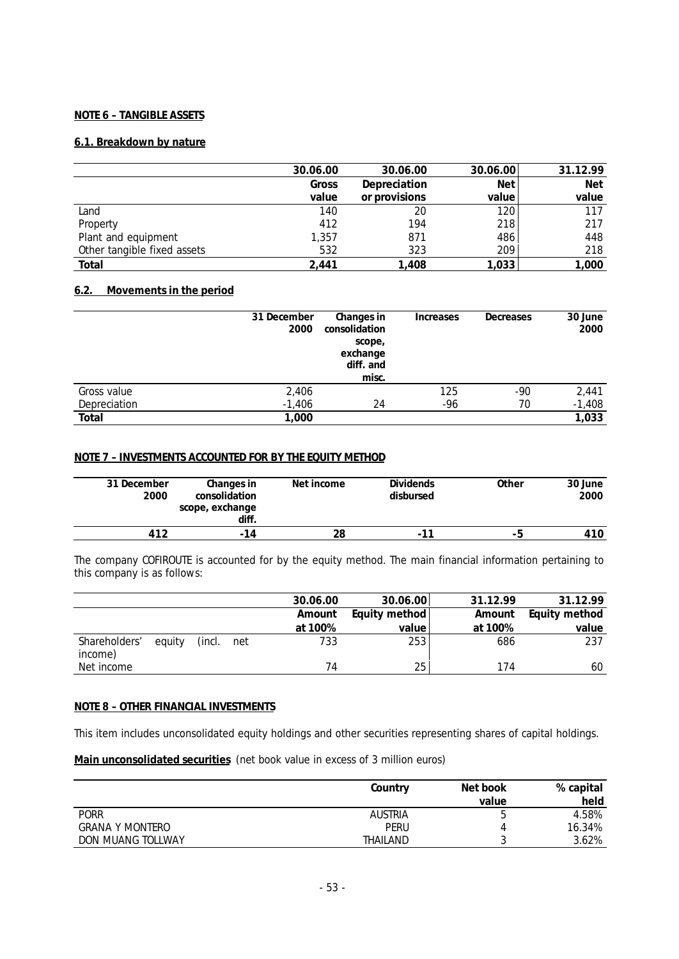## **NOTE 6 – TANGIBLE ASSETS**

## **6.1. Breakdown by nature**

|                             | 30.06.00 | 30.06.00      | 30.06.00   | 31.12.99   |
|-----------------------------|----------|---------------|------------|------------|
|                             | Gross    | Depreciation  | <b>Net</b> | <b>Net</b> |
|                             | value    | or provisions | value      | value      |
| Land                        | 140      | 20            | 120        | 117        |
| Property                    | 412      | 194           | 218        | 217        |
| Plant and equipment         | 1,357    | 871           | 486        | 448        |
| Other tangible fixed assets | 532      | 323           | 209        | 218        |
| Total                       | 2.441    | 1,408         | 1,033      | ,000       |

## **6.2. Movements in the period**

|              | 31 December<br>2000 | Changes in<br>consolidation<br>scope,<br>exchange<br>diff. and<br>misc. | Increases | Decreases | 30 June<br>2000 |
|--------------|---------------------|-------------------------------------------------------------------------|-----------|-----------|-----------------|
| Gross value  | 2,406               |                                                                         | 125       | -90       | 2,441           |
| Depreciation | $-1,406$            | 24                                                                      | $-96$     | 70        | $-1,408$        |
| Total        | 1,000               |                                                                         |           |           | 1,033           |

## **NOTE 7 – INVESTMENTS ACCOUNTED FOR BY THE EQUITY METHOD**

| 31 December<br>2000 | Changes in<br>consolidation<br>scope, exchange<br>diff. | Net income | <b>Dividends</b><br>disbursed | Other | 30 June<br>2000 |
|---------------------|---------------------------------------------------------|------------|-------------------------------|-------|-----------------|
| 412                 | $-14$                                                   | 28         | $\overline{\phantom{0}}$      | - 5   | 410             |

The company COFIROUTE is accounted for by the equity method. The main financial information pertaining to this company is as follows:

|                          |        |        |     | 30.06.00 | 30.06.00      | 31.12.99 | 31.12.99      |
|--------------------------|--------|--------|-----|----------|---------------|----------|---------------|
|                          |        |        |     | Amount   | Equity method | Amount   | Equity method |
|                          |        |        |     | at 100%  | valuel        | at 100%  | value         |
| Shareholders'<br>income) | equity | (incl. | net | 733      | 253           | 686      | 237           |
| Net income               |        |        |     | 74       | 25            | 174      | 60            |

## **NOTE 8 – OTHER FINANCIAL INVESTMENTS**

This item includes unconsolidated equity holdings and other securities representing shares of capital holdings.

**Main unconsolidated securities** (net book value in excess of 3 million euros)

|                   | Country        | Net book | % capital |
|-------------------|----------------|----------|-----------|
|                   |                | value    | held      |
| <b>PORR</b>       | <b>AUSTRIA</b> | C        | 4.58%     |
| GRANA Y MONTERO   | PERU           |          | 16.34%    |
| DON MUANG TOLLWAY | THAILAND       |          | 3.62%     |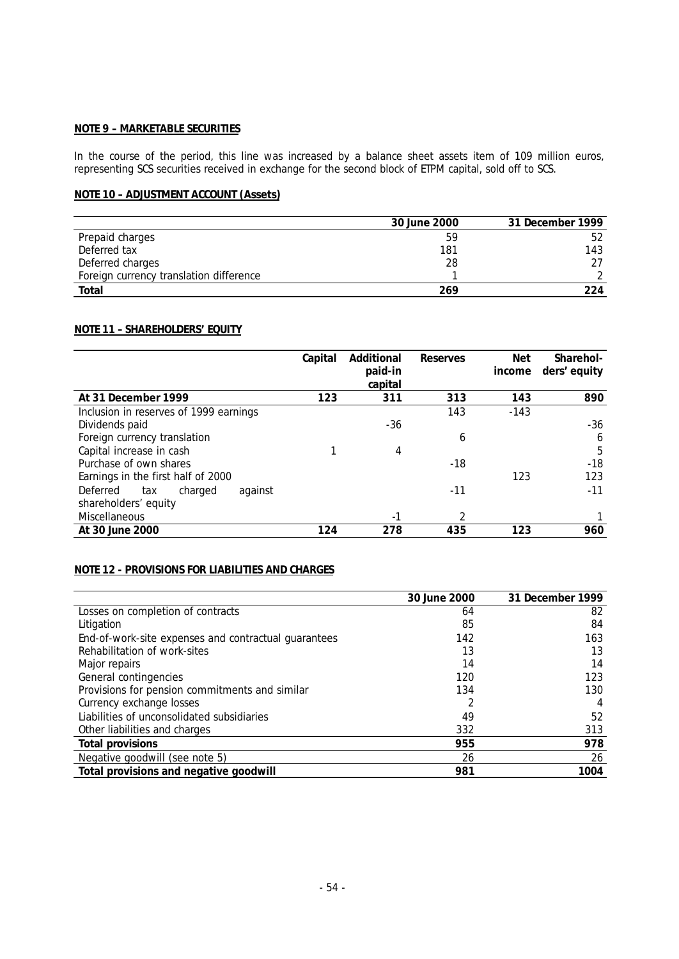## **NOTE 9 – MARKETABLE SECURITIES**

In the course of the period, this line was increased by a balance sheet assets item of 109 million euros, representing SCS securities received in exchange for the second block of ETPM capital, sold off to SCS.

# **NOTE 10 – ADJUSTMENT ACCOUNT (Assets)**

|                                         | 30 June 2000 | 31 December 1999 |
|-----------------------------------------|--------------|------------------|
| Prepaid charges                         | 59           | 52               |
| Deferred tax                            | 181          | 143              |
| Deferred charges                        | 28           |                  |
| Foreign currency translation difference |              |                  |
| Total                                   | 269          | 224              |

# **NOTE 11 – SHAREHOLDERS' EQUITY**

|                                        | Capital | Additional | Reserves | <b>Net</b> | Sharehol-    |
|----------------------------------------|---------|------------|----------|------------|--------------|
|                                        |         | paid-in    |          | income     | ders' equity |
|                                        |         | capital    |          |            |              |
| At 31 December 1999                    | 123     | 311        | 313      | 143        | 890          |
| Inclusion in reserves of 1999 earnings |         |            | 143      | $-143$     |              |
| Dividends paid                         |         | $-36$      |          |            | -36          |
| Foreign currency translation           |         |            | 6        |            | 6            |
| Capital increase in cash               |         | 4          |          |            | 5            |
| Purchase of own shares                 |         |            | -18      |            | $-18$        |
| Earnings in the first half of 2000     |         |            |          | 123        | 123          |
| Deferred<br>against<br>charged<br>tax  |         |            | $-11$    |            | $-11$        |
| shareholders' equity                   |         |            |          |            |              |
| Miscellaneous                          |         | -1         | 2        |            |              |
| At 30 June 2000                        | 124     | 278        | 435      | 123        | 960          |

# **NOTE 12 - PROVISIONS FOR LIABILITIES AND CHARGES**

|                                                      | 30 June 2000 | 31 December 1999 |
|------------------------------------------------------|--------------|------------------|
| Losses on completion of contracts                    | 64           | 82               |
| Litigation                                           | 85           | 84               |
| End-of-work-site expenses and contractual guarantees | 142          | 163              |
| Rehabilitation of work-sites                         | 13           | 13               |
| Major repairs                                        | 14           | 14               |
| General contingencies                                | 120          | 123              |
| Provisions for pension commitments and similar       | 134          | 130              |
| Currency exchange losses                             |              | 4                |
| Liabilities of unconsolidated subsidiaries           | 49           | 52               |
| Other liabilities and charges                        | 332          | 313              |
| Total provisions                                     | 955          | 978              |
| Negative goodwill (see note 5)                       | 26           | 26               |
| Total provisions and negative goodwill               | 981          | 1004             |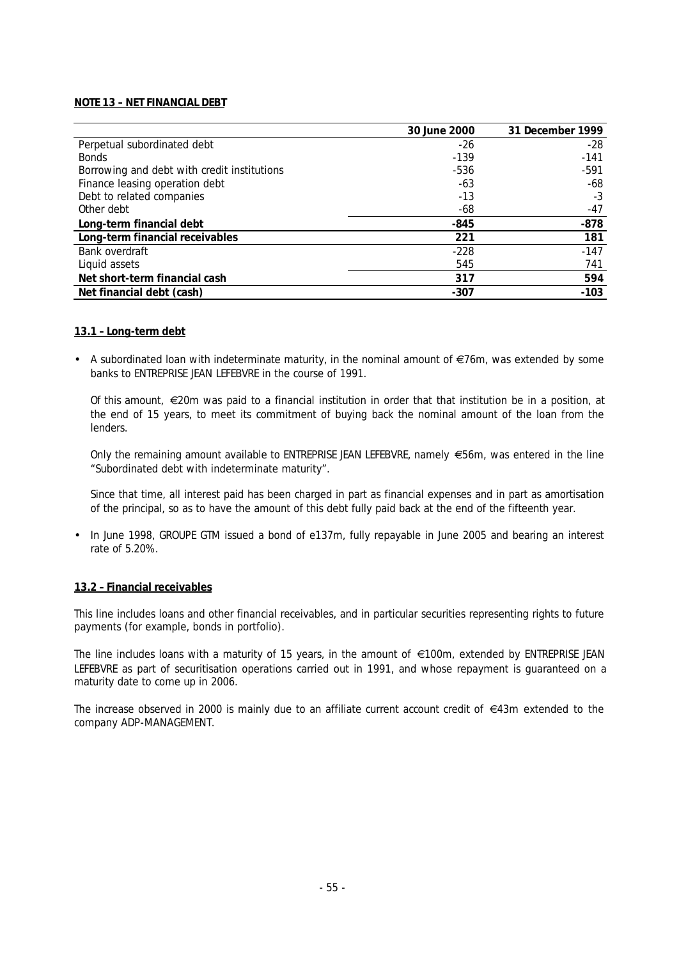## **NOTE 13 – NET FINANCIAL DEBT**

|                                             | 30 June 2000 | 31 December 1999 |
|---------------------------------------------|--------------|------------------|
| Perpetual subordinated debt                 | -26          | $-28$            |
| <b>Bonds</b>                                | $-139$       | $-141$           |
| Borrowing and debt with credit institutions | $-536$       | $-591$           |
| Finance leasing operation debt              | -63          | -68              |
| Debt to related companies                   | $-13$        | -3               |
| Other debt                                  | -68          | $-47$            |
| Long-term financial debt                    | $-845$       | $-878$           |
| Long-term financial receivables             | 221          | 181              |
| Bank overdraft                              | $-228$       | $-147$           |
| Liquid assets                               | 545          | 741              |
| Net short-term financial cash               | 317          | 594              |
| Net financial debt (cash)                   | -307         | $-103$           |

#### **13.1 – Long-term debt**

• A subordinated loan with indeterminate maturity, in the nominal amount of  $\epsilon$ 76m, was extended by some banks to ENTREPRISE JEAN LEFEBVRE in the course of 1991.

Of this amount,  $\epsilon$ 20m was paid to a financial institution in order that that institution be in a position, at the end of 15 years, to meet its commitment of buying back the nominal amount of the loan from the lenders.

Only the remaining amount available to ENTREPRISE JEAN LEFEBVRE, namely  $\epsilon$ 56m, was entered in the line "Subordinated debt with indeterminate maturity".

Since that time, all interest paid has been charged in part as financial expenses and in part as amortisation of the principal, so as to have the amount of this debt fully paid back at the end of the fifteenth year.

• In June 1998, GROUPE GTM issued a bond of e137m, fully repayable in June 2005 and bearing an interest rate of 5.20%.

#### **13.2 – Financial receivables**

This line includes loans and other financial receivables, and in particular securities representing rights to future payments (for example, bonds in portfolio).

The line includes loans with a maturity of 15 years, in the amount of  $\epsilon$ 100m, extended by ENTREPRISE JEAN LEFEBVRE as part of securitisation operations carried out in 1991, and whose repayment is guaranteed on a maturity date to come up in 2006.

The increase observed in 2000 is mainly due to an affiliate current account credit of  $\epsilon$ 43m extended to the company ADP-MANAGEMENT.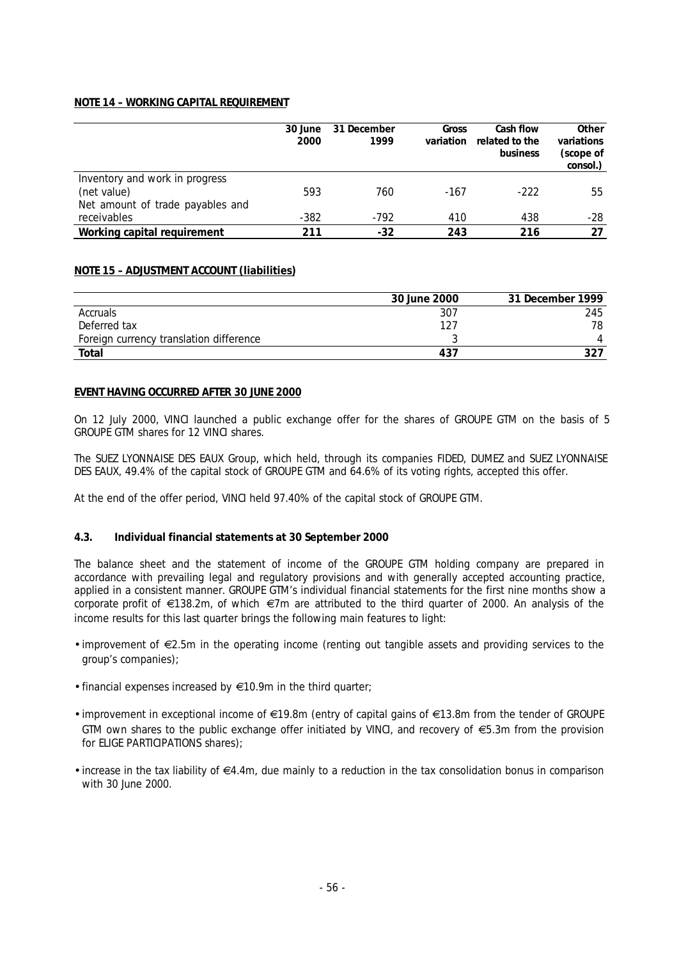## **NOTE 14 – WORKING CAPITAL REQUIREMENT**

|                                                 | 30 June<br>2000 | 31 December<br>1999 | Gross<br>variation | Cash flow<br>related to the<br>business | Other<br>variations<br>(scope of<br>consol.) |
|-------------------------------------------------|-----------------|---------------------|--------------------|-----------------------------------------|----------------------------------------------|
| Inventory and work in progress<br>(net value)   | 593             | 760                 | $-167$             | -222                                    | 55                                           |
| Net amount of trade payables and<br>receivables | $-382$          | $-792$              | 410                | 438                                     | -28                                          |
| Working capital requirement                     | 211             | $-32$               | 243                | 216                                     | 27                                           |

## **NOTE 15 – ADJUSTMENT ACCOUNT (liabilities)**

|                                         | 30 June 2000 | 31 December 1999 |
|-----------------------------------------|--------------|------------------|
| Accruals                                | 307          | 245              |
| Deferred tax                            | 127          | 78               |
| Foreign currency translation difference |              |                  |
| Total                                   | 437          | 327              |

#### **EVENT HAVING OCCURRED AFTER 30 JUNE 2000**

On 12 July 2000, VINCI launched a public exchange offer for the shares of GROUPE GTM on the basis of 5 GROUPE GTM shares for 12 VINCI shares.

The SUEZ LYONNAISE DES EAUX Group, which held, through its companies FIDED, DUMEZ and SUEZ LYONNAISE DES EAUX, 49.4% of the capital stock of GROUPE GTM and 64.6% of its voting rights, accepted this offer.

At the end of the offer period, VINCI held 97.40% of the capital stock of GROUPE GTM.

#### **4.3. Individual financial statements at 30 September 2000**

The balance sheet and the statement of income of the GROUPE GTM holding company are prepared in accordance with prevailing legal and regulatory provisions and with generally accepted accounting practice, applied in a consistent manner. GROUPE GTM's individual financial statements for the first nine months show a corporate profit of  $\epsilon$ 138.2m, of which  $\epsilon$ 7m are attributed to the third quarter of 2000. An analysis of the income results for this last quarter brings the following main features to light:

- improvement of  $\epsilon$ 2.5m in the operating income (renting out tangible assets and providing services to the group's companies);
- financial expenses increased by  $\in$ 10.9m in the third quarter;
- improvement in exceptional income of  $\in$ 19.8m (entry of capital gains of  $\in$ 13.8m from the tender of GROUPE GTM own shares to the public exchange offer initiated by VINCI, and recovery of  $\epsilon$ 5.3m from the provision for ELIGE PARTICIPATIONS shares);
- increase in the tax liability of  $\in 4.4$ m, due mainly to a reduction in the tax consolidation bonus in comparison with 30 June 2000.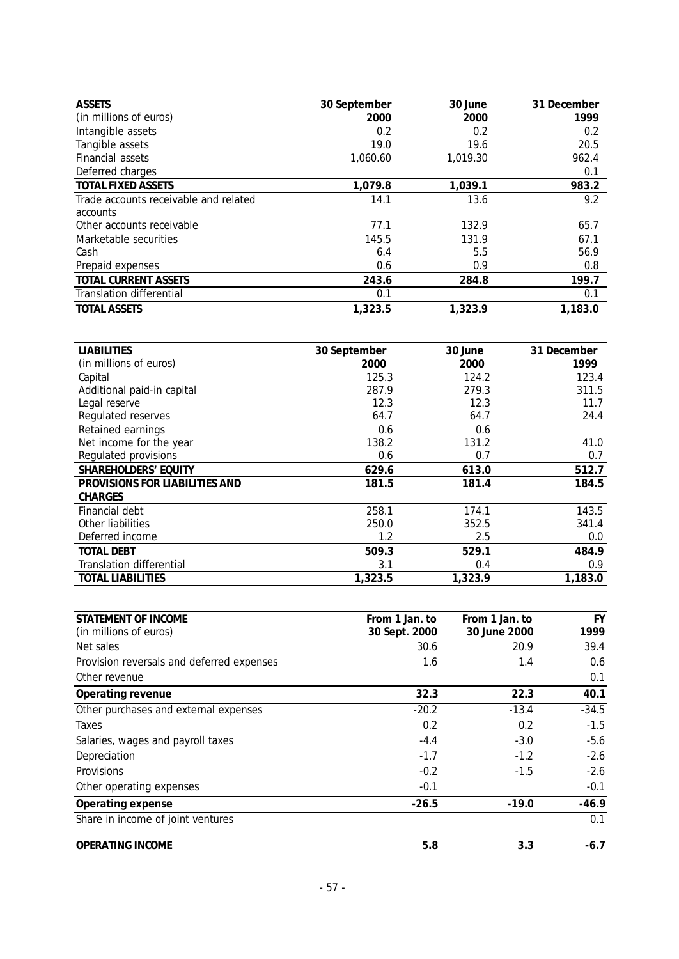| <b>ASSETS</b>                         | 30 September | 30 June  | 31 December |
|---------------------------------------|--------------|----------|-------------|
| (in millions of euros)                | 2000         | 2000     | 1999        |
| Intangible assets                     | 0.2          | 0.2      | 0.2         |
| Tangible assets                       | 19.0         | 19.6     | 20.5        |
| Financial assets                      | 1,060.60     | 1,019.30 | 962.4       |
| Deferred charges                      |              |          | 0.1         |
| <b>TOTAL FIXED ASSETS</b>             | 1,079.8      | 1,039.1  | 983.2       |
| Trade accounts receivable and related | 14.1         | 13.6     | 9.2         |
| accounts                              |              |          |             |
| Other accounts receivable             | 77.1         | 132.9    | 65.7        |
| Marketable securities                 | 145.5        | 131.9    | 67.1        |
| Cash                                  | 6.4          | 5.5      | 56.9        |
| Prepaid expenses                      | 0.6          | 0.9      | 0.8         |
| TOTAL CURRENT ASSETS                  | 243.6        | 284.8    | 199.7       |
| Translation differential              | 0.1          |          | 0.1         |
| <b>TOTAL ASSETS</b>                   | 1.323.5      | 1,323.9  | 1,183.0     |

| <b>LIABILITIES</b>              | 30 September | 30 June | 31 December |
|---------------------------------|--------------|---------|-------------|
| (in millions of euros)          | 2000         | 2000    | 1999        |
| Capital                         | 125.3        | 124.2   | 123.4       |
| Additional paid-in capital      | 287.9        | 279.3   | 311.5       |
| Legal reserve                   | 12.3         | 12.3    | 11.7        |
| Regulated reserves              | 64.7         | 64.7    | 24.4        |
| Retained earnings               | 0.6          | 0.6     |             |
| Net income for the year         | 138.2        | 131.2   | 41.0        |
| Regulated provisions            | 0.6          | 0.7     | 0.7         |
| SHAREHOLDERS' EQUITY            | 629.6        | 613.0   | 512.7       |
| PROVISIONS FOR LIABILITIES AND  | 181.5        | 181.4   | 184.5       |
| CHARGES                         |              |         |             |
| Financial debt                  | 258.1        | 174.1   | 143.5       |
| Other liabilities               | 250.0        | 352.5   | 341.4       |
| Deferred income                 | 1.2          | 2.5     | 0.0         |
| <b>TOTAL DEBT</b>               | 509.3        | 529.1   | 484.9       |
| <b>Translation differential</b> | 3.1          | 0.4     | 0.9         |
| <b>TOTAL LIABILITIES</b>        | 1,323.5      | 1,323.9 | 1,183.0     |

| STATEMENT OF INCOME                       | From 1 Jan. to | From 1 Jan. to | <b>FY</b> |
|-------------------------------------------|----------------|----------------|-----------|
| (in millions of euros)                    | 30 Sept. 2000  | 30 June 2000   | 1999      |
| Net sales                                 | 30.6           | 20.9           | 39.4      |
| Provision reversals and deferred expenses | 1.6            | 1.4            | 0.6       |
| Other revenue                             |                |                | 0.1       |
| Operating revenue                         | 32.3           | 22.3           | 40.1      |
| Other purchases and external expenses     | $-20.2$        | $-13.4$        | $-34.5$   |
| Taxes                                     | 0.2            | 0.2            | $-1.5$    |
| Salaries, wages and payroll taxes         | $-4.4$         | $-3.0$         | $-5.6$    |
| Depreciation                              | $-1.7$         | $-1.2$         | $-2.6$    |
| Provisions                                | $-0.2$         | $-1.5$         | $-2.6$    |
| Other operating expenses                  | $-0.1$         |                | $-0.1$    |
| Operating expense                         | $-26.5$        | $-19.0$        | $-46.9$   |
| Share in income of joint ventures         |                |                | 0.1       |
| OPERATING INCOME                          | 5.8            | 3.3            | $-6.7$    |